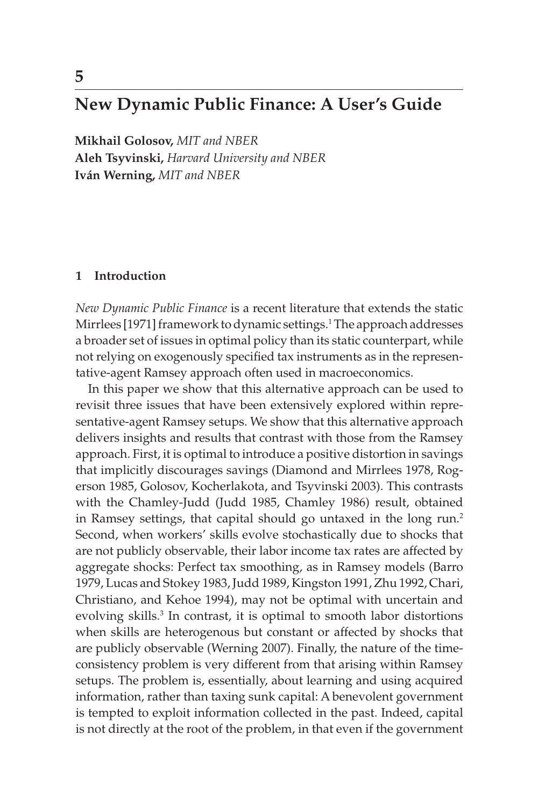# **New Dynamic Public Finance: A User's Guide**

**Mikhail Golosov,** *MIT and NBER* **Aleh Tsyvinski,** *Harvard University and NBER* **Iván Werning,** *MIT and NBER*

## **1 Introduction**

*New Dynamic Public Finance* is a recent literature that extends the static Mirrlees [1971] framework to dynamic settings.1 The approach addresses a broader set of issues in optimal policy than its static counterpart, while not relying on exogenously specified tax instruments as in the representative-agent Ramsey approach often used in macroeconomics.

In this paper we show that this alternative approach can be used to revisit three issues that have been extensively explored within representative-agent Ramsey setups. We show that this alternative approach delivers insights and results that contrast with those from the Ramsey approach. First, it is optimal to introduce a positive distortion in savings that implicitly discourages savings (Diamond and Mirrlees 1978, Rogerson 1985, Golosov, Kocherlakota, and Tsyvinski 2003). This contrasts with the Chamley-Judd (Judd 1985, Chamley 1986) result, obtained in Ramsey settings, that capital should go untaxed in the long run.<sup>2</sup> Second, when workers' skills evolve stochastically due to shocks that are not publicly observable, their labor income tax rates are affected by aggregate shocks: Perfect tax smoothing, as in Ramsey models (Barro 1979, Lucas and Stokey 1983, Judd 1989, Kingston 1991, Zhu 1992, Chari, Christiano, and Kehoe 1994), may not be optimal with uncertain and evolving skills.<sup>3</sup> In contrast, it is optimal to smooth labor distortions when skills are heterogenous but constant or affected by shocks that are publicly observable (Werning 2007). Finally, the nature of the timeconsistency problem is very different from that arising within Ramsey setups. The problem is, essentially, about learning and using acquired information, rather than taxing sunk capital: A benevolent government is tempted to exploit information collected in the past. Indeed, capital is not directly at the root of the problem, in that even if the government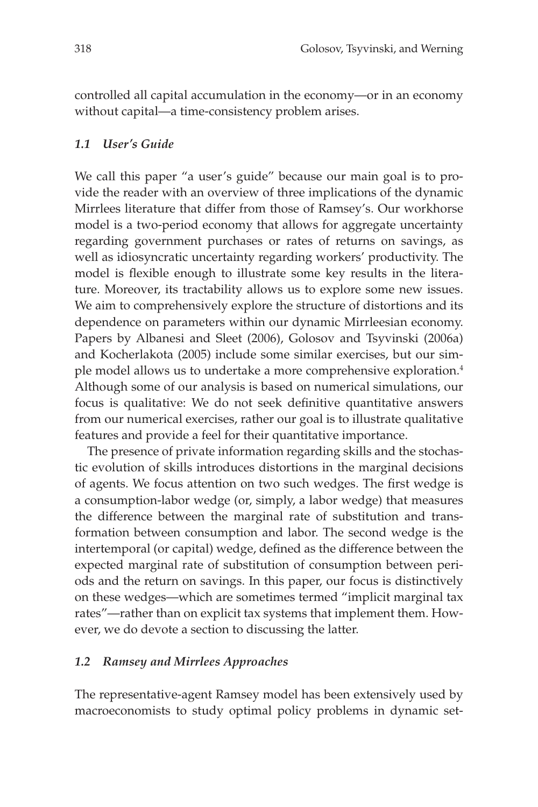controlled all capital accumulation in the economy—or in an economy without capital—a time-consistency problem arises.

## *1.1 User's Guide*

We call this paper "a user's guide" because our main goal is to provide the reader with an overview of three implications of the dynamic Mirrlees literature that differ from those of Ramsey's. Our workhorse model is a two-period economy that allows for aggregate uncertainty regarding government purchases or rates of returns on savings, as well as idiosyncratic uncertainty regarding workers' productivity. The model is flexible enough to illustrate some key results in the literature. Moreover, its tractability allows us to explore some new issues. We aim to comprehensively explore the structure of distortions and its dependence on parameters within our dynamic Mirrleesian economy. Papers by Albanesi and Sleet (2006), Golosov and Tsyvinski (2006a) and Kocherlakota (2005) include some similar exercises, but our simple model allows us to undertake a more comprehensive exploration.<sup>4</sup> Although some of our analysis is based on numerical simulations, our focus is qualitative: We do not seek definitive quantitative answers from our numerical exercises, rather our goal is to illustrate qualitative features and provide a feel for their quantitative importance.

The presence of private information regarding skills and the stochastic evolution of skills introduces distortions in the marginal decisions of agents. We focus attention on two such wedges. The first wedge is a consumption-labor wedge (or, simply, a labor wedge) that measures the difference between the marginal rate of substitution and transformation between consumption and labor. The second wedge is the intertemporal (or capital) wedge, defined as the difference between the expected marginal rate of substitution of consumption between periods and the return on savings. In this paper, our focus is distinctively on these wedges—which are sometimes termed "implicit marginal tax rates"—rather than on explicit tax systems that implement them. However, we do devote a section to discussing the latter.

### *1.2 Ramsey and Mirrlees Approaches*

The representative-agent Ramsey model has been extensively used by macroeconomists to study optimal policy problems in dynamic set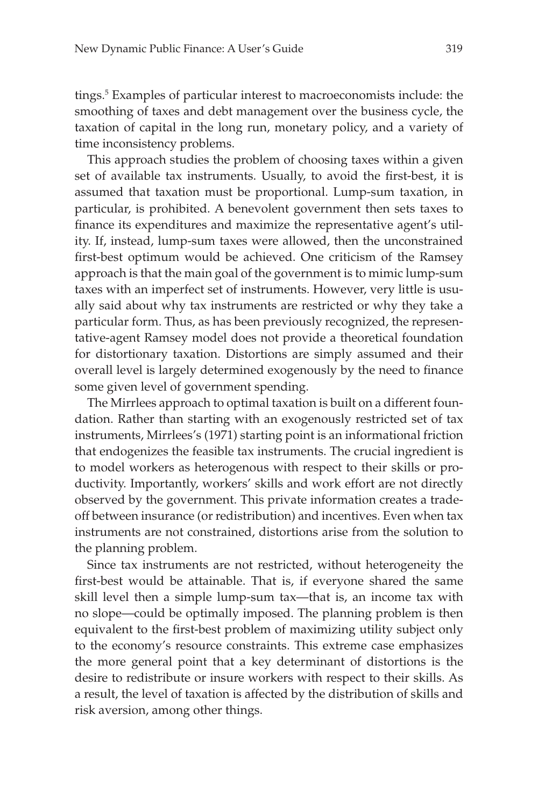tings.5 Examples of particular interest to macroeconomists include: the smoothing of taxes and debt management over the business cycle, the taxation of capital in the long run, monetary policy, and a variety of time inconsistency problems.

This approach studies the problem of choosing taxes within a given set of available tax instruments. Usually, to avoid the first-best, it is assumed that taxation must be proportional. Lump-sum taxation, in particular, is prohibited. A benevolent government then sets taxes to finance its expenditures and maximize the representative agent's utility. If, instead, lump-sum taxes were allowed, then the unconstrained first-best optimum would be achieved. One criticism of the Ramsey approach is that the main goal of the government is to mimic lump-sum taxes with an imperfect set of instruments. However, very little is usually said about why tax instruments are restricted or why they take a particular form. Thus, as has been previously recognized, the representative-agent Ramsey model does not provide a theoretical foundation for distortionary taxation. Distortions are simply assumed and their overall level is largely determined exogenously by the need to finance some given level of government spending.

The Mirrlees approach to optimal taxation is built on a different foundation. Rather than starting with an exogenously restricted set of tax instruments, Mirrlees's (1971) starting point is an informational friction that endogenizes the feasible tax instruments. The crucial ingredient is to model workers as heterogenous with respect to their skills or productivity. Importantly, workers' skills and work effort are not directly observed by the government. This private information creates a tradeoff between insurance (or redistribution) and incentives. Even when tax instruments are not constrained, distortions arise from the solution to the planning problem.

Since tax instruments are not restricted, without heterogeneity the first-best would be attainable. That is, if everyone shared the same skill level then a simple lump-sum tax—that is, an income tax with no slope—could be optimally imposed. The planning problem is then equivalent to the first-best problem of maximizing utility subject only to the economy's resource constraints. This extreme case emphasizes the more general point that a key determinant of distortions is the desire to redistribute or insure workers with respect to their skills. As a result, the level of taxation is affected by the distribution of skills and risk aversion, among other things.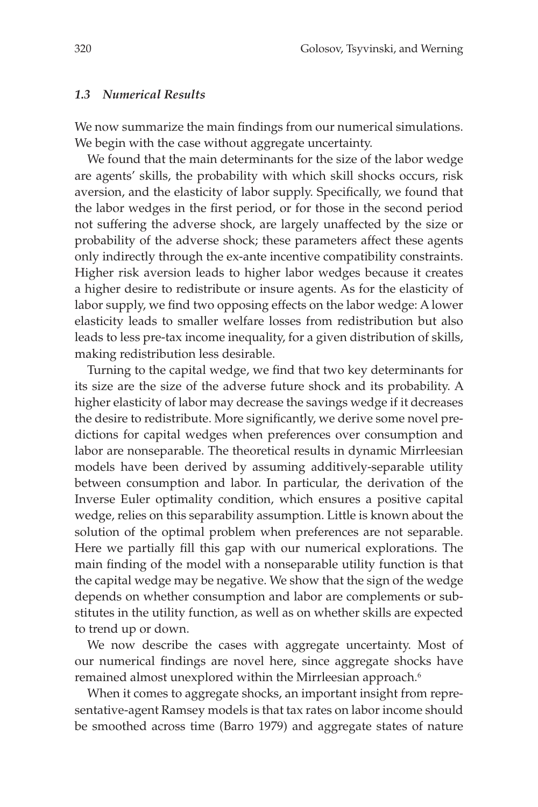## *1.3 Numerical Results*

We now summarize the main findings from our numerical simulations. We begin with the case without aggregate uncertainty.

We found that the main determinants for the size of the labor wedge are agents' skills, the probability with which skill shocks occurs, risk aversion, and the elasticity of labor supply. Specifically, we found that the labor wedges in the first period, or for those in the second period not suffering the adverse shock, are largely unaffected by the size or probability of the adverse shock; these parameters affect these agents only indirectly through the ex-ante incentive compatibility constraints. Higher risk aversion leads to higher labor wedges because it creates a higher desire to redistribute or insure agents. As for the elasticity of labor supply, we find two opposing effects on the labor wedge: A lower elasticity leads to smaller welfare losses from redistribution but also leads to less pre-tax income inequality, for a given distribution of skills, making redistribution less desirable.

Turning to the capital wedge, we find that two key determinants for its size are the size of the adverse future shock and its probability. A higher elasticity of labor may decrease the savings wedge if it decreases the desire to redistribute. More significantly, we derive some novel predictions for capital wedges when preferences over consumption and labor are nonseparable. The theoretical results in dynamic Mirrleesian models have been derived by assuming additively-separable utility between consumption and labor. In particular, the derivation of the Inverse Euler optimality condition, which ensures a positive capital wedge, relies on this separability assumption. Little is known about the solution of the optimal problem when preferences are not separable. Here we partially fill this gap with our numerical explorations. The main finding of the model with a nonseparable utility function is that the capital wedge may be negative. We show that the sign of the wedge depends on whether consumption and labor are complements or substitutes in the utility function, as well as on whether skills are expected to trend up or down.

We now describe the cases with aggregate uncertainty. Most of our numerical findings are novel here, since aggregate shocks have remained almost unexplored within the Mirrleesian approach.<sup>6</sup>

When it comes to aggregate shocks, an important insight from representative-agent Ramsey models is that tax rates on labor income should be smoothed across time (Barro 1979) and aggregate states of nature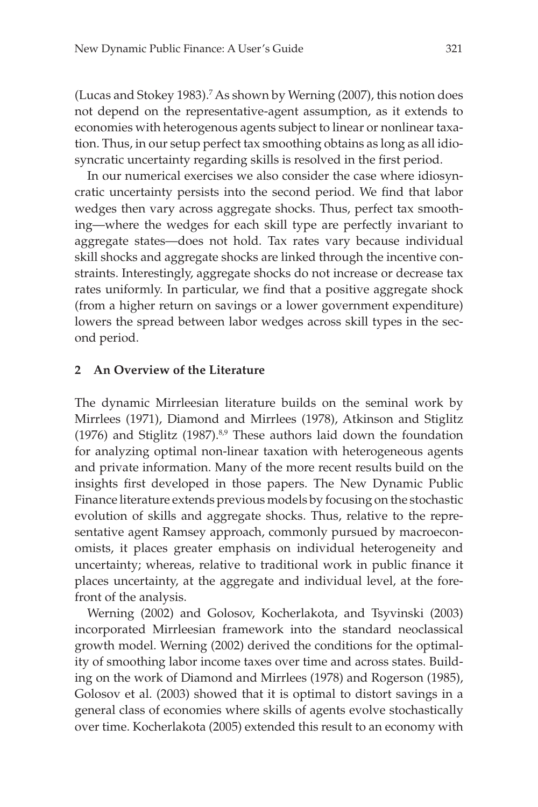(Lucas and Stokey 1983).7 As shown by Werning (2007), this notion does not depend on the representative-agent assumption, as it extends to economies with heterogenous agents subject to linear or nonlinear taxation. Thus, in our setup perfect tax smoothing obtains as long as all idiosyncratic uncertainty regarding skills is resolved in the first period.

In our numerical exercises we also consider the case where idiosyncratic uncertainty persists into the second period. We find that labor wedges then vary across aggregate shocks. Thus, perfect tax smoothing—where the wedges for each skill type are perfectly invariant to aggregate states—does not hold. Tax rates vary because individual skill shocks and aggregate shocks are linked through the incentive constraints. Interestingly, aggregate shocks do not increase or decrease tax rates uniformly. In particular, we find that a positive aggregate shock (from a higher return on savings or a lower government expenditure) lowers the spread between labor wedges across skill types in the second period.

## **2 An Overview of the Literature**

The dynamic Mirrleesian literature builds on the seminal work by Mirrlees (1971), Diamond and Mirrlees (1978), Atkinson and Stiglitz (1976) and Stiglitz (1987). $8.9$  These authors laid down the foundation for analyzing optimal non-linear taxation with heterogeneous agents and private information. Many of the more recent results build on the insights first developed in those papers. The New Dynamic Public Finance literature extends previous models by focusing on the stochastic evolution of skills and aggregate shocks. Thus, relative to the representative agent Ramsey approach, commonly pursued by macroeconomists, it places greater emphasis on individual heterogeneity and uncertainty; whereas, relative to traditional work in public finance it places uncertainty, at the aggregate and individual level, at the forefront of the analysis.

Werning (2002) and Golosov, Kocherlakota, and Tsyvinski (2003) incorporated Mirrleesian framework into the standard neoclassical growth model. Werning (2002) derived the conditions for the optimality of smoothing labor income taxes over time and across states. Building on the work of Diamond and Mirrlees (1978) and Rogerson (1985), Golosov et al. (2003) showed that it is optimal to distort savings in a general class of economies where skills of agents evolve stochastically over time. Kocherlakota (2005) extended this result to an economy with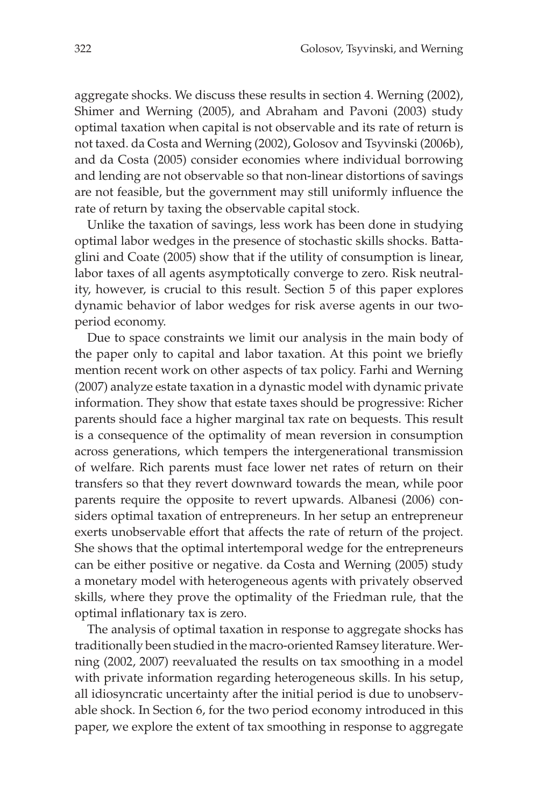aggregate shocks. We discuss these results in section 4. Werning (2002), Shimer and Werning (2005), and Abraham and Pavoni (2003) study optimal taxation when capital is not observable and its rate of return is not taxed. da Costa and Werning (2002), Golosov and Tsyvinski (2006b), and da Costa (2005) consider economies where individual borrowing and lending are not observable so that non-linear distortions of savings are not feasible, but the government may still uniformly influence the rate of return by taxing the observable capital stock.

Unlike the taxation of savings, less work has been done in studying optimal labor wedges in the presence of stochastic skills shocks. Battaglini and Coate (2005) show that if the utility of consumption is linear, labor taxes of all agents asymptotically converge to zero. Risk neutrality, however, is crucial to this result. Section 5 of this paper explores dynamic behavior of labor wedges for risk averse agents in our twoperiod economy.

Due to space constraints we limit our analysis in the main body of the paper only to capital and labor taxation. At this point we briefly mention recent work on other aspects of tax policy. Farhi and Werning (2007) analyze estate taxation in a dynastic model with dynamic private information. They show that estate taxes should be progressive: Richer parents should face a higher marginal tax rate on bequests. This result is a consequence of the optimality of mean reversion in consumption across generations, which tempers the intergenerational transmission of welfare. Rich parents must face lower net rates of return on their transfers so that they revert downward towards the mean, while poor parents require the opposite to revert upwards. Albanesi (2006) considers optimal taxation of entrepreneurs. In her setup an entrepreneur exerts unobservable effort that affects the rate of return of the project. She shows that the optimal intertemporal wedge for the entrepreneurs can be either positive or negative. da Costa and Werning (2005) study a monetary model with heterogeneous agents with privately observed skills, where they prove the optimality of the Friedman rule, that the optimal inflationary tax is zero.

The analysis of optimal taxation in response to aggregate shocks has traditionally been studied in the macro-oriented Ramsey literature. Werning (2002, 2007) reevaluated the results on tax smoothing in a model with private information regarding heterogeneous skills. In his setup, all idiosyncratic uncertainty after the initial period is due to unobservable shock. In Section 6, for the two period economy introduced in this paper, we explore the extent of tax smoothing in response to aggregate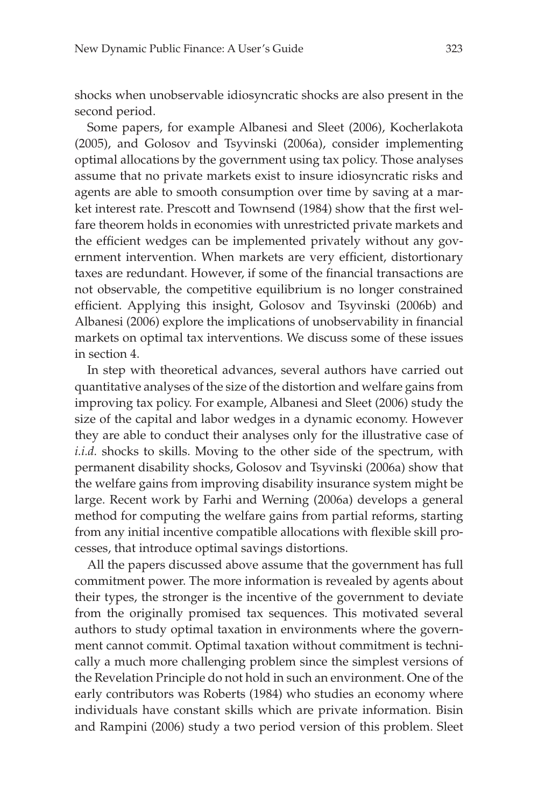shocks when unobservable idiosyncratic shocks are also present in the second period.

Some papers, for example Albanesi and Sleet (2006), Kocherlakota (2005), and Golosov and Tsyvinski (2006a), consider implementing optimal allocations by the government using tax policy. Those analyses assume that no private markets exist to insure idiosyncratic risks and agents are able to smooth consumption over time by saving at a market interest rate. Prescott and Townsend (1984) show that the first welfare theorem holds in economies with unrestricted private markets and the efficient wedges can be implemented privately without any government intervention. When markets are very efficient, distortionary taxes are redundant. However, if some of the financial transactions are not observable, the competitive equilibrium is no longer constrained efficient. Applying this insight, Golosov and Tsyvinski (2006b) and Albanesi (2006) explore the implications of unobservability in financial markets on optimal tax interventions. We discuss some of these issues in section 4.

In step with theoretical advances, several authors have carried out quantitative analyses of the size of the distortion and welfare gains from improving tax policy. For example, Albanesi and Sleet (2006) study the size of the capital and labor wedges in a dynamic economy. However they are able to conduct their analyses only for the illustrative case of *i.i.d.* shocks to skills. Moving to the other side of the spectrum, with permanent disability shocks, Golosov and Tsyvinski (2006a) show that the welfare gains from improving disability insurance system might be large. Recent work by Farhi and Werning (2006a) develops a general method for computing the welfare gains from partial reforms, starting from any initial incentive compatible allocations with flexible skill processes, that introduce optimal savings distortions.

All the papers discussed above assume that the government has full commitment power. The more information is revealed by agents about their types, the stronger is the incentive of the government to deviate from the originally promised tax sequences. This motivated several authors to study optimal taxation in environments where the government cannot commit. Optimal taxation without commitment is technically a much more challenging problem since the simplest versions of the Revelation Principle do not hold in such an environment. One of the early contributors was Roberts (1984) who studies an economy where individuals have constant skills which are private information. Bisin and Rampini (2006) study a two period version of this problem. Sleet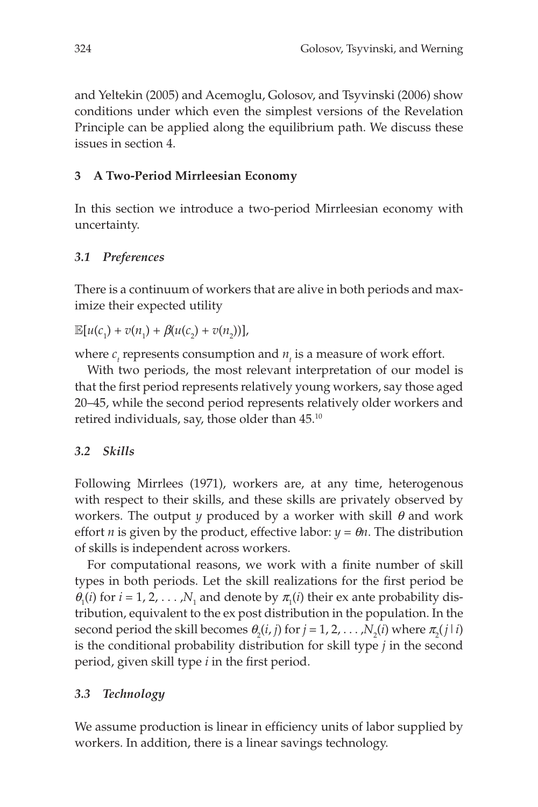and Yeltekin (2005) and Acemoglu, Golosov, and Tsyvinski (2006) show conditions under which even the simplest versions of the Revelation Principle can be applied along the equilibrium path. We discuss these issues in section 4.

## **3 A Two-Period Mirrleesian Economy**

In this section we introduce a two-period Mirrleesian economy with uncertainty.

## *3.1 Preferences*

There is a continuum of workers that are alive in both periods and maximize their expected utility

$$
\mathbb{E}[u(c_1) + v(n_1) + \beta(u(c_2) + v(n_2))],
$$

where  $c_{\mu}$  represents consumption and  $n_{\mu}$  is a measure of work effort.

With two periods, the most relevant interpretation of our model is that the first period represents relatively young workers, say those aged 20–45, while the second period represents relatively older workers and retired individuals, say, those older than 45.10

## *3.2 Skills*

Following Mirrlees (1971), workers are, at any time, heterogenous with respect to their skills, and these skills are privately observed by workers. The output  $y$  produced by a worker with skill  $\theta$  and work effort *n* is given by the product, effective labor:  $y = \theta n$ . The distribution of skills is independent across workers.

For computational reasons, we work with a finite number of skill types in both periods. Let the skill realizations for the first period be  $\theta_1(i)$  for  $i = 1, 2, ..., N_1$  and denote by  $\pi_1(i)$  their ex ante probability distribution, equivalent to the ex post distribution in the population. In the second period the skill becomes  $\theta_2(i, j)$  for  $j = 1, 2, ..., N_2(i)$  where  $\pi_2(j|i)$ is the conditional probability distribution for skill type *j* in the second period, given skill type *i* in the first period.

## *3.3 Technology*

We assume production is linear in efficiency units of labor supplied by workers. In addition, there is a linear savings technology.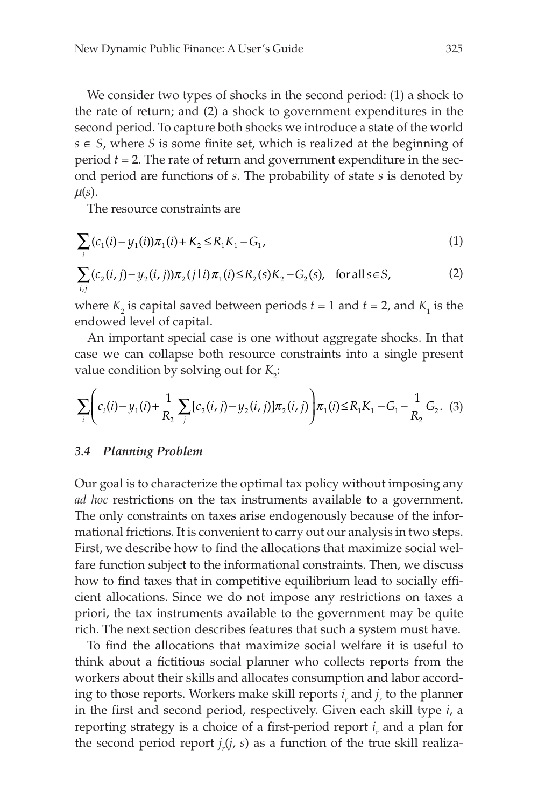We consider two types of shocks in the second period: (1) a shock to the rate of return; and (2) a shock to government expenditures in the second period. To capture both shocks we introduce a state of the world  $s \in S$ , where *S* is some finite set, which is realized at the beginning of period *t* = 2. The rate of return and government expenditure in the second period are functions of *s*. The probability of state *s* is denoted by  $\mu(s)$ .

The resource constraints are

$$
\sum_{i} (c_1(i) - y_1(i))\pi_1(i) + K_2 \le R_1 K_1 - G_1,
$$
\n
$$
\sum_{i,j} (c_2(i,j) - y_2(i,j))\pi_2(j|i)\pi_1(i) \le R_2(s)K_2 - G_2(s), \text{ for all } s \in S,
$$
\n(2)

where  $K_2$  is capital saved between periods  $t = 1$  and  $t = 2$ , and  $K_1$  is the endowed level of capital.

An important special case is one without aggregate shocks. In that case we can collapse both resource constraints into a single present value condition by solving out for  $K_2$ :

$$
\sum_{i} \left( c_i(i) - y_1(i) + \frac{1}{R_2} \sum_{j} [c_2(i, j) - y_2(i, j)] \pi_2(i, j) \right) \pi_1(i) \le R_1 K_1 - G_1 - \frac{1}{R_2} G_2. \tag{3}
$$

#### *3.4 Planning Problem*

Our goal is to characterize the optimal tax policy without imposing any *ad hoc* restrictions on the tax instruments available to a government. The only constraints on taxes arise endogenously because of the informational frictions. It is convenient to carry out our analysis in two steps. First, we describe how to find the allocations that maximize social welfare function subject to the informational constraints. Then, we discuss how to find taxes that in competitive equilibrium lead to socially efficient allocations. Since we do not impose any restrictions on taxes a priori, the tax instruments available to the government may be quite rich. The next section describes features that such a system must have.

To find the allocations that maximize social welfare it is useful to think about a fictitious social planner who collects reports from the workers about their skills and allocates consumption and labor according to those reports. Workers make skill reports  $i<sub>r</sub>$  and  $j<sub>r</sub>$  to the planner in the first and second period, respectively. Given each skill type *i*, a reporting strategy is a choice of a first-period report  $i<sub>r</sub>$  and a plan for the second period report  $j_r(j, s)$  as a function of the true skill realiza-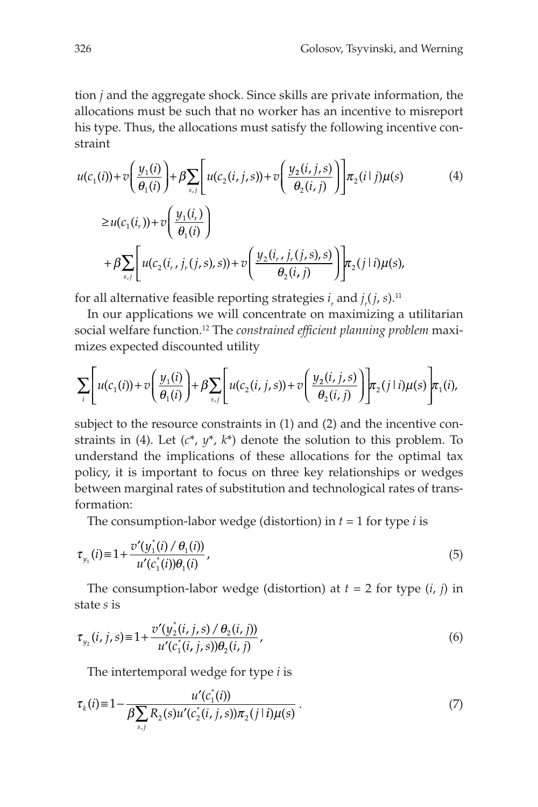tion *j* and the aggregate shock. Since skills are private information, the allocations must be such that no worker has an incentive to misreport his type. Thus, the allocations must satisfy the following incentive constraint

$$
u(c_1(i)) + v\left(\frac{y_1(i)}{\theta_1(i)}\right) + \beta \sum_{s,j} \left[u(c_2(i,j,s)) + v\left(\frac{y_2(i,j,s)}{\theta_2(i,j)}\right)\right] \pi_2(i|j) \mu(s) \tag{4}
$$

$$
\geq u(c_1(i_r)) + v\left(\frac{y_1(i_r)}{\theta_1(i)}\right) + \beta \sum_{s,j} \left[ u(c_2(i_r, j_r(j, s), s)) + v\left(\frac{y_2(i_r, j_r(j, s), s)}{\theta_2(i, j)}\right) \right] \pi_2(j \mid i) \mu(s),
$$

for all alternative feasible reporting strategies  $i_{\tau}$  and  $j_{\tau}(j,s)$ .<sup>11</sup>

In our applications we will concentrate on maximizing a utilitarian social welfare function.<sup>12</sup> The *constrained efficient planning problem* maximizes expected discounted utility

$$
\sum_i \left[ u(c_1(i)) + v\left(\frac{y_1(i)}{\theta_1(i)}\right) + \beta \sum_{s,j} \left[ u(c_2(i,j,s)) + v\left(\frac{y_2(i,j,s)}{\theta_2(i,j)}\right) \right] \pi_2(j \mid i) \mu(s) \right] \pi_1(i),
$$

subject to the resource constraints in (1) and (2) and the incentive constraints in (4). Let (*c*\*, *y*\*, *k*\*) denote the solution to this problem. To understand the implications of these allocations for the optimal tax policy, it is important to focus on three key relationships or wedges between marginal rates of substitution and technological rates of transformation:

The consumption-labor wedge (distortion) in *t* = 1 for type *i* is

$$
\tau_{y_1}(i) = 1 + \frac{v'(y_1^*(i) / \theta_1(i))}{u'(c_1^*(i))\theta_1(i)},
$$
\n(5)

The consumption-labor wedge (distortion) at *t* = 2 for type (*i*, *j*) in state *s* is

$$
\tau_{y_2}(i,j,s) = 1 + \frac{v'(y_2^*(i,j,s)/\theta_2(i,j))}{u'(c_1^*(i,j,s))\theta_2(i,j)},
$$
\n(6)

The intertemporal wedge for type *i* is

$$
\tau_{k}(i) \equiv 1 - \frac{u'(c_1^{*}(i))}{\beta \sum_{s,j} R_2(s) u'(c_2^{*}(i,j,s)) \pi_2(j \mid i) \mu(s)}.
$$
\n(7)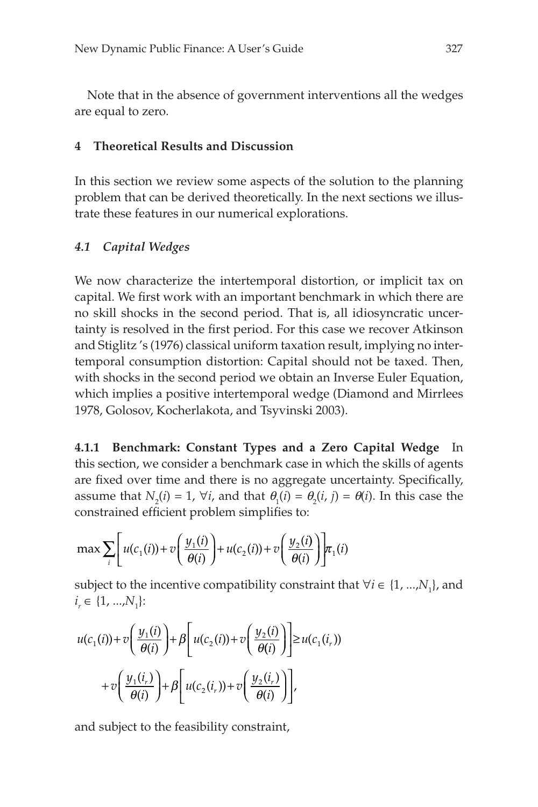Note that in the absence of government interventions all the wedges are equal to zero.

## **4 Theoretical Results and Discussion**

In this section we review some aspects of the solution to the planning problem that can be derived theoretically. In the next sections we illustrate these features in our numerical explorations.

### *4.1 Capital Wedges*

We now characterize the intertemporal distortion, or implicit tax on capital. We first work with an important benchmark in which there are no skill shocks in the second period. That is, all idiosyncratic uncertainty is resolved in the first period. For this case we recover Atkinson and Stiglitz 's (1976) classical uniform taxation result, implying no intertemporal consumption distortion: Capital should not be taxed. Then, with shocks in the second period we obtain an Inverse Euler Equation, which implies a positive intertemporal wedge (Diamond and Mirrlees 1978, Golosov, Kocherlakota, and Tsyvinski 2003).

**4.1.1 Benchmark: Constant Types and a Zero Capital Wedge** In this section, we consider a benchmark case in which the skills of agents are fixed over time and there is no aggregate uncertainty. Specifically, assume that  $N_2(i) = 1$ ,  $\forall i$ , and that  $\theta_1(i) = \theta_2(i, j) = \theta(i)$ . In this case the constrained efficient problem simplifies to:

$$
\max \sum_{i} \left[ u(c_1(i)) + v\left(\frac{y_1(i)}{\theta(i)}\right) + u(c_2(i)) + v\left(\frac{y_2(i)}{\theta(i)}\right) \right] \pi_1(i)
$$

subject to the incentive compatibility constraint that  $\forall i \in \{1, ..., N_1\}$ , and  $i_r \in \{1, ..., N_1\}$ :

$$
u(c_1(i)) + v\left(\frac{y_1(i)}{\theta(i)}\right) + \beta \left[u(c_2(i)) + v\left(\frac{y_2(i)}{\theta(i)}\right)\right] \geq u(c_1(i)) + v\left(\frac{y_1(i)}{\theta(i)}\right) + \beta \left[u(c_2(i)) + v\left(\frac{y_2(i)}{\theta(i)}\right)\right],
$$

and subject to the feasibility constraint,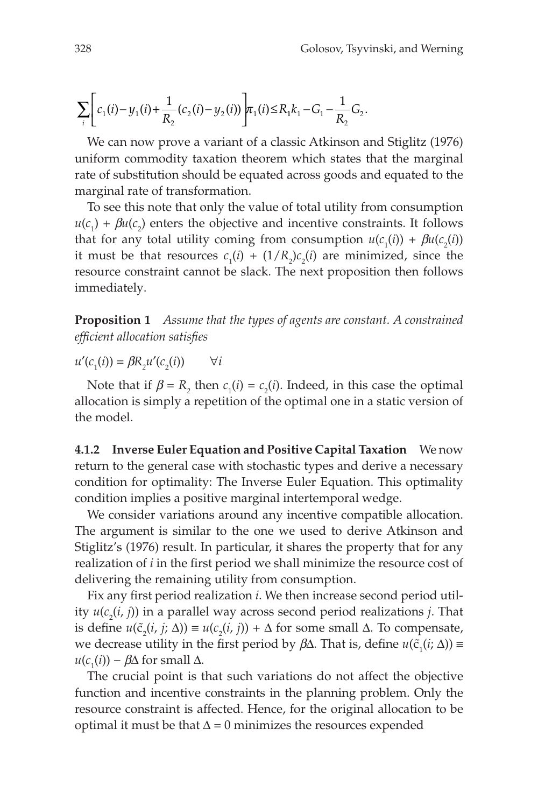$$
\sum_{i} \left[ c_1(i) - y_1(i) + \frac{1}{R_2} (c_2(i) - y_2(i)) \right] \pi_1(i) \le R_1 k_1 - G_1 - \frac{1}{R_2} G_2.
$$

We can now prove a variant of a classic Atkinson and Stiglitz (1976) uniform commodity taxation theorem which states that the marginal rate of substitution should be equated across goods and equated to the marginal rate of transformation.

To see this note that only the value of total utility from consumption  $u(c_1) + \beta u(c_2)$  enters the objective and incentive constraints. It follows that for any total utility coming from consumption  $u(c_1(i)) + \beta u(c_2(i))$ it must be that resources  $c_1(i) + (1/R_2)c_2(i)$  are minimized, since the resource constraint cannot be slack. The next proposition then follows immediately.

**Proposition 1** *Assume that the types of agents are constant. A constrained*   $efficient$ *allocation satisfies* 

$$
u'(c_1(i)) = \beta R_2 u'(c_2(i)) \qquad \forall i
$$

Note that if  $\beta = R_2$  then  $c_1(i) = c_2(i)$ . Indeed, in this case the optimal allocation is simply a repetition of the optimal one in a static version of the model.

**4.1.2 Inverse Euler Equation and Positive Capital Taxation** We now return to the general case with stochastic types and derive a necessary condition for optimality: The Inverse Euler Equation. This optimality condition implies a positive marginal intertemporal wedge.

We consider variations around any incentive compatible allocation. The argument is similar to the one we used to derive Atkinson and Stiglitz's (1976) result. In particular, it shares the property that for any realization of *i* in the first period we shall minimize the resource cost of delivering the remaining utility from consumption.

Fix any first period realization *i*. We then increase second period utility  $u(c_2(i, j))$  in a parallel way across second period realizations *j*. That is define  $u(\tilde{c}_2(i, j; \Delta)) \equiv u(c_2(i, j)) + \Delta$  for some small  $\Delta$ . To compensate, we decrease utility in the first period by  $βΔ$ . That is, define  $u(č<sub>1</sub>(i; Δ))$  =  $u(c_1(i)) - \beta \Delta$  for small  $\Delta$ .

The crucial point is that such variations do not affect the objective function and incentive constraints in the planning problem. Only the resource constraint is affected. Hence, for the original allocation to be optimal it must be that  $\Delta = 0$  minimizes the resources expended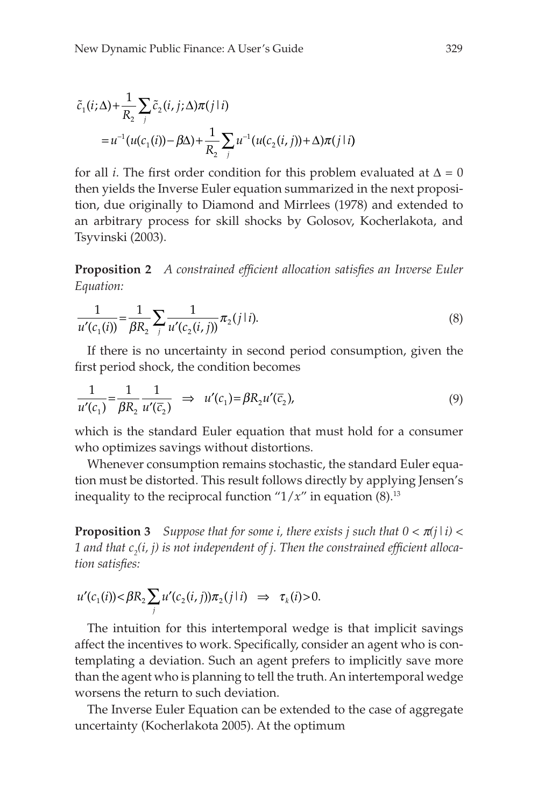$$
\tilde{c}_1(i;\Delta) + \frac{1}{R_2} \sum_j \tilde{c}_2(i,j;\Delta) \pi(j|i)
$$
  
=  $u^{-1}(u(c_1(i)) - \beta \Delta) + \frac{1}{R_2} \sum_j u^{-1}(u(c_2(i,j)) + \Delta) \pi(j|i)$ 

for all *i*. The first order condition for this problem evaluated at  $\Delta = 0$ then yields the Inverse Euler equation summarized in the next proposition, due originally to Diamond and Mirrlees (1978) and extended to an arbitrary process for skill shocks by Golosov, Kocherlakota, and Tsyvinski (2003).

**Proposition 2** A constrained efficient allocation satisfies an Inverse Euler *Equation:*

$$
\frac{1}{u'(c_1(i))} = \frac{1}{\beta R_2} \sum_{j} \frac{1}{u'(c_2(i,j))} \pi_2(j|i).
$$
\n(8)

If there is no uncertainty in second period consumption, given the first period shock, the condition becomes

$$
\frac{1}{u'(c_1)} = \frac{1}{\beta R_2} \frac{1}{u'(\overline{c}_2)} \implies u'(c_1) = \beta R_2 u'(\overline{c}_2),
$$
\n(9)

which is the standard Euler equation that must hold for a consumer who optimizes savings without distortions.

Whenever consumption remains stochastic, the standard Euler equation must be distorted. This result follows directly by applying Jensen's inequality to the reciprocal function " $1/x$ " in equation  $(8)$ .<sup>13</sup>

**Proposition 3** *Suppose that for some i, there exists j such that*  $0 < \pi(j|i)$ 1 and that c<sub>2</sub>(i, j) is not independent of j. Then the constrained efficient alloca*tion satisfies:* 

$$
u'(c_1(i)) < \beta R_2 \sum_j u'(c_2(i,j)) \pi_2(j|i) \implies \tau_k(i) > 0.
$$

The intuition for this intertemporal wedge is that implicit savings affect the incentives to work. Specifically, consider an agent who is contemplating a deviation. Such an agent prefers to implicitly save more than the agent who is planning to tell the truth. An intertemporal wedge worsens the return to such deviation.

The Inverse Euler Equation can be extended to the case of aggregate uncertainty (Kocherlakota 2005). At the optimum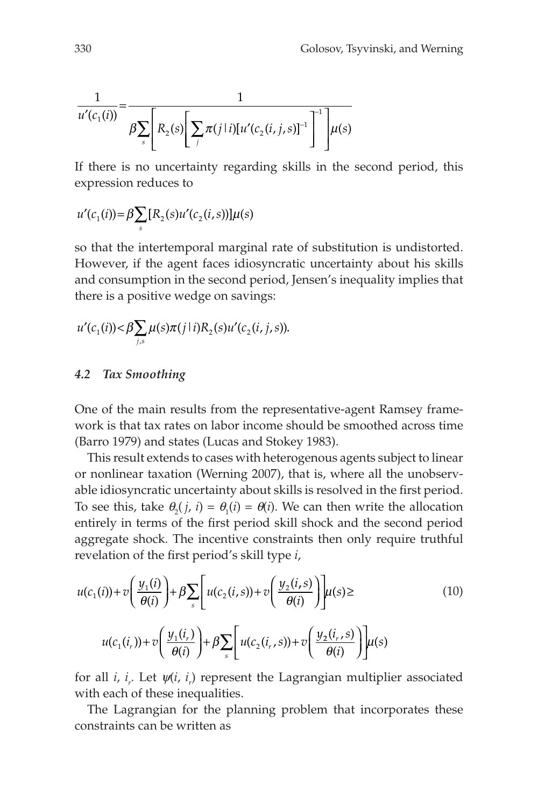$$
\frac{1}{u'(c_1(i))} = \frac{1}{\beta \sum_{s} \left[ R_2(s) \left[ \sum_{j} \pi(j \mid i) [u'(c_2(i,j,s)]^{-1} \right]^{-1} \right] \mu(s)}
$$

If there is no uncertainty regarding skills in the second period, this expression reduces to

$$
u'(c_1(i)) = \beta \sum_{s} [R_2(s)u'(c_2(i,s))] \mu(s)
$$

so that the intertemporal marginal rate of substitution is undistorted. However, if the agent faces idiosyncratic uncertainty about his skills and consumption in the second period, Jensen's inequality implies that there is a positive wedge on savings:

$$
u'(c_1(i)) < \beta \sum_{j,s} \mu(s) \pi(j \mid i) R_2(s) u'(c_2(i,j,s)).
$$

## *4.2 Tax Smoothing*

One of the main results from the representative-agent Ramsey framework is that tax rates on labor income should be smoothed across time (Barro 1979) and states (Lucas and Stokey 1983).

This result extends to cases with heterogenous agents subject to linear or nonlinear taxation (Werning 2007), that is, where all the unobservable idiosyncratic uncertainty about skills is resolved in the first period. To see this, take  $\theta_2(j, i) = \theta_1(i) = \theta(i)$ . We can then write the allocation entirely in terms of the first period skill shock and the second period aggregate shock. The incentive constraints then only require truthful revelation of the first period's skill type *i*,

$$
u(c_1(i)) + v\left(\frac{y_1(i)}{\theta(i)}\right) + \beta \sum_{s} \left[ u(c_2(i,s)) + v\left(\frac{y_2(i,s)}{\theta(i)}\right) \right] u(s) \ge
$$
  

$$
u(c_1(i_r)) + v\left(\frac{y_1(i_r)}{\theta(i)}\right) + \beta \sum_{s} \left[ u(c_2(i_r,s)) + v\left(\frac{y_2(i_r,s)}{\theta(i)}\right) \right] u(s)
$$
 (10)

for all *i*,  $i_r$ . Let  $\psi(i, i_r)$  represent the Lagrangian multiplier associated with each of these inequalities.

The Lagrangian for the planning problem that incorporates these constraints can be written as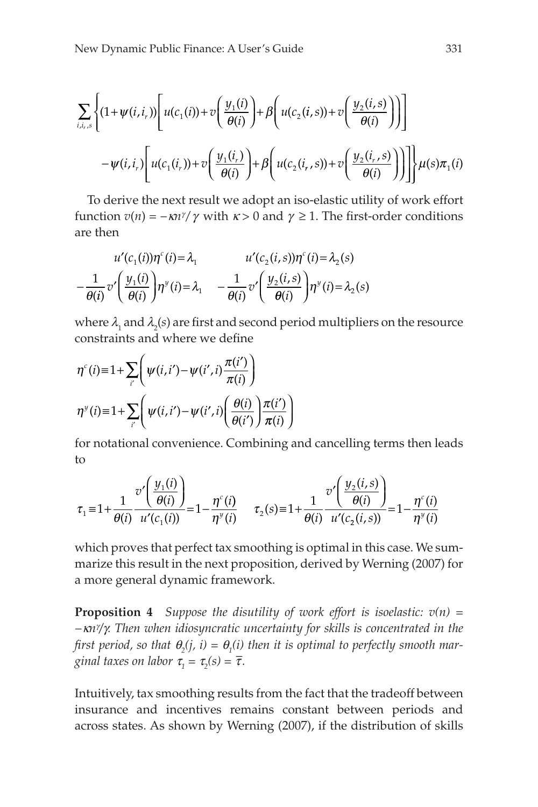$$
\sum_{i,i_r,s} \left\{ (1+\psi(i,i_r)) \left[ u(c_1(i)) + v\left(\frac{y_1(i)}{\theta(i)}\right) + \beta \left( u(c_2(i,s)) + v\left(\frac{y_2(i,s)}{\theta(i)}\right) \right) \right] - \psi(i,i_r) \left[ u(c_1(i_r)) + v\left(\frac{y_1(i_r)}{\theta(i)}\right) + \beta \left( u(c_2(i_r,s)) + v\left(\frac{y_2(i_r,s)}{\theta(i)}\right) \right) \right] \right\} \mu(s) \pi_1(i)
$$

To derive the next result we adopt an iso-elastic utility of work effort function  $v(n) = -\kappa n^{\gamma}/\gamma$  with  $\kappa > 0$  and  $\gamma \ge 1$ . The first-order conditions are then

$$
u'(c_1(i))\eta^c(i) = \lambda_1 \qquad u'(c_2(i, s))\eta^c(i) = \lambda_2(s)
$$

$$
-\frac{1}{\theta(i)}v'\left(\frac{y_1(i)}{\theta(i)}\right)\eta^y(i) = \lambda_1 \qquad -\frac{1}{\theta(i)}v'\left(\frac{y_2(i, s)}{\theta(i)}\right)\eta^y(i) = \lambda_2(s)
$$

where  $\lambda_1$  and  $\lambda_2$ (s) are first and second period multipliers on the resource constraints and where we define

$$
\eta^{c}(i) = 1 + \sum_{i'} \left( \psi(i, i') - \psi(i', i) \frac{\pi(i')}{\pi(i)} \right)
$$

$$
\eta^{y}(i) = 1 + \sum_{i'} \left( \psi(i, i') - \psi(i', i) \left( \frac{\theta(i)}{\theta(i')} \right) \frac{\pi(i')}{\pi(i)} \right)
$$

for notational convenience. Combining and cancelling terms then leads to

$$
\tau_1 = 1 + \frac{1}{\theta(i)} \frac{v' \left( \frac{y_1(i)}{\theta(i)} \right)}{u'(c_1(i))} = 1 - \frac{\eta^c(i)}{\eta^y(i)} \qquad \tau_2(s) = 1 + \frac{1}{\theta(i)} \frac{v' \left( \frac{y_2(i,s)}{\theta(i)} \right)}{u'(c_2(i,s))} = 1 - \frac{\eta^c(i)}{\eta^y(i)}
$$

which proves that perfect tax smoothing is optimal in this case. We summarize this result in the next proposition, derived by Werning (2007) for a more general dynamic framework.

**Proposition 4** *Suppose the disutility of work effort is isoelastic:*  $v(n) =$ *−*κ*n*<sup>γ</sup> */*γ*. Then when idiosyncratic uncertainty for skills is concentrated in the*  first period, so that  $\theta_2(j,i) = \theta_1(i)$  then it is optimal to perfectly smooth mar*ginal taxes on labor*  $\tau_1 = \tau_2(s) = \overline{\tau}$ .

Intuitively, tax smoothing results from the fact that the tradeoff between insurance and incentives remains constant between periods and across states. As shown by Werning (2007), if the distribution of skills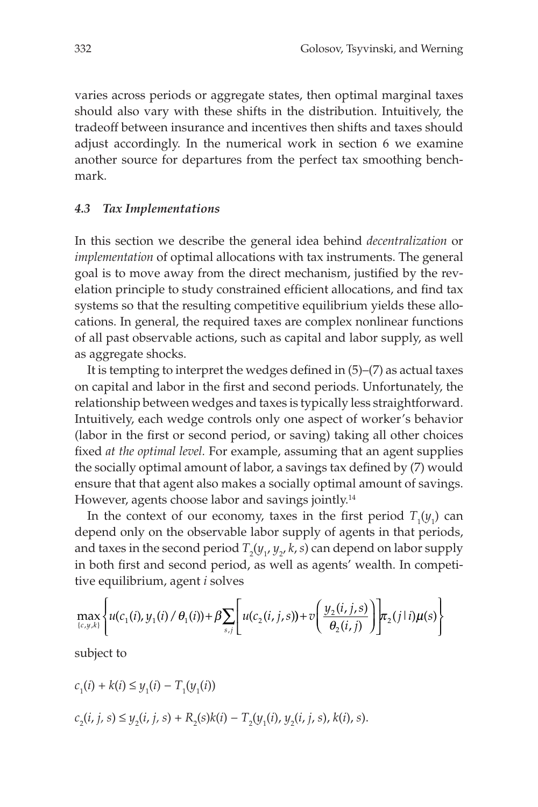varies across periods or aggregate states, then optimal marginal taxes should also vary with these shifts in the distribution. Intuitively, the tradeoff between insurance and incentives then shifts and taxes should adjust accordingly. In the numerical work in section 6 we examine another source for departures from the perfect tax smoothing benchmark.

## *4.3 Tax Implementations*

In this section we describe the general idea behind *decentralization* or *implementation* of optimal allocations with tax instruments. The general goal is to move away from the direct mechanism, justified by the revelation principle to study constrained efficient allocations, and find tax systems so that the resulting competitive equilibrium yields these allocations. In general, the required taxes are complex nonlinear functions of all past observable actions, such as capital and labor supply, as well as aggregate shocks.

It is tempting to interpret the wedges defined in  $(5)$ – $(7)$  as actual taxes on capital and labor in the first and second periods. Unfortunately, the relationship between wedges and taxes is typically less straightforward. Intuitively, each wedge controls only one aspect of worker's behavior (labor in the first or second period, or saving) taking all other choices fixed *at the optimal level*. For example, assuming that an agent supplies the socially optimal amount of labor, a savings tax defined by (7) would ensure that that agent also makes a socially optimal amount of savings. However, agents choose labor and savings jointly.14

In the context of our economy, taxes in the first period  $T_1(y_1)$  can depend only on the observable labor supply of agents in that periods, and taxes in the second period  $T_2(y_1, y_2, k, s)$  can depend on labor supply in both first and second period, as well as agents' wealth. In competitive equilibrium, agent *i* solves

$$
\max_{\{c,y,k\}} \left\{ u(c_1(i), y_1(i) / \theta_1(i)) + \beta \sum_{s,j} \left[ u(c_2(i,j,s)) + v\left(\frac{y_2(i,j,s)}{\theta_2(i,j)}\right) \right] \pi_2(j|i) \mu(s) \right\}
$$

subject to

$$
c_1(i) + k(i) \le y_1(i) - T_1(y_1(i))
$$
  
\n
$$
c_2(i, j, s) \le y_2(i, j, s) + R_2(s)k(i) - T_2(y_1(i), y_2(i, j, s), k(i), s).
$$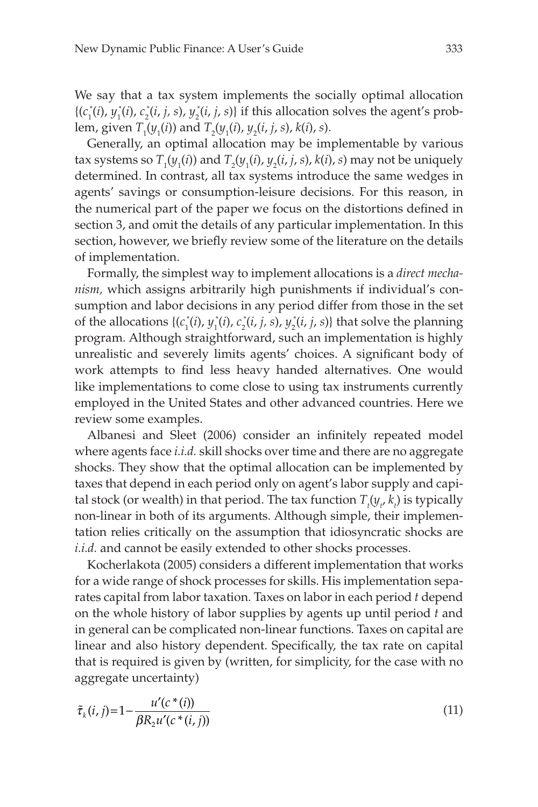We say that a tax system implements the socially optimal allocation  $\{(c_1^*(i), y_1^*(i), c_2^*(i, j, s), y_2^*(i, j, s)\}\)$  if this allocation solves the agent's problem, given  $T_1(y_1(i))$  and  $T_2(y_1(i)$ ,  $y_2(i, j, s)$ ,  $k(i)$ ,  $s$ ).

Generally, an optimal allocation may be implementable by various tax systems so  $T_1(y_1(i))$  and  $T_2(y_1(i), y_2(i, j, s)$ ,  $k(i)$ ,  $s$ ) may not be uniquely determined. In contrast, all tax systems introduce the same wedges in agents' savings or consumption-leisure decisions. For this reason, in the numerical part of the paper we focus on the distortions defined in section 3, and omit the details of any particular implementation. In this section, however, we briefly review some of the literature on the details of implementation.

Formally, the simplest way to implement allocations is a *direct mechanism,* which assigns arbitrarily high punishments if individual's consumption and labor decisions in any period differ from those in the set of the allocations  $\{(c_1^*(i), y_1^*(i), c_2^*(i, j, s), y_2^*(i, j, s)\}\)$  that solve the planning program. Although straightforward, such an implementation is highly unrealistic and severely limits agents' choices. A significant body of work attempts to find less heavy handed alternatives. One would like implementations to come close to using tax instruments currently employed in the United States and other advanced countries. Here we review some examples.

Albanesi and Sleet (2006) consider an infinitely repeated model where agents face *i.i.d.* skill shocks over time and there are no aggregate shocks. They show that the optimal allocation can be implemented by taxes that depend in each period only on agent's labor supply and capital stock (or wealth) in that period. The tax function  $T_t(y_t, k_t)$  is typically non-linear in both of its arguments. Although simple, their implementation relies critically on the assumption that idiosyncratic shocks are *i.i.d.* and cannot be easily extended to other shocks processes.

Kocherlakota (2005) considers a different implementation that works for a wide range of shock processes for skills. His implementation separates capital from labor taxation. Taxes on labor in each period *t* depend on the whole history of labor supplies by agents up until period *t* and in general can be complicated non-linear functions. Taxes on capital are linear and also history dependent. Specifically, the tax rate on capital that is required is given by (written, for simplicity, for the case with no aggregate uncertainty)

$$
\tilde{\tau}_k(i,j) = 1 - \frac{u'(c^*(i))}{\beta R_2 u'(c^*(i,j))}
$$
\n(11)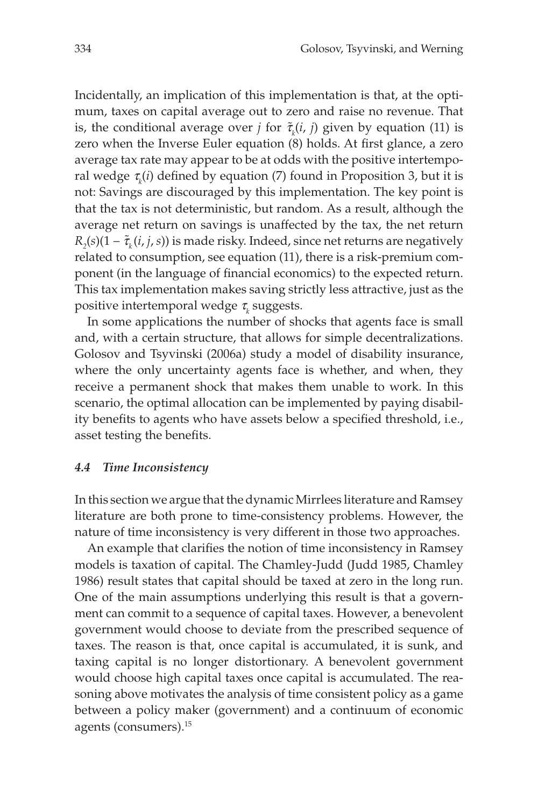Incidentally, an implication of this implementation is that, at the optimum, taxes on capital average out to zero and raise no revenue. That is, the conditional average over *j* for  $\tilde{\tau}_k(i, j)$  given by equation (11) is zero when the Inverse Euler equation (8) holds. At first glance, a zero average tax rate may appear to be at odds with the positive intertemporal wedge  $\tau_{k}(i)$  defined by equation (7) found in Proposition 3, but it is not: Savings are discouraged by this implementation. The key point is that the tax is not deterministic, but random. As a result, although the average net return on savings is unaffected by the tax, the net return  $R_2(s)$ (1 −  $\tilde{\tau}_k(i, j, s)$ ) is made risky. Indeed, since net returns are negatively related to consumption, see equation (11), there is a risk-premium component (in the language of financial economics) to the expected return. This tax implementation makes saving strictly less attractive, just as the positive intertemporal wedge  $\tau_{\scriptscriptstyle{k}}$  suggests.

In some applications the number of shocks that agents face is small and, with a certain structure, that allows for simple decentralizations. Golosov and Tsyvinski (2006a) study a model of disability insurance, where the only uncertainty agents face is whether, and when, they receive a permanent shock that makes them unable to work. In this scenario, the optimal allocation can be implemented by paying disability benefits to agents who have assets below a specified threshold, i.e., asset testing the benefits.

### *4.4 Time Inconsistency*

In this section we argue that the dynamic Mirrlees literature and Ramsey literature are both prone to time-consistency problems. However, the nature of time inconsistency is very different in those two approaches.

An example that clarifies the notion of time inconsistency in Ramsey models is taxation of capital. The Chamley-Judd (Judd 1985, Chamley 1986) result states that capital should be taxed at zero in the long run. One of the main assumptions underlying this result is that a government can commit to a sequence of capital taxes. However, a benevolent government would choose to deviate from the prescribed sequence of taxes. The reason is that, once capital is accumulated, it is sunk, and taxing capital is no longer distortionary. A benevolent government would choose high capital taxes once capital is accumulated. The reasoning above motivates the analysis of time consistent policy as a game between a policy maker (government) and a continuum of economic agents (consumers).15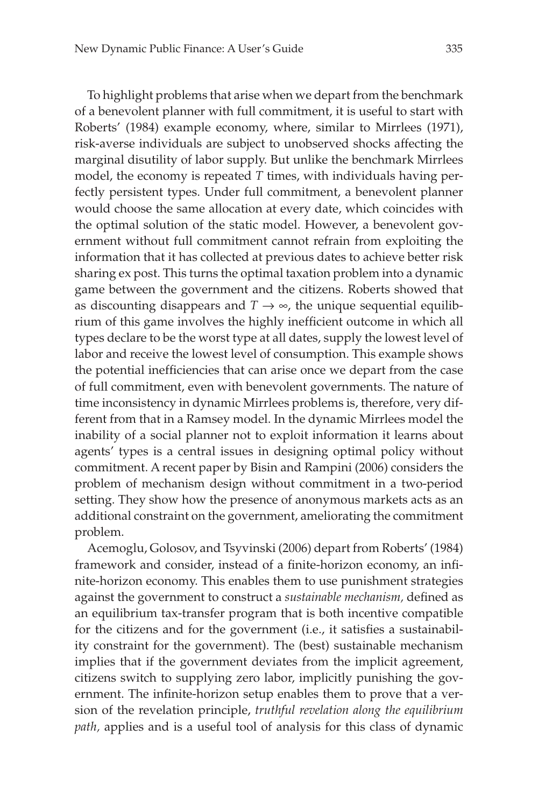To highlight problems that arise when we depart from the benchmark of a benevolent planner with full commitment, it is useful to start with Roberts' (1984) example economy, where, similar to Mirrlees (1971), risk-averse individuals are subject to unobserved shocks affecting the marginal disutility of labor supply. But unlike the benchmark Mirrlees model, the economy is repeated *T* times, with individuals having perfectly persistent types. Under full commitment, a benevolent planner would choose the same allocation at every date, which coincides with the optimal solution of the static model. However, a benevolent government without full commitment cannot refrain from exploiting the information that it has collected at previous dates to achieve better risk sharing ex post. This turns the optimal taxation problem into a dynamic game between the government and the citizens. Roberts showed that as discounting disappears and  $T \rightarrow \infty$ , the unique sequential equilibrium of this game involves the highly inefficient outcome in which all types declare to be the worst type at all dates, supply the lowest level of labor and receive the lowest level of consumption. This example shows the potential inefficiencies that can arise once we depart from the case of full commitment, even with benevolent governments. The nature of time inconsistency in dynamic Mirrlees problems is, therefore, very different from that in a Ramsey model. In the dynamic Mirrlees model the inability of a social planner not to exploit information it learns about agents' types is a central issues in designing optimal policy without commitment. A recent paper by Bisin and Rampini (2006) considers the problem of mechanism design without commitment in a two-period setting. They show how the presence of anonymous markets acts as an additional constraint on the government, ameliorating the commitment problem.

Acemoglu, Golosov, and Tsyvinski (2006) depart from Roberts' (1984) framework and consider, instead of a finite-horizon economy, an infinite-horizon economy. This enables them to use punishment strategies against the government to construct a *sustainable mechanism*, defined as an equilibrium tax-transfer program that is both incentive compatible for the citizens and for the government (i.e., it satisfies a sustainability constraint for the government). The (best) sustainable mechanism implies that if the government deviates from the implicit agreement, citizens switch to supplying zero labor, implicitly punishing the government. The infinite-horizon setup enables them to prove that a version of the revelation principle, *truthful revelation along the equilibrium path,* applies and is a useful tool of analysis for this class of dynamic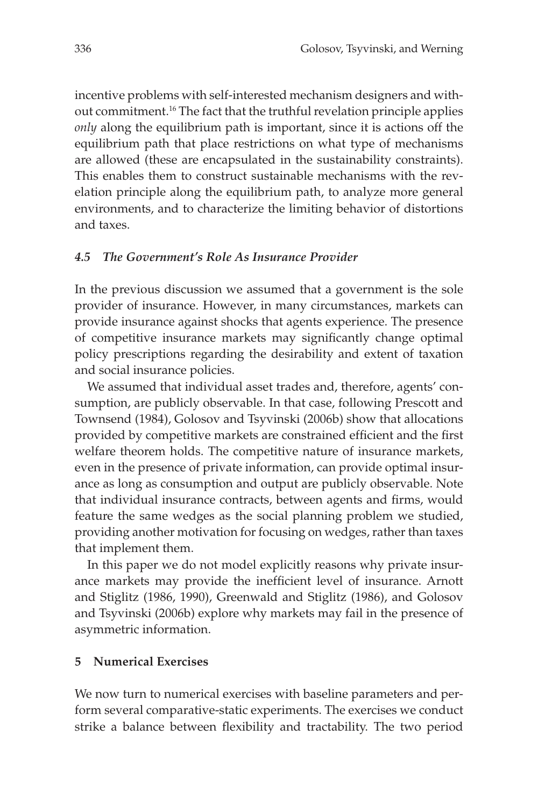incentive problems with self-interested mechanism designers and without commitment.16 The fact that the truthful revelation principle applies *only* along the equilibrium path is important, since it is actions off the equilibrium path that place restrictions on what type of mechanisms are allowed (these are encapsulated in the sustainability constraints). This enables them to construct sustainable mechanisms with the revelation principle along the equilibrium path, to analyze more general environments, and to characterize the limiting behavior of distortions and taxes.

## *4.5 The Government's Role As Insurance Provider*

In the previous discussion we assumed that a government is the sole provider of insurance. However, in many circumstances, markets can provide insurance against shocks that agents experience. The presence of competitive insurance markets may significantly change optimal policy prescriptions regarding the desirability and extent of taxation and social insurance policies.

We assumed that individual asset trades and, therefore, agents' consumption, are publicly observable. In that case, following Prescott and Townsend (1984), Golosov and Tsyvinski (2006b) show that allocations provided by competitive markets are constrained efficient and the first welfare theorem holds. The competitive nature of insurance markets, even in the presence of private information, can provide optimal insurance as long as consumption and output are publicly observable. Note that individual insurance contracts, between agents and firms, would feature the same wedges as the social planning problem we studied, providing another motivation for focusing on wedges, rather than taxes that implement them.

In this paper we do not model explicitly reasons why private insurance markets may provide the inefficient level of insurance. Arnott and Stiglitz (1986, 1990), Greenwald and Stiglitz (1986), and Golosov and Tsyvinski (2006b) explore why markets may fail in the presence of asymmetric information.

## **5 Numerical Exercises**

We now turn to numerical exercises with baseline parameters and perform several comparative-static experiments. The exercises we conduct strike a balance between flexibility and tractability. The two period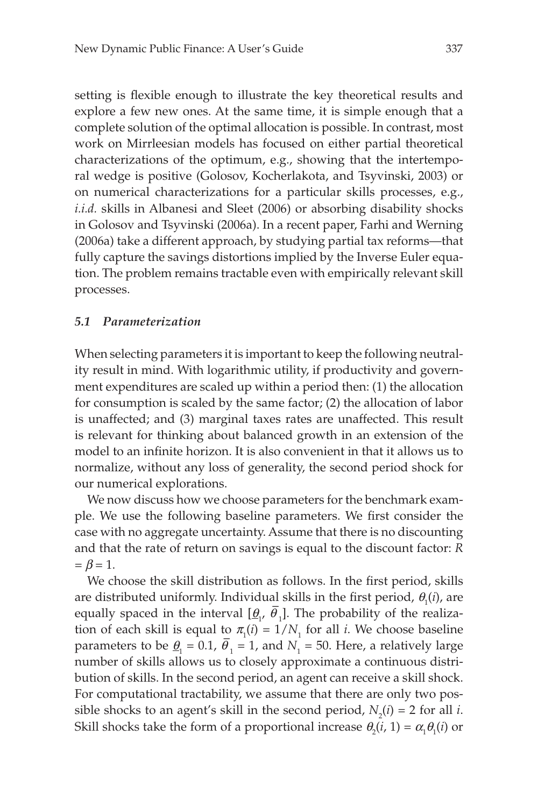setting is flexible enough to illustrate the key theoretical results and explore a few new ones. At the same time, it is simple enough that a complete solution of the optimal allocation is possible. In contrast, most work on Mirrleesian models has focused on either partial theoretical characterizations of the optimum, e.g., showing that the intertemporal wedge is positive (Golosov, Kocherlakota, and Tsyvinski, 2003) or on numerical characterizations for a particular skills processes, e.g., *i.i.d.* skills in Albanesi and Sleet (2006) or absorbing disability shocks in Golosov and Tsyvinski (2006a). In a recent paper, Farhi and Werning (2006a) take a different approach, by studying partial tax reforms—that fully capture the savings distortions implied by the Inverse Euler equation. The problem remains tractable even with empirically relevant skill processes.

#### *5.1 Parameterization*

When selecting parameters it is important to keep the following neutrality result in mind. With logarithmic utility, if productivity and government expenditures are scaled up within a period then: (1) the allocation for consumption is scaled by the same factor; (2) the allocation of labor is unaffected; and (3) marginal taxes rates are unaffected. This result is relevant for thinking about balanced growth in an extension of the model to an infinite horizon. It is also convenient in that it allows us to normalize, without any loss of generality, the second period shock for our numerical explorations.

We now discuss how we choose parameters for the benchmark example. We use the following baseline parameters. We first consider the case with no aggregate uncertainty. Assume that there is no discounting and that the rate of return on savings is equal to the discount factor: *R*  $= \beta = 1$ .

We choose the skill distribution as follows. In the first period, skills are distributed uniformly. Individual skills in the first period,  $\theta_1(i)$ , are equally spaced in the interval  $[\underline{\theta}_1, \overline{\theta}_1]$ . The probability of the realization of each skill is equal to  $\pi_1(i) = 1/N_1$  for all *i*. We choose baseline parameters to be  $\underline{\theta}_1 = 0.1$ ,  $\overline{\theta}$  $N_1$  = 1, and  $N_1$  = 50. Here, a relatively large number of skills allows us to closely approximate a continuous distribution of skills. In the second period, an agent can receive a skill shock. For computational tractability, we assume that there are only two possible shocks to an agent's skill in the second period,  $N_2(i) = 2$  for all *i*. Skill shocks take the form of a proportional increase  $\theta_2(i, 1) = \alpha_1 \theta_1(i)$  or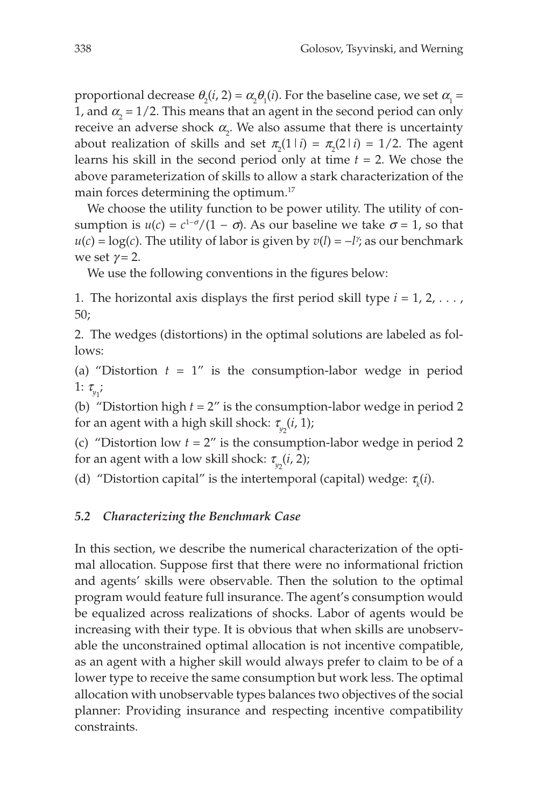proportional decrease  $\theta_2(i, 2) = \alpha_2 \theta_1(i)$ . For the baseline case, we set  $\alpha_1 =$ 1, and  $\alpha_{2}$  = 1/2. This means that an agent in the second period can only receive an adverse shock  $\alpha_{2}$ . We also assume that there is uncertainty about realization of skills and set  $\pi_2(1|i) = \pi_2(2|i) = 1/2$ . The agent learns his skill in the second period only at time *t* = 2. We chose the above parameterization of skills to allow a stark characterization of the main forces determining the optimum.17

We choose the utility function to be power utility. The utility of consumption is  $u(c) = \frac{c^{1-\sigma}}{(1-\sigma)}$ . As our baseline we take  $\sigma = 1$ , so that  $u(c) = \log(c)$ . The utility of labor is given by  $v(l) = -l^{\gamma}$ ; as our benchmark we set  $\gamma$  = 2.

We use the following conventions in the figures below:

1. The horizontal axis displays the first period skill type  $i = 1, 2, \ldots$ , 50;

2. The wedges (distortions) in the optimal solutions are labeled as follows:

(a) "Distortion  $t = 1$ " is the consumption-labor wedge in period 1:  $\tau_{y_1}$ ;

(b) "Distortion high *t* = 2" is the consumption-labor wedge in period 2 for an agent with a high skill shock:  $\tau_{_{\!y_2}}\!(i,1);$ 

(c) "Distortion low *t* = 2" is the consumption-labor wedge in period 2 for an agent with a low skill shock:  $\tau_{_{\!y_2}}\!(i,2);$ 

(d) "Distortion capital" is the intertemporal (capital) wedge:  $\tau_k(i)$ .

## *5.2 Characterizing the Benchmark Case*

In this section, we describe the numerical characterization of the optimal allocation. Suppose first that there were no informational friction and agents' skills were observable. Then the solution to the optimal program would feature full insurance. The agent's consumption would be equalized across realizations of shocks. Labor of agents would be increasing with their type. It is obvious that when skills are unobservable the unconstrained optimal allocation is not incentive compatible, as an agent with a higher skill would always prefer to claim to be of a lower type to receive the same consumption but work less. The optimal allocation with unobservable types balances two objectives of the social planner: Providing insurance and respecting incentive compatibility constraints.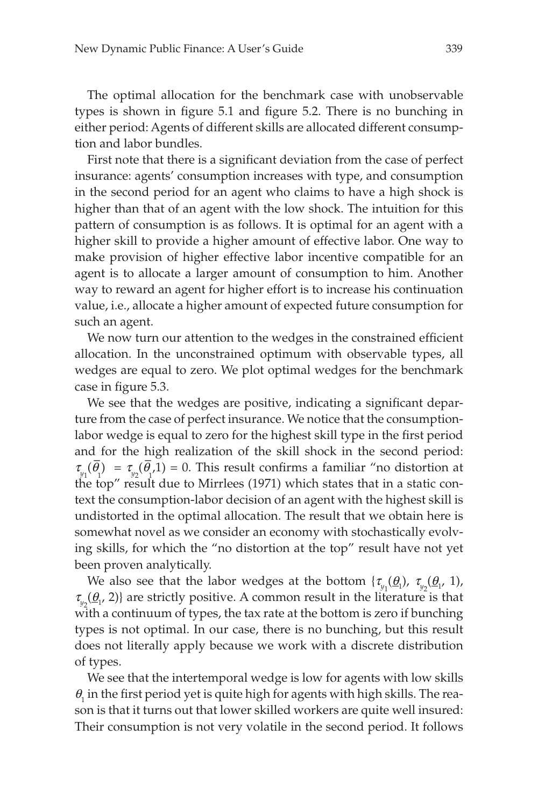The optimal allocation for the benchmark case with unobservable types is shown in figure 5.1 and figure 5.2. There is no bunching in either period: Agents of different skills are allocated different consumption and labor bundles.

First note that there is a significant deviation from the case of perfect insurance: agents' consumption increases with type, and consumption in the second period for an agent who claims to have a high shock is higher than that of an agent with the low shock. The intuition for this pattern of consumption is as follows. It is optimal for an agent with a higher skill to provide a higher amount of effective labor. One way to make provision of higher effective labor incentive compatible for an agent is to allocate a larger amount of consumption to him. Another way to reward an agent for higher effort is to increase his continuation value, i.e., allocate a higher amount of expected future consumption for such an agent.

We now turn our attention to the wedges in the constrained efficient allocation. In the unconstrained optimum with observable types, all wedges are equal to zero. We plot optimal wedges for the benchmark case in figure 5.3.

We see that the wedges are positive, indicating a significant departure from the case of perfect insurance. We notice that the consumptionlabor wedge is equal to zero for the highest skill type in the first period and for the high realization of the skill shock in the second period:  $\tau_{y_1}(\bar{\theta}_1) = \tau_{y_2}(\bar{\theta}_1,1) = 0$ . This result confirms a familiar "no distortion at the top" result due to Mirrlees (1971) which states that in a static context the consumption-labor decision of an agent with the highest skill is undistorted in the optimal allocation. The result that we obtain here is somewhat novel as we consider an economy with stochastically evolving skills, for which the "no distortion at the top" result have not yet been proven analytically.

We also see that the labor wedges at the bottom  $\{\tau_{y_1}(\underline{\theta}_1), \ \tau_{y_2}(\underline{\theta}_{1'}, 1),\ \ldots\}$  $\tau_{y_2}(\underline{\theta}_1, 2)$  are strictly positive. A common result in the literature is that with a continuum of types, the tax rate at the bottom is zero if bunching types is not optimal. In our case, there is no bunching, but this result does not literally apply because we work with a discrete distribution of types.

We see that the intertemporal wedge is low for agents with low skills  $\theta_1$  in the first period yet is quite high for agents with high skills. The reason is that it turns out that lower skilled workers are quite well insured: Their consumption is not very volatile in the second period. It follows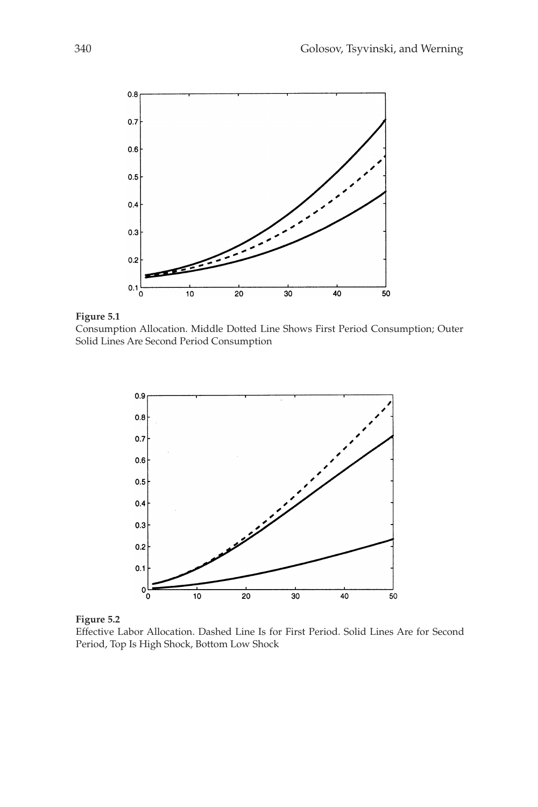

**Figure 5.1**

Consumption Allocation. Middle Dotted Line Shows First Period Consumption; Outer Solid Lines Are Second Period Consumption



**Figure 5.2**

Effective Labor Allocation. Dashed Line Is for First Period. Solid Lines Are for Second Period, Top Is High Shock, Bottom Low Shock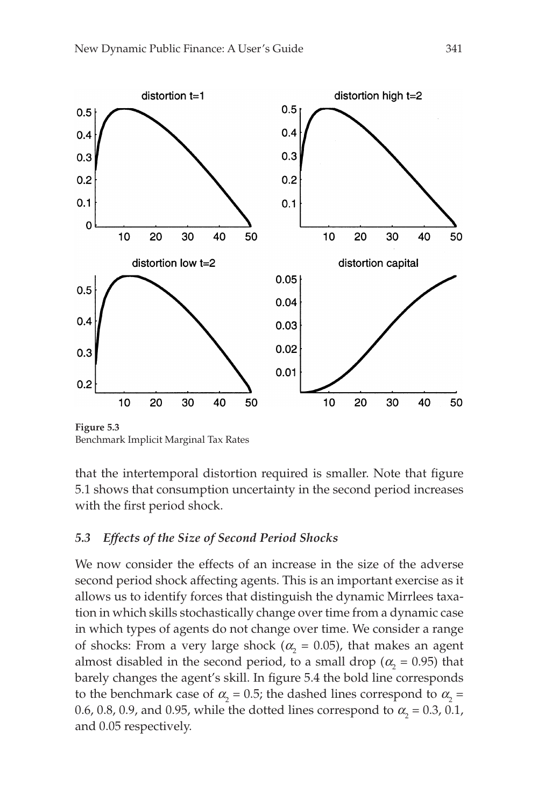

**Figure 5.3** Benchmark Implicit Marginal Tax Rates

that the intertemporal distortion required is smaller. Note that figure 5.1 shows that consumption uncertainty in the second period increases with the first period shock.

## *5.3 Effects of the Size of Second Period Shocks*

We now consider the effects of an increase in the size of the adverse second period shock affecting agents. This is an important exercise as it allows us to identify forces that distinguish the dynamic Mirrlees taxation in which skills stochastically change over time from a dynamic case in which types of agents do not change over time. We consider a range of shocks: From a very large shock ( $\alpha$ <sub>2</sub> = 0.05), that makes an agent almost disabled in the second period, to a small drop ( $\alpha$ <sub>2</sub> = 0.95) that barely changes the agent's skill. In figure 5.4 the bold line corresponds to the benchmark case of  $\alpha_{2} = 0.5$ ; the dashed lines correspond to  $\alpha_{2} =$ 0.6, 0.8, 0.9, and 0.95, while the dotted lines correspond to  $\alpha_{2} = 0.3, 0.1$ , and 0.05 respectively.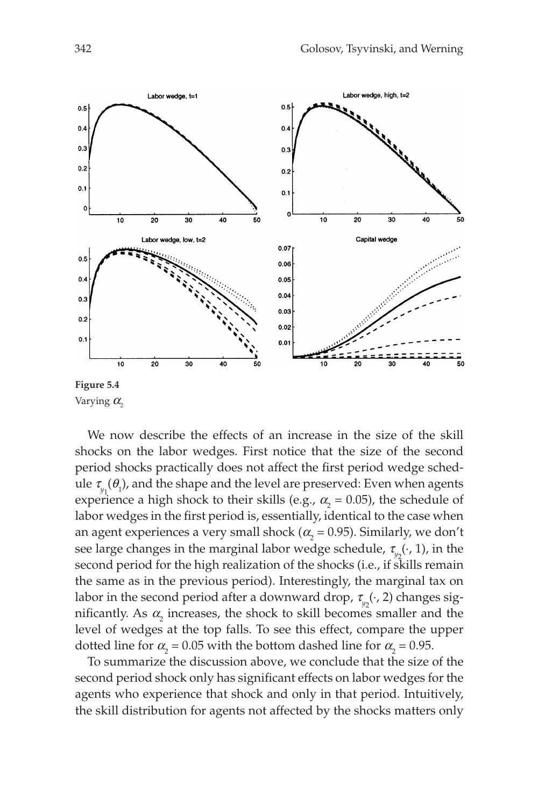

We now describe the effects of an increase in the size of the skill shocks on the labor wedges. First notice that the size of the second period shocks practically does not affect the first period wedge schedule  $\tau_{y_1}(\theta_1)$ , and the shape and the level are preserved: Even when agents experience a high shock to their skills (e.g.,  $\alpha_{2} = 0.05$ ), the schedule of labor wedges in the first period is, essentially, identical to the case when an agent experiences a very small shock ( $\alpha_{2}$  = 0.95). Similarly, we don't see large changes in the marginal labor wedge schedule,  $\tau_{y_2}(\cdot, 1)$ , in the second period for the high realization of the shocks (i.e., if skills remain the same as in the previous period). Interestingly, the marginal tax on labor in the second period after a downward drop, τ<sub>*y*2</sub>(·, 2) changes significantly. As  $\alpha_{2}$  increases, the shock to skill becomes smaller and the level of wedges at the top falls. To see this effect, compare the upper dotted line for  $\alpha_{2} = 0.05$  with the bottom dashed line for  $\alpha_{2} = 0.95$ .

To summarize the discussion above, we conclude that the size of the second period shock only has significant effects on labor wedges for the agents who experience that shock and only in that period. Intuitively, the skill distribution for agents not affected by the shocks matters only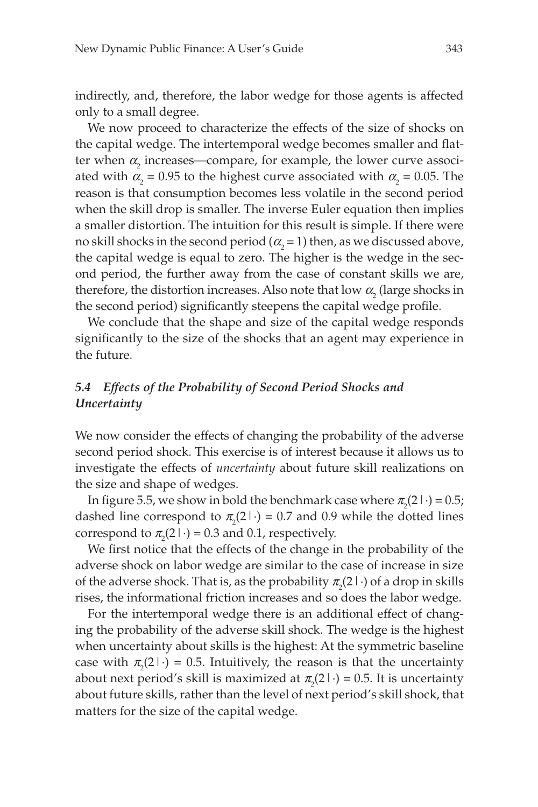indirectly, and, therefore, the labor wedge for those agents is affected only to a small degree.

We now proceed to characterize the effects of the size of shocks on the capital wedge. The intertemporal wedge becomes smaller and flatter when  $\alpha_{\text{2}}$  increases—compare, for example, the lower curve associated with  $\alpha_{2}$  = 0.95 to the highest curve associated with  $\alpha_{2}$  = 0.05. The reason is that consumption becomes less volatile in the second period when the skill drop is smaller. The inverse Euler equation then implies a smaller distortion. The intuition for this result is simple. If there were no skill shocks in the second period ( $\alpha_{2}$  = 1) then, as we discussed above, the capital wedge is equal to zero. The higher is the wedge in the second period, the further away from the case of constant skills we are, therefore, the distortion increases. Also note that low  $\alpha_{\text{\tiny{2}}}$  (large shocks in the second period) significantly steepens the capital wedge profile.

We conclude that the shape and size of the capital wedge responds significantly to the size of the shocks that an agent may experience in the future.

## *5.4 Effects of the Probability of Second Period Shocks and Uncertainty*

We now consider the effects of changing the probability of the adverse second period shock. This exercise is of interest because it allows us to investigate the effects of *uncertainty* about future skill realizations on the size and shape of wedges.

In figure 5.5, we show in bold the benchmark case where  $\pi_2(2\mid\cdot)=0.5;$ dashed line correspond to  $\pi_2(2|\cdot) = 0.7$  and 0.9 while the dotted lines correspond to  $\pi_2(2|\cdot) = 0.3$  and 0.1, respectively.

We first notice that the effects of the change in the probability of the adverse shock on labor wedge are similar to the case of increase in size of the adverse shock. That is, as the probability  $\pi_2(2\,|\,\cdot)$  of a drop in skills rises, the informational friction increases and so does the labor wedge.

For the intertemporal wedge there is an additional effect of changing the probability of the adverse skill shock. The wedge is the highest when uncertainty about skills is the highest: At the symmetric baseline case with  $\pi_2(2|\cdot) = 0.5$ . Intuitively, the reason is that the uncertainty about next period's skill is maximized at  $\pi_2(2|\cdot) = 0.5$ . It is uncertainty about future skills, rather than the level of next period's skill shock, that matters for the size of the capital wedge.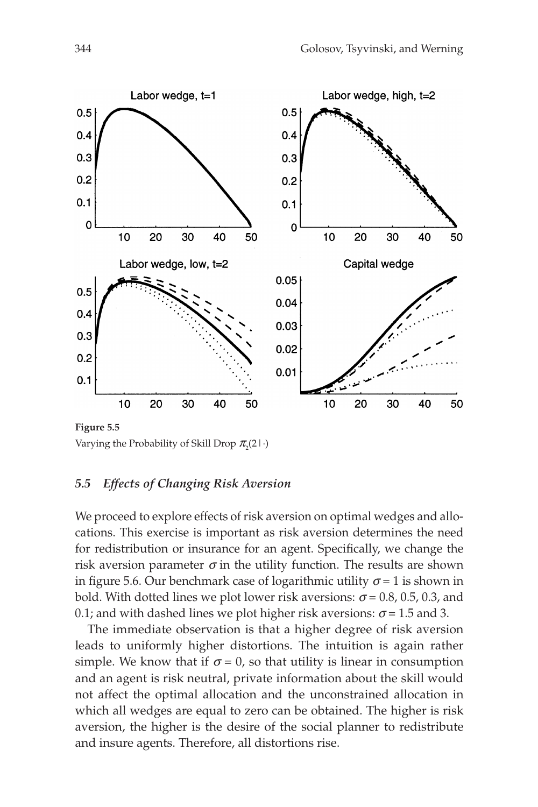

Varying the Probability of Skill Drop  $\pi_{\scriptscriptstyle 2}(2\,|\,\cdot)$ 

### *5.5 Effects of Changing Risk Aversion*

We proceed to explore effects of risk aversion on optimal wedges and allocations. This exercise is important as risk aversion determines the need for redistribution or insurance for an agent. Specifically, we change the risk aversion parameter  $\sigma$  in the utility function. The results are shown in figure 5.6. Our benchmark case of logarithmic utility  $\sigma = 1$  is shown in bold. With dotted lines we plot lower risk aversions:  $\sigma$  = 0.8, 0.5, 0.3, and 0.1; and with dashed lines we plot higher risk aversions:  $\sigma$  = 1.5 and 3.

The immediate observation is that a higher degree of risk aversion leads to uniformly higher distortions. The intuition is again rather simple. We know that if  $\sigma = 0$ , so that utility is linear in consumption and an agent is risk neutral, private information about the skill would not affect the optimal allocation and the unconstrained allocation in which all wedges are equal to zero can be obtained. The higher is risk aversion, the higher is the desire of the social planner to redistribute and insure agents. Therefore, all distortions rise.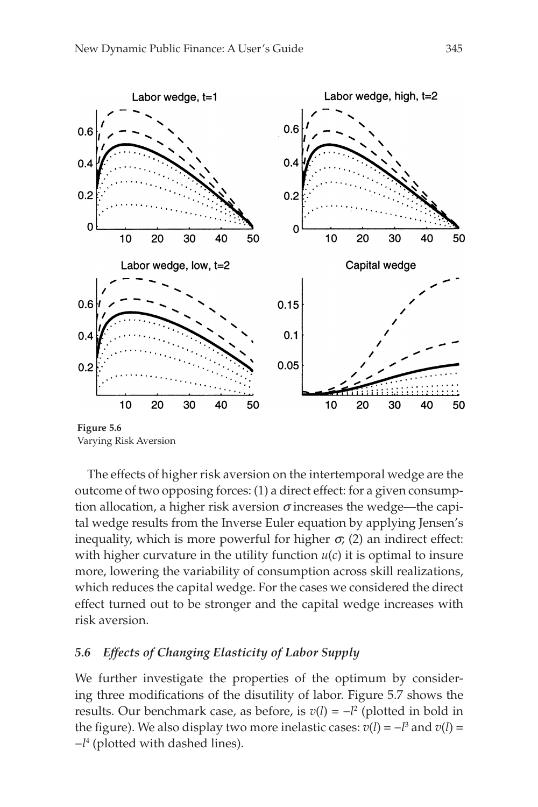

The effects of higher risk aversion on the intertemporal wedge are the outcome of two opposing forces: (1) a direct effect: for a given consumption allocation, a higher risk aversion  $\sigma$  increases the wedge—the capital wedge results from the Inverse Euler equation by applying Jensen's inequality, which is more powerful for higher  $\sigma$ , (2) an indirect effect: with higher curvature in the utility function  $u(c)$  it is optimal to insure more, lowering the variability of consumption across skill realizations, which reduces the capital wedge. For the cases we considered the direct effect turned out to be stronger and the capital wedge increases with risk aversion.

### *5.6 Effects of Changing Elasticity of Labor Supply*

We further investigate the properties of the optimum by considering three modifications of the disutility of labor. Figure 5.7 shows the results. Our benchmark case, as before, is *v*(*l*) = −*l* 2 (plotted in bold in the figure). We also display two more inelastic cases:  $v(l) = -l^3$  and  $v(l) =$ −*l* 4 (plotted with dashed lines).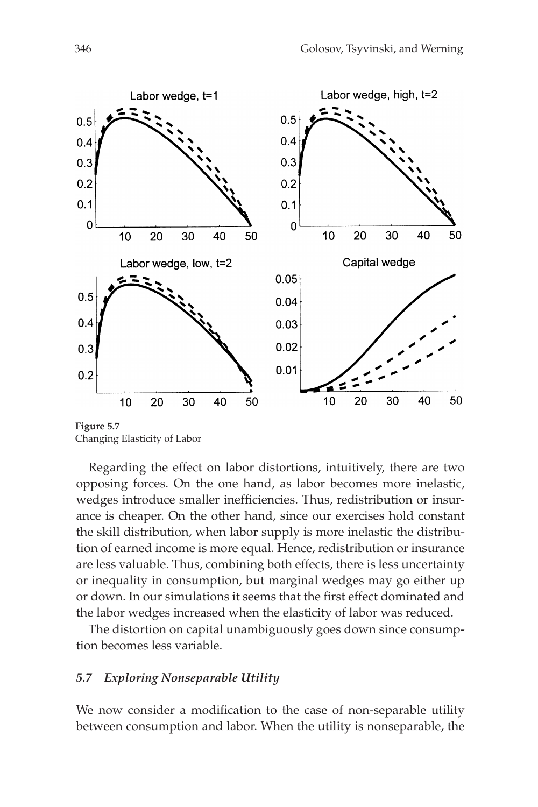

Changing Elasticity of Labor

Regarding the effect on labor distortions, intuitively, there are two opposing forces. On the one hand, as labor becomes more inelastic, wedges introduce smaller inefficiencies. Thus, redistribution or insurance is cheaper. On the other hand, since our exercises hold constant the skill distribution, when labor supply is more inelastic the distribution of earned income is more equal. Hence, redistribution or insurance are less valuable. Thus, combining both effects, there is less uncertainty or inequality in consumption, but marginal wedges may go either up or down. In our simulations it seems that the first effect dominated and the labor wedges increased when the elasticity of labor was reduced.

The distortion on capital unambiguously goes down since consumption becomes less variable.

### *5.7 Exploring Nonseparable Utility*

We now consider a modification to the case of non-separable utility between consumption and labor. When the utility is nonseparable, the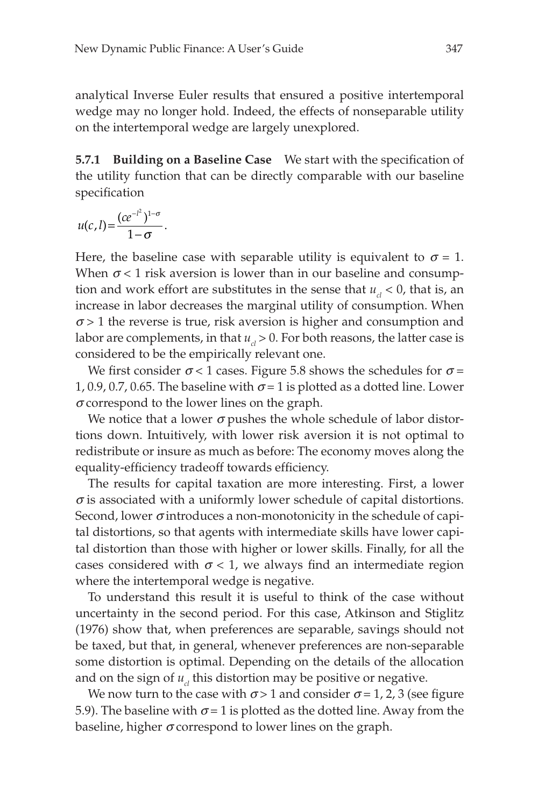analytical Inverse Euler results that ensured a positive intertemporal wedge may no longer hold. Indeed, the effects of nonseparable utility on the intertemporal wedge are largely unexplored.

**5.7.1 Building on a Baseline Case** We start with the specification of the utility function that can be directly comparable with our baseline specification

$$
u(c,l) = \frac{(ce^{-l^2})^{1-\sigma}}{1-\sigma}.
$$

Here, the baseline case with separable utility is equivalent to  $\sigma = 1$ . When  $\sigma$  < 1 risk aversion is lower than in our baseline and consumption and work effort are substitutes in the sense that  $u_d < 0$ , that is, an increase in labor decreases the marginal utility of consumption. When  $\sigma$  > 1 the reverse is true, risk aversion is higher and consumption and labor are complements, in that  $u_d > 0$ . For both reasons, the latter case is considered to be the empirically relevant one.

We first consider  $\sigma$  < 1 cases. Figure 5.8 shows the schedules for  $\sigma$  = 1, 0.9, 0.7, 0.65. The baseline with  $\sigma = 1$  is plotted as a dotted line. Lower  $\sigma$  correspond to the lower lines on the graph.

We notice that a lower  $\sigma$  pushes the whole schedule of labor distortions down. Intuitively, with lower risk aversion it is not optimal to redistribute or insure as much as before: The economy moves along the equality-efficiency tradeoff towards efficiency.

The results for capital taxation are more interesting. First, a lower  $\sigma$  is associated with a uniformly lower schedule of capital distortions. Second, lower  $\sigma$  introduces a non-monotonicity in the schedule of capital distortions, so that agents with intermediate skills have lower capital distortion than those with higher or lower skills. Finally, for all the cases considered with  $\sigma$  < 1, we always find an intermediate region where the intertemporal wedge is negative.

To understand this result it is useful to think of the case without uncertainty in the second period. For this case, Atkinson and Stiglitz (1976) show that, when preferences are separable, savings should not be taxed, but that, in general, whenever preferences are non-separable some distortion is optimal. Depending on the details of the allocation and on the sign of  $u_{d}$  this distortion may be positive or negative.

We now turn to the case with  $\sigma$  > 1 and consider  $\sigma$  = 1, 2, 3 (see figure 5.9). The baseline with  $\sigma = 1$  is plotted as the dotted line. Away from the baseline, higher  $\sigma$  correspond to lower lines on the graph.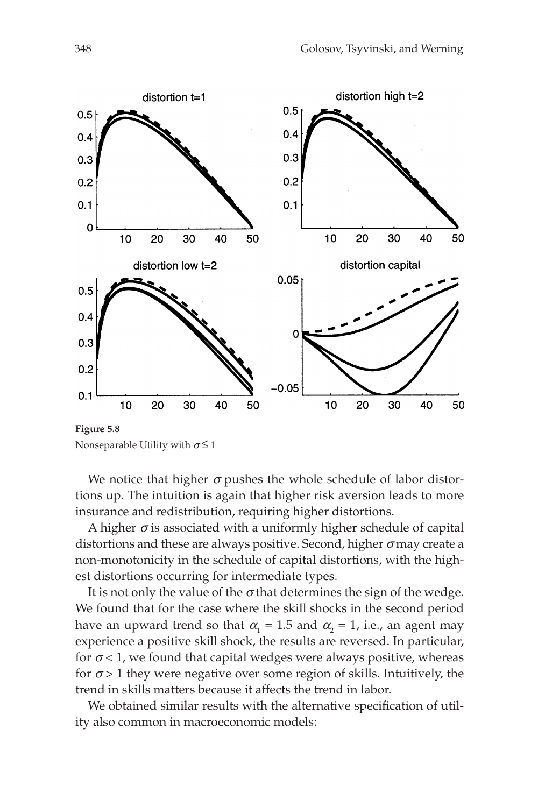

Nonseparable Utility with  $\sigma \leq 1$ 

We notice that higher  $\sigma$  pushes the whole schedule of labor distortions up. The intuition is again that higher risk aversion leads to more insurance and redistribution, requiring higher distortions.

A higher  $\sigma$  is associated with a uniformly higher schedule of capital distortions and these are always positive. Second, higher  $\sigma$  may create a non-monotonicity in the schedule of capital distortions, with the highest distortions occurring for intermediate types.

It is not only the value of the  $\sigma$  that determines the sign of the wedge. We found that for the case where the skill shocks in the second period have an upward trend so that  $\alpha_{\text{\tiny{l}}} = 1.5$  and  $\alpha_{\text{\tiny{2}}} = 1$ , i.e., an agent may experience a positive skill shock, the results are reversed. In particular, for  $\sigma$  < 1, we found that capital wedges were always positive, whereas for  $\sigma$  > 1 they were negative over some region of skills. Intuitively, the trend in skills matters because it affects the trend in labor.

We obtained similar results with the alternative specification of utility also common in macroeconomic models: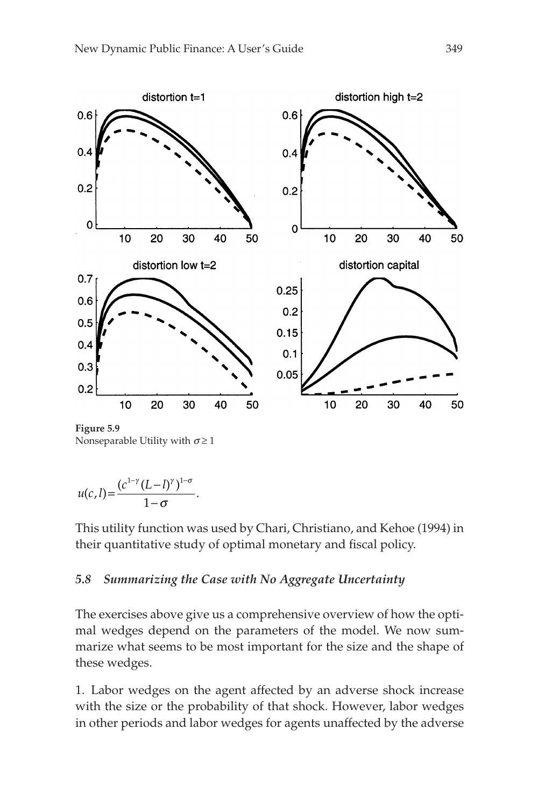

Nonseparable Utility with  $\sigma \geq 1$ 

$$
u(c,l) = \frac{(c^{1-\gamma}(L-l)^{\gamma})^{1-\sigma}}{1-\sigma}.
$$

This utility function was used by Chari, Christiano, and Kehoe (1994) in their quantitative study of optimal monetary and fiscal policy.

## *5.8 Summarizing the Case with No Aggregate Uncertainty*

The exercises above give us a comprehensive overview of how the optimal wedges depend on the parameters of the model. We now summarize what seems to be most important for the size and the shape of these wedges.

1. Labor wedges on the agent affected by an adverse shock increase with the size or the probability of that shock. However, labor wedges in other periods and labor wedges for agents unaffected by the adverse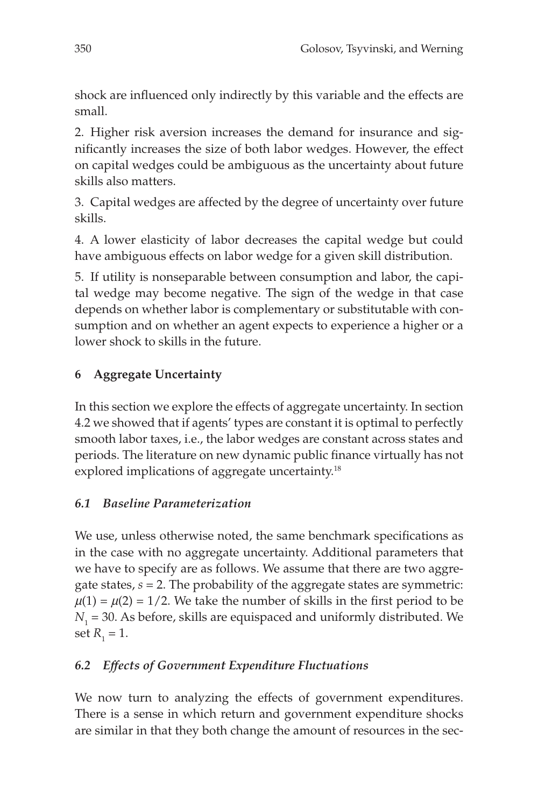shock are influenced only indirectly by this variable and the effects are small.

2. Higher risk aversion increases the demand for insurance and significantly increases the size of both labor wedges. However, the effect on capital wedges could be ambiguous as the uncertainty about future skills also matters.

3. Capital wedges are affected by the degree of uncertainty over future skills.

4. A lower elasticity of labor decreases the capital wedge but could have ambiguous effects on labor wedge for a given skill distribution.

5. If utility is nonseparable between consumption and labor, the capital wedge may become negative. The sign of the wedge in that case depends on whether labor is complementary or substitutable with consumption and on whether an agent expects to experience a higher or a lower shock to skills in the future.

# **6 Aggregate Uncertainty**

In this section we explore the effects of aggregate uncertainty. In section 4.2 we showed that if agents' types are constant it is optimal to perfectly smooth labor taxes, i.e., the labor wedges are constant across states and periods. The literature on new dynamic public finance virtually has not explored implications of aggregate uncertainty.<sup>18</sup>

## *6.1 Baseline Parameterization*

We use, unless otherwise noted, the same benchmark specifications as in the case with no aggregate uncertainty. Additional parameters that we have to specify are as follows. We assume that there are two aggregate states, *s* = 2. The probability of the aggregate states are symmetric:  $\mu(1) = \mu(2) = 1/2$ . We take the number of skills in the first period to be  $N_{1}$  = 30. As before, skills are equispaced and uniformly distributed. We  $\text{set } R_1 = 1.$ 

# *6.2 Effects of Government Expenditure Fluctuations*

We now turn to analyzing the effects of government expenditures. There is a sense in which return and government expenditure shocks are similar in that they both change the amount of resources in the sec-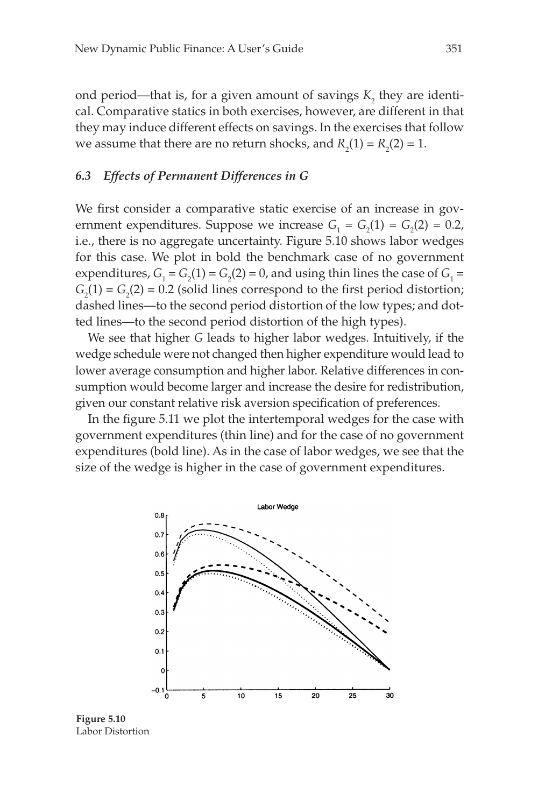ond period—that is, for a given amount of savings  $K_{2}$  they are identical. Comparative statics in both exercises, however, are different in that they may induce different effects on savings. In the exercises that follow we assume that there are no return shocks, and  $R_2(1) = R_2(2) = 1$ .

### *6.3 Effects of Permanent Differences in G*

We first consider a comparative static exercise of an increase in government expenditures. Suppose we increase  $G_1 = G_2(1) = G_2(2) = 0.2$ , i.e., there is no aggregate uncertainty. Figure 5.10 shows labor wedges for this case. We plot in bold the benchmark case of no government expenditures,  $G_1 = G_2(1) = G_2(2) = 0$ , and using thin lines the case of  $G_1 =$  $G_2(1) = G_2(2) = 0.2$  (solid lines correspond to the first period distortion; dashed lines—to the second period distortion of the low types; and dotted lines—to the second period distortion of the high types).

We see that higher *G* leads to higher labor wedges. Intuitively, if the wedge schedule were not changed then higher expenditure would lead to lower average consumption and higher labor. Relative differences in consumption would become larger and increase the desire for redistribution, given our constant relative risk aversion specification of preferences.

In the figure 5.11 we plot the intertemporal wedges for the case with government expenditures (thin line) and for the case of no government expenditures (bold line). As in the case of labor wedges, we see that the size of the wedge is higher in the case of government expenditures.



**Figure 5.10** Labor Distortion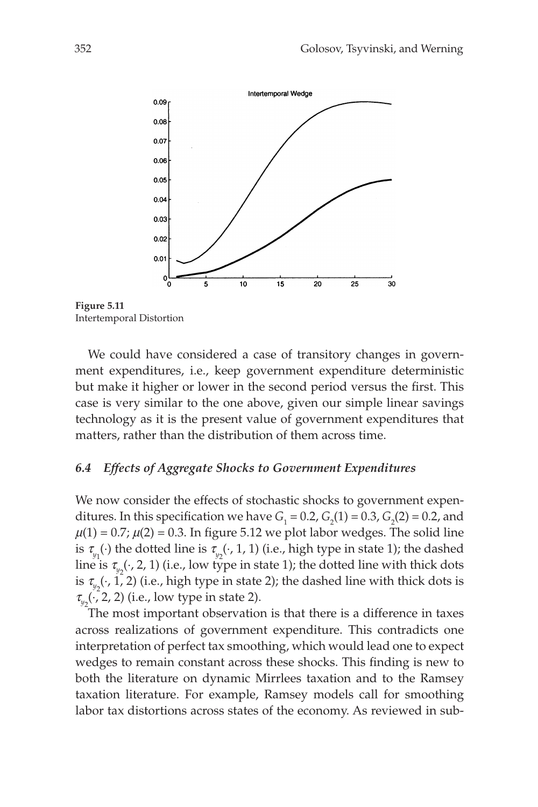

**Figure 5.11** Intertemporal Distortion

We could have considered a case of transitory changes in government expenditures, i.e., keep government expenditure deterministic but make it higher or lower in the second period versus the first. This case is very similar to the one above, given our simple linear savings technology as it is the present value of government expenditures that matters, rather than the distribution of them across time.

### *6.4 Effects of Aggregate Shocks to Government Expenditures*

We now consider the effects of stochastic shocks to government expenditures. In this specification we have  $G_1 = 0.2$ ,  $G_2(1) = 0.3$ ,  $G_2(2) = 0.2$ , and  $\mu(1) = 0.7$ ;  $\mu(2) = 0.3$ . In figure 5.12 we plot labor wedges. The solid line is  $\tau_{y_1}(\cdot)$  the dotted line is  $\tau_{y_2}(\cdot, 1, 1)$  (i.e., high type in state 1); the dashed line is  $\tau_{y_2}(\cdot, 2, 1)$  (i.e., low type in state 1); the dotted line with thick dots is  $\tau_{y_2}(\cdot, 1, 2)$  (i.e., high type in state 2); the dashed line with thick dots is τ*y*2 (·, 2, 2) (i.e., low type in state 2).

The most important observation is that there is a difference in taxes across realizations of government expenditure. This contradicts one interpretation of perfect tax smoothing, which would lead one to expect wedges to remain constant across these shocks. This finding is new to both the literature on dynamic Mirrlees taxation and to the Ramsey taxation literature. For example, Ramsey models call for smoothing labor tax distortions across states of the economy. As reviewed in sub-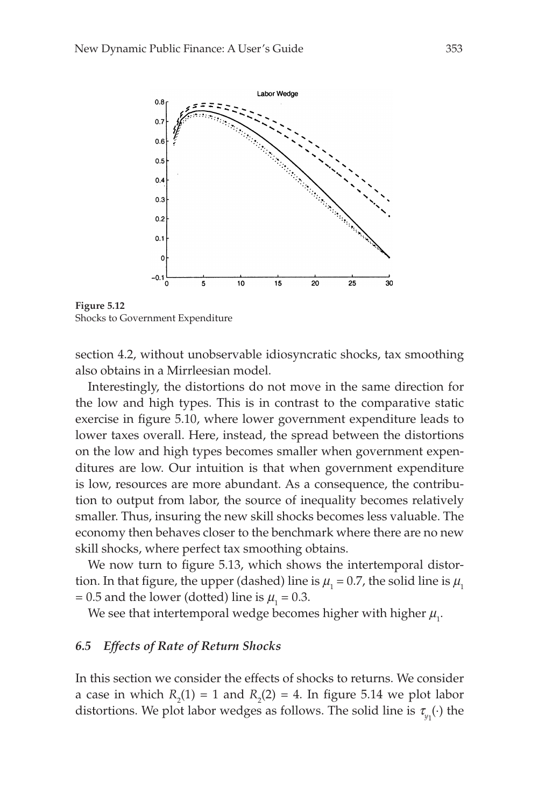

**Figure 5.12** Shocks to Government Expenditure

section 4.2, without unobservable idiosyncratic shocks, tax smoothing also obtains in a Mirrleesian model.

Interestingly, the distortions do not move in the same direction for the low and high types. This is in contrast to the comparative static exercise in figure 5.10, where lower government expenditure leads to lower taxes overall. Here, instead, the spread between the distortions on the low and high types becomes smaller when government expenditures are low. Our intuition is that when government expenditure is low, resources are more abundant. As a consequence, the contribution to output from labor, the source of inequality becomes relatively smaller. Thus, insuring the new skill shocks becomes less valuable. The economy then behaves closer to the benchmark where there are no new skill shocks, where perfect tax smoothing obtains.

We now turn to figure 5.13, which shows the intertemporal distortion. In that figure, the upper (dashed) line is  $\mu_{\text{\tiny{l}}}$  = 0.7, the solid line is  $\mu_{\text{\tiny{l}}}$ = 0.5 and the lower (dotted) line is  $\mu_{1}$  = 0.3.

We see that intertemporal wedge becomes higher with higher  $\mu_{\text{\tiny{l}}}.$ 

#### *6.5 Effects of Rate of Return Shocks*

In this section we consider the effects of shocks to returns. We consider a case in which  $R_2(1) = 1$  and  $R_2(2) = 4$ . In figure 5.14 we plot labor distortions. We plot labor wedges as follows. The solid line is  $\tau_{y_1}(\cdot)$  the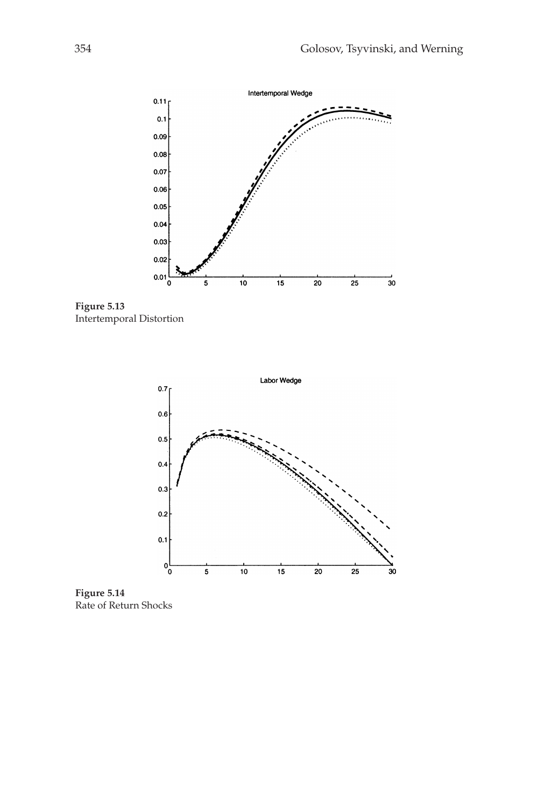

**Figure 5.13** Intertemporal Distortion



**Figure 5.14** Rate of Return Shocks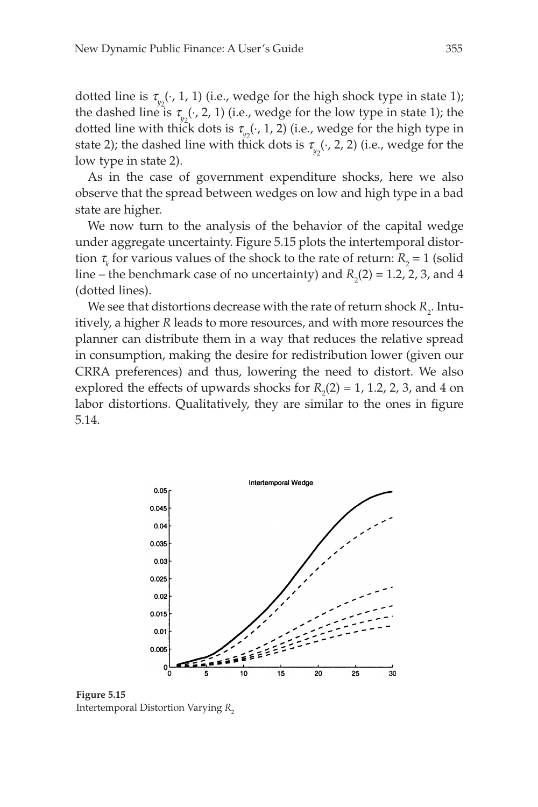dotted line is  $\tau_{y_2}(\cdot, 1, 1)$  (i.e., wedge for the high shock type in state 1); the dashed line is  $\tau_{y_2}(\cdot, 2, 1)$  (i.e., wedge for the low type in state 1); the dotted line with thick dots is  $\tau_{y_2}(\cdot, 1, 2)$  (i.e., wedge for the high type in state 2); the dashed line with thick dots is  $\tau_{y_2}(\cdot, 2, 2)$  (i.e., wedge for the low type in state 2).

As in the case of government expenditure shocks, here we also observe that the spread between wedges on low and high type in a bad state are higher.

We now turn to the analysis of the behavior of the capital wedge under aggregate uncertainty. Figure 5.15 plots the intertemporal distortion  $\tau_{k}$  for various values of the shock to the rate of return:  $R_{2} = 1$  (solid line – the benchmark case of no uncertainty) and  $R_2(2) = 1.2, 2, 3$ , and 4 (dotted lines).

We see that distortions decrease with the rate of return shock  $R_{_2}$ . Intuitively, a higher *R* leads to more resources, and with more resources the planner can distribute them in a way that reduces the relative spread in consumption, making the desire for redistribution lower (given our CRRA preferences) and thus, lowering the need to distort. We also explored the effects of upwards shocks for  $R_2(2) = 1$ , 1.2, 2, 3, and 4 on labor distortions. Qualitatively, they are similar to the ones in figure 5.14.



**Figure 5.15** Intertemporal Distortion Varying *R*<sub>2</sub>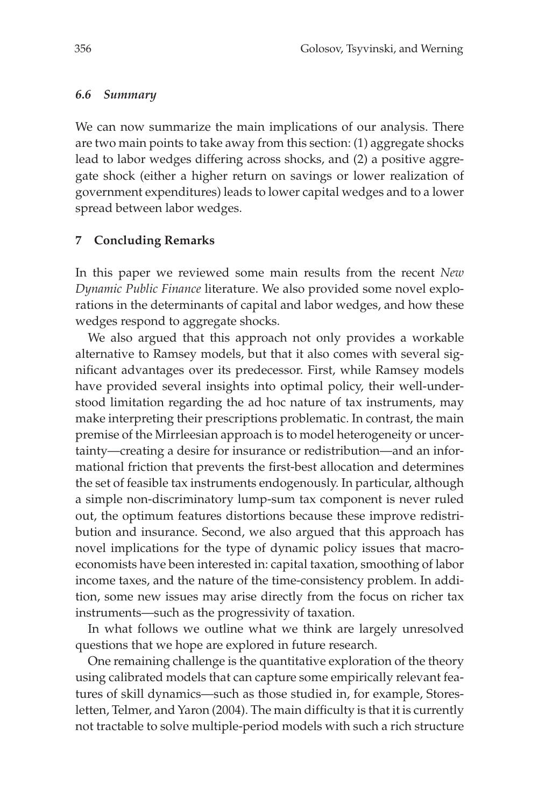#### *6.6 Summary*

We can now summarize the main implications of our analysis. There are two main points to take away from this section: (1) aggregate shocks lead to labor wedges differing across shocks, and (2) a positive aggregate shock (either a higher return on savings or lower realization of government expenditures) leads to lower capital wedges and to a lower spread between labor wedges.

#### **7 Concluding Remarks**

In this paper we reviewed some main results from the recent *New Dynamic Public Finance* literature. We also provided some novel explorations in the determinants of capital and labor wedges, and how these wedges respond to aggregate shocks.

We also argued that this approach not only provides a workable alternative to Ramsey models, but that it also comes with several significant advantages over its predecessor. First, while Ramsey models have provided several insights into optimal policy, their well-understood limitation regarding the ad hoc nature of tax instruments, may make interpreting their prescriptions problematic. In contrast, the main premise of the Mirrleesian approach is to model heterogeneity or uncertainty—creating a desire for insurance or redistribution—and an informational friction that prevents the first-best allocation and determines the set of feasible tax instruments endogenously. In particular, although a simple non-discriminatory lump-sum tax component is never ruled out, the optimum features distortions because these improve redistribution and insurance. Second, we also argued that this approach has novel implications for the type of dynamic policy issues that macroeconomists have been interested in: capital taxation, smoothing of labor income taxes, and the nature of the time-consistency problem. In addition, some new issues may arise directly from the focus on richer tax instruments—such as the progressivity of taxation.

In what follows we outline what we think are largely unresolved questions that we hope are explored in future research.

One remaining challenge is the quantitative exploration of the theory using calibrated models that can capture some empirically relevant features of skill dynamics—such as those studied in, for example, Storesletten, Telmer, and Yaron (2004). The main difficulty is that it is currently not tractable to solve multiple-period models with such a rich structure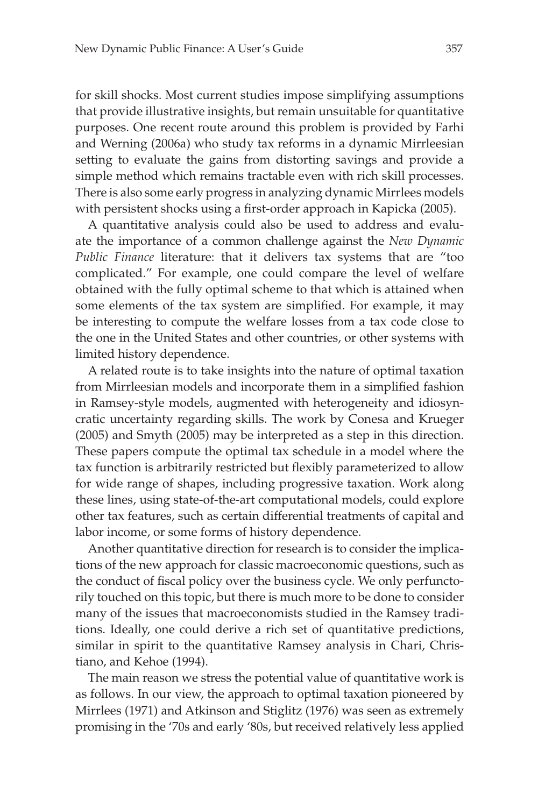for skill shocks. Most current studies impose simplifying assumptions that provide illustrative insights, but remain unsuitable for quantitative purposes. One recent route around this problem is provided by Farhi and Werning (2006a) who study tax reforms in a dynamic Mirrleesian setting to evaluate the gains from distorting savings and provide a simple method which remains tractable even with rich skill processes. There is also some early progress in analyzing dynamic Mirrlees models with persistent shocks using a first-order approach in Kapicka (2005).

A quantitative analysis could also be used to address and evaluate the importance of a common challenge against the *New Dynamic Public Finance* literature: that it delivers tax systems that are "too complicated." For example, one could compare the level of welfare obtained with the fully optimal scheme to that which is attained when some elements of the tax system are simplified. For example, it may be interesting to compute the welfare losses from a tax code close to the one in the United States and other countries, or other systems with limited history dependence.

A related route is to take insights into the nature of optimal taxation from Mirrleesian models and incorporate them in a simplified fashion in Ramsey-style models, augmented with heterogeneity and idiosyncratic uncertainty regarding skills. The work by Conesa and Krueger (2005) and Smyth (2005) may be interpreted as a step in this direction. These papers compute the optimal tax schedule in a model where the tax function is arbitrarily restricted but flexibly parameterized to allow for wide range of shapes, including progressive taxation. Work along these lines, using state-of-the-art computational models, could explore other tax features, such as certain differential treatments of capital and labor income, or some forms of history dependence.

Another quantitative direction for research is to consider the implications of the new approach for classic macroeconomic questions, such as the conduct of fiscal policy over the business cycle. We only perfunctorily touched on this topic, but there is much more to be done to consider many of the issues that macroeconomists studied in the Ramsey traditions. Ideally, one could derive a rich set of quantitative predictions, similar in spirit to the quantitative Ramsey analysis in Chari, Christiano, and Kehoe (1994).

The main reason we stress the potential value of quantitative work is as follows. In our view, the approach to optimal taxation pioneered by Mirrlees (1971) and Atkinson and Stiglitz (1976) was seen as extremely promising in the '70s and early '80s, but received relatively less applied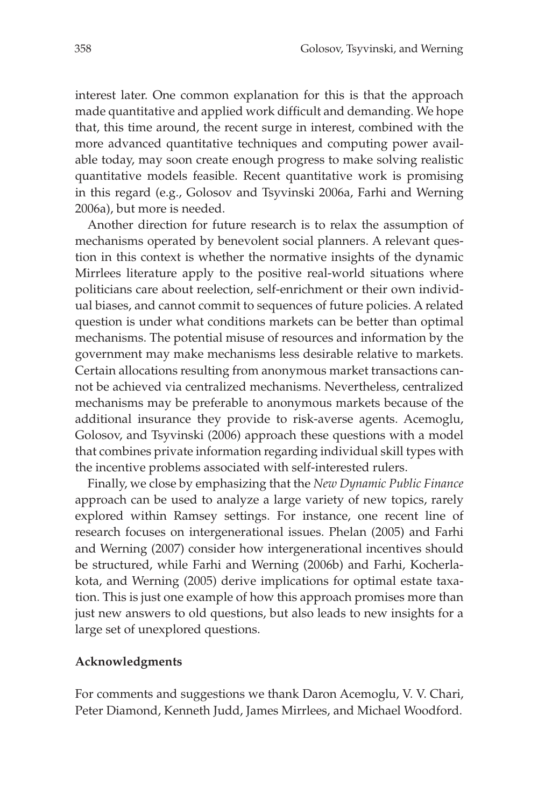interest later. One common explanation for this is that the approach made quantitative and applied work difficult and demanding. We hope that, this time around, the recent surge in interest, combined with the more advanced quantitative techniques and computing power available today, may soon create enough progress to make solving realistic quantitative models feasible. Recent quantitative work is promising in this regard (e.g., Golosov and Tsyvinski 2006a, Farhi and Werning 2006a), but more is needed.

Another direction for future research is to relax the assumption of mechanisms operated by benevolent social planners. A relevant question in this context is whether the normative insights of the dynamic Mirrlees literature apply to the positive real-world situations where politicians care about reelection, self-enrichment or their own individual biases, and cannot commit to sequences of future policies. A related question is under what conditions markets can be better than optimal mechanisms. The potential misuse of resources and information by the government may make mechanisms less desirable relative to markets. Certain allocations resulting from anonymous market transactions cannot be achieved via centralized mechanisms. Nevertheless, centralized mechanisms may be preferable to anonymous markets because of the additional insurance they provide to risk-averse agents. Acemoglu, Golosov, and Tsyvinski (2006) approach these questions with a model that combines private information regarding individual skill types with the incentive problems associated with self-interested rulers.

Finally, we close by emphasizing that the *New Dynamic Public Finance* approach can be used to analyze a large variety of new topics, rarely explored within Ramsey settings. For instance, one recent line of research focuses on intergenerational issues. Phelan (2005) and Farhi and Werning (2007) consider how intergenerational incentives should be structured, while Farhi and Werning (2006b) and Farhi, Kocherlakota, and Werning (2005) derive implications for optimal estate taxation. This is just one example of how this approach promises more than just new answers to old questions, but also leads to new insights for a large set of unexplored questions.

#### **Acknowledgments**

For comments and suggestions we thank Daron Acemoglu, V. V. Chari, Peter Diamond, Kenneth Judd, James Mirrlees, and Michael Woodford.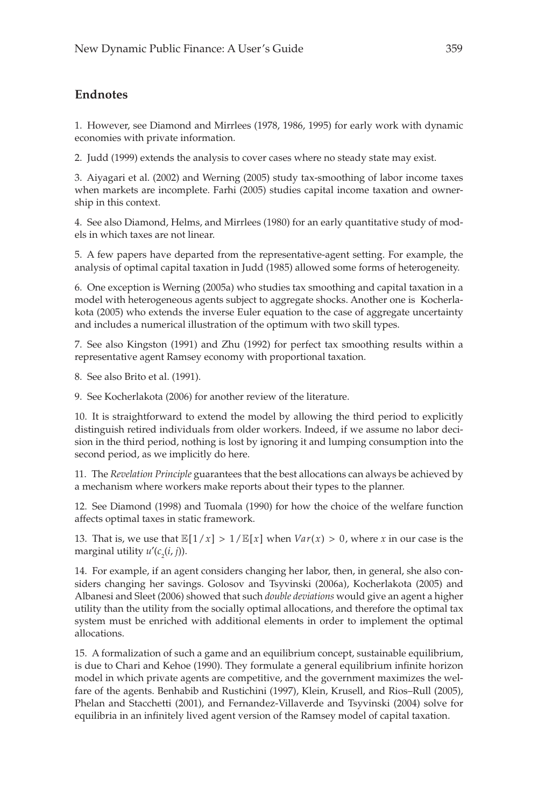## **Endnotes**

1. However, see Diamond and Mirrlees (1978, 1986, 1995) for early work with dynamic economies with private information.

2. Judd (1999) extends the analysis to cover cases where no steady state may exist.

3. Aiyagari et al. (2002) and Werning (2005) study tax-smoothing of labor income taxes when markets are incomplete. Farhi (2005) studies capital income taxation and ownership in this context.

4. See also Diamond, Helms, and Mirrlees (1980) for an early quantitative study of models in which taxes are not linear.

5. A few papers have departed from the representative-agent setting. For example, the analysis of optimal capital taxation in Judd (1985) allowed some forms of heterogeneity.

6. One exception is Werning (2005a) who studies tax smoothing and capital taxation in a model with heterogeneous agents subject to aggregate shocks. Another one is Kocherlakota (2005) who extends the inverse Euler equation to the case of aggregate uncertainty and includes a numerical illustration of the optimum with two skill types.

7. See also Kingston (1991) and Zhu (1992) for perfect tax smoothing results within a representative agent Ramsey economy with proportional taxation.

8. See also Brito et al. (1991).

9. See Kocherlakota (2006) for another review of the literature.

10. It is straightforward to extend the model by allowing the third period to explicitly distinguish retired individuals from older workers. Indeed, if we assume no labor decision in the third period, nothing is lost by ignoring it and lumping consumption into the second period, as we implicitly do here.

11. The *Revelation Principle* guarantees that the best allocations can always be achieved by a mechanism where workers make reports about their types to the planner.

12. See Diamond (1998) and Tuomala (1990) for how the choice of the welfare function affects optimal taxes in static framework.

13. That is, we use that  $\mathbb{E}[1/x] > 1/\mathbb{E}[x]$  when  $Var(x) > 0$ , where *x* in our case is the marginal utility  $u'(c_2(i, j))$ .

14. For example, if an agent considers changing her labor, then, in general, she also considers changing her savings. Golosov and Tsyvinski (2006a), Kocherlakota (2005) and Albanesi and Sleet (2006) showed that such *double deviations* would give an agent a higher utility than the utility from the socially optimal allocations, and therefore the optimal tax system must be enriched with additional elements in order to implement the optimal allocations.

15. A formalization of such a game and an equilibrium concept, sustainable equilibrium, is due to Chari and Kehoe (1990). They formulate a general equilibrium infinite horizon model in which private agents are competitive, and the government maximizes the welfare of the agents. Benhabib and Rustichini (1997), Klein, Krusell, and Rios–Rull (2005), Phelan and Stacchetti (2001), and Fernandez-Villaverde and Tsyvinski (2004) solve for equilibria in an infinitely lived agent version of the Ramsey model of capital taxation.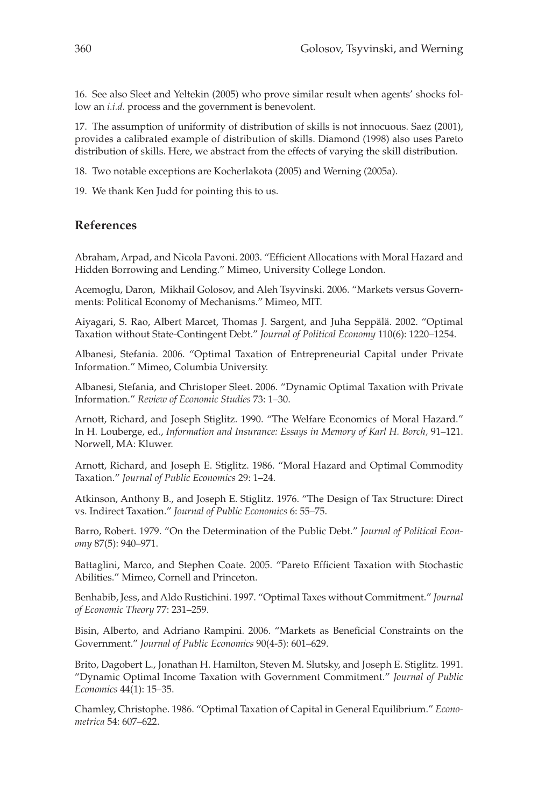16. See also Sleet and Yeltekin (2005) who prove similar result when agents' shocks follow an *i.i.d.* process and the government is benevolent.

17. The assumption of uniformity of distribution of skills is not innocuous. Saez (2001), provides a calibrated example of distribution of skills. Diamond (1998) also uses Pareto distribution of skills. Here, we abstract from the effects of varying the skill distribution.

18. Two notable exceptions are Kocherlakota (2005) and Werning (2005a).

19. We thank Ken Judd for pointing this to us.

#### **References**

Abraham, Arpad, and Nicola Pavoni. 2003. "Efficient Allocations with Moral Hazard and Hidden Borrowing and Lending." Mimeo, University College London.

Acemoglu, Daron, Mikhail Golosov, and Aleh Tsyvinski. 2006. "Markets versus Governments: Political Economy of Mechanisms." Mimeo, MIT.

Aiyagari, S. Rao, Albert Marcet, Thomas J. Sargent, and Juha Seppälä. 2002. "Optimal Taxation without State-Contingent Debt." *Journal of Political Economy* 110(6): 1220–1254.

Albanesi, Stefania. 2006. "Optimal Taxation of Entrepreneurial Capital under Private Information." Mimeo, Columbia University.

Albanesi, Stefania, and Christoper Sleet. 2006. "Dynamic Optimal Taxation with Private Information." *Review of Economic Studies* 73: 1–30.

Arnott, Richard, and Joseph Stiglitz. 1990. "The Welfare Economics of Moral Hazard." In H. Louberge, ed., *Information and Insurance: Essays in Memory of Karl H. Borch,* 91–121. Norwell, MA: Kluwer.

Arnott, Richard, and Joseph E. Stiglitz. 1986. "Moral Hazard and Optimal Commodity Taxation." *Journal of Public Economics* 29: 1–24.

Atkinson, Anthony B., and Joseph E. Stiglitz. 1976. "The Design of Tax Structure: Direct vs. Indirect Taxation." *Journal of Public Economics* 6: 55–75.

Barro, Robert. 1979. "On the Determination of the Public Debt." *Journal of Political Economy* 87(5): 940–971.

Battaglini, Marco, and Stephen Coate. 2005. "Pareto Efficient Taxation with Stochastic Abilities." Mimeo, Cornell and Princeton.

Benhabib, Jess, and Aldo Rustichini. 1997. "Optimal Taxes without Commitment." *Journal of Economic Theory* 77: 231–259.

Bisin, Alberto, and Adriano Rampini. 2006. "Markets as Beneficial Constraints on the Government." *Journal of Public Economics* 90(4-5): 601–629.

Brito, Dagobert L., Jonathan H. Hamilton, Steven M. Slutsky, and Joseph E. Stiglitz. 1991. "Dynamic Optimal Income Taxation with Government Commitment." *Journal of Public Economics* 44(1): 15–35.

Chamley, Christophe. 1986. "Optimal Taxation of Capital in General Equilibrium." *Econometrica* 54: 607–622.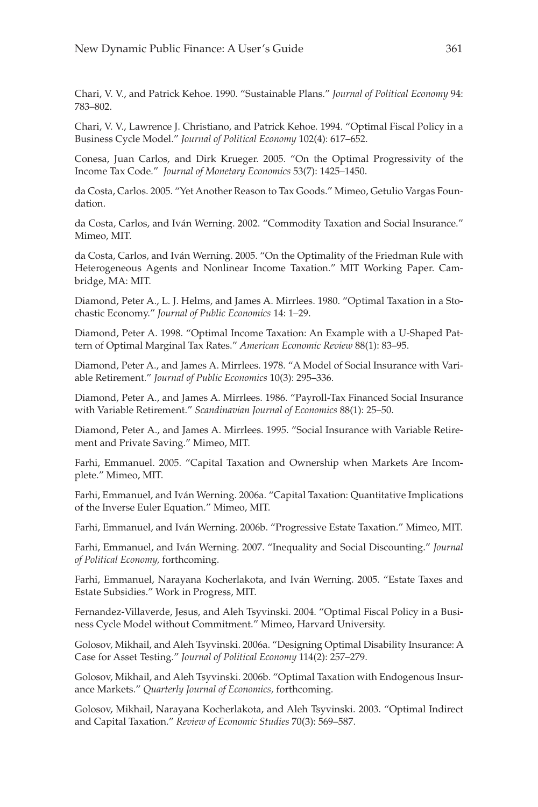Chari, V. V., and Patrick Kehoe. 1990. "Sustainable Plans." *Journal of Political Economy* 94: 783–802.

Chari, V. V., Lawrence J. Christiano, and Patrick Kehoe. 1994. "Optimal Fiscal Policy in a Business Cycle Model." *Journal of Political Economy* 102(4): 617–652.

Conesa, Juan Carlos, and Dirk Krueger. 2005. "On the Optimal Progressivity of the Income Tax Code*.*" *Journal of Monetary Economics* 53(7): 1425–1450.

da Costa, Carlos. 2005. "Yet Another Reason to Tax Goods." Mimeo, Getulio Vargas Foundation.

da Costa, Carlos, and Iván Werning. 2002. "Commodity Taxation and Social Insurance." Mimeo, MIT.

da Costa, Carlos, and Iván Werning. 2005. "On the Optimality of the Friedman Rule with Heterogeneous Agents and Nonlinear Income Taxation." MIT Working Paper. Cambridge, MA: MIT.

Diamond, Peter A., L. J. Helms, and James A. Mirrlees. 1980. "Optimal Taxation in a Stochastic Economy." *Journal of Public Economics* 14: 1–29.

Diamond, Peter A. 1998. "Optimal Income Taxation: An Example with a U-Shaped Pattern of Optimal Marginal Tax Rates." *American Economic Review* 88(1): 83–95.

Diamond, Peter A., and James A. Mirrlees. 1978. "A Model of Social Insurance with Variable Retirement." *Journal of Public Economics* 10(3): 295–336.

Diamond, Peter A., and James A. Mirrlees. 1986. "Payroll-Tax Financed Social Insurance with Variable Retirement." *Scandinavian Journal of Economics* 88(1): 25–50.

Diamond, Peter A., and James A. Mirrlees. 1995. "Social Insurance with Variable Retirement and Private Saving." Mimeo, MIT.

Farhi, Emmanuel. 2005. "Capital Taxation and Ownership when Markets Are Incomplete." Mimeo, MIT.

Farhi, Emmanuel, and Iván Werning. 2006a. "Capital Taxation: Quantitative Implications of the Inverse Euler Equation." Mimeo, MIT.

Farhi, Emmanuel, and Iván Werning. 2006b. "Progressive Estate Taxation." Mimeo, MIT.

Farhi, Emmanuel, and Iván Werning. 2007. "Inequality and Social Discounting." *Journal of Political Economy,* forthcoming.

Farhi, Emmanuel, Narayana Kocherlakota, and Iván Werning. 2005. "Estate Taxes and Estate Subsidies." Work in Progress, MIT.

Fernandez-Villaverde, Jesus, and Aleh Tsyvinski. 2004. "Optimal Fiscal Policy in a Business Cycle Model without Commitment." Mimeo, Harvard University.

Golosov, Mikhail, and Aleh Tsyvinski. 2006a. "Designing Optimal Disability Insurance: A Case for Asset Testing*.*" *Journal of Political Economy* 114(2): 257–279.

Golosov, Mikhail, and Aleh Tsyvinski. 2006b. "Optimal Taxation with Endogenous Insurance Markets." *Quarterly Journal of Economics,* forthcoming.

Golosov, Mikhail, Narayana Kocherlakota, and Aleh Tsyvinski. 2003. "Optimal Indirect and Capital Taxation." *Review of Economic Studies* 70(3): 569–587.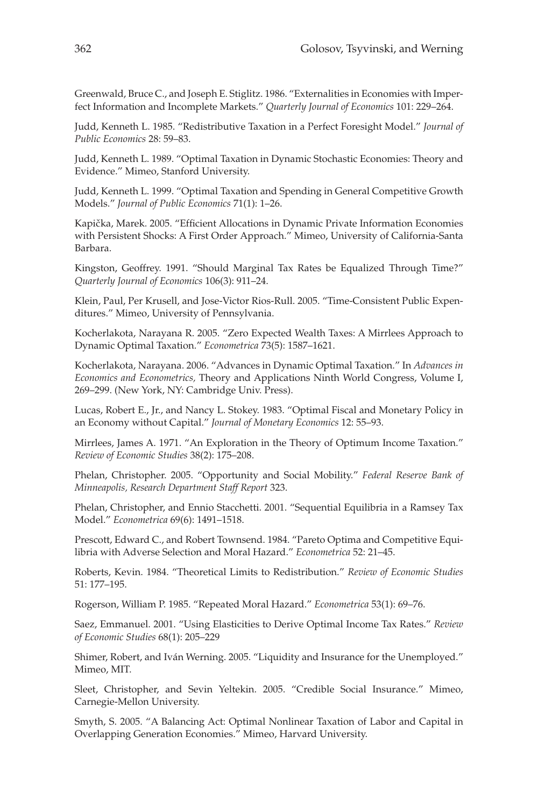Greenwald, Bruce C., and Joseph E. Stiglitz. 1986. "Externalities in Economies with Imperfect Information and Incomplete Markets." *Quarterly Journal of Economics* 101: 229–264.

Judd, Kenneth L. 1985. "Redistributive Taxation in a Perfect Foresight Model." *Journal of Public Economics* 28: 59–83.

Judd, Kenneth L. 1989. "Optimal Taxation in Dynamic Stochastic Economies: Theory and Evidence." Mimeo, Stanford University.

Judd, Kenneth L. 1999. "Optimal Taxation and Spending in General Competitive Growth Models." *Journal of Public Economics* 71(1): 1–26.

Kapička, Marek. 2005. "Efficient Allocations in Dynamic Private Information Economies with Persistent Shocks: A First Order Approach." Mimeo, University of California-Santa Barbara.

Kingston, Geoffrey. 1991. "Should Marginal Tax Rates be Equalized Through Time?" *Quarterly Journal of Economics* 106(3): 911–24.

Klein, Paul, Per Krusell, and Jose-Victor Rios-Rull. 2005. "Time-Consistent Public Expenditures." Mimeo, University of Pennsylvania.

Kocherlakota, Narayana R. 2005. "Zero Expected Wealth Taxes: A Mirrlees Approach to Dynamic Optimal Taxation." *Econometrica* 73(5): 1587–1621.

Kocherlakota, Narayana. 2006. "Advances in Dynamic Optimal Taxation." In *Advances in Economics and Econometrics,* Theory and Applications Ninth World Congress, Volume I, 269–299. (New York, NY: Cambridge Univ. Press).

Lucas, Robert E., Jr., and Nancy L. Stokey. 1983. "Optimal Fiscal and Monetary Policy in an Economy without Capital." *Journal of Monetary Economics* 12: 55–93.

Mirrlees, James A. 1971. "An Exploration in the Theory of Optimum Income Taxation." *Review of Economic Studies* 38(2): 175–208.

Phelan, Christopher. 2005. "Opportunity and Social Mobility." *Federal Reserve Bank of Minneapolis, Research Department Staff Report* 323.

Phelan, Christopher, and Ennio Stacchetti. 2001. "Sequential Equilibria in a Ramsey Tax Model." *Econometrica* 69(6): 1491–1518.

Prescott, Edward C., and Robert Townsend. 1984. "Pareto Optima and Competitive Equilibria with Adverse Selection and Moral Hazard." *Econometrica* 52: 21–45.

Roberts, Kevin. 1984. "Theoretical Limits to Redistribution." *Review of Economic Studies* 51: 177–195.

Rogerson, William P. 1985. "Repeated Moral Hazard." *Econometrica* 53(1): 69–76.

Saez, Emmanuel. 2001. "Using Elasticities to Derive Optimal Income Tax Rates." *Review of Economic Studies* 68(1): 205–229

Shimer, Robert, and Iván Werning. 2005. "Liquidity and Insurance for the Unemployed." Mimeo, MIT.

Sleet, Christopher, and Sevin Yeltekin. 2005. "Credible Social Insurance." Mimeo, Carnegie-Mellon University.

Smyth, S. 2005. "A Balancing Act: Optimal Nonlinear Taxation of Labor and Capital in Overlapping Generation Economies." Mimeo, Harvard University.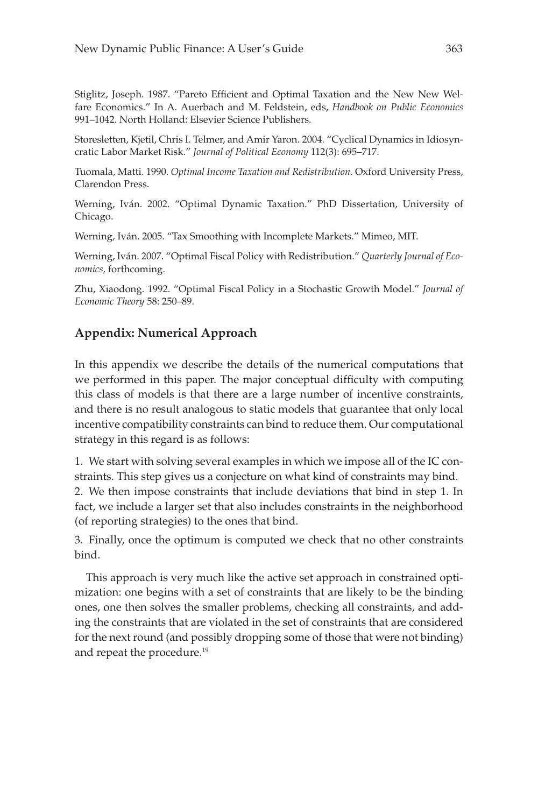Stiglitz, Joseph. 1987. "Pareto Efficient and Optimal Taxation and the New New Welfare Economics." In A. Auerbach and M. Feldstein, eds, *Handbook on Public Economics* 991–1042. North Holland: Elsevier Science Publishers.

Storesletten, Kjetil, Chris I. Telmer, and Amir Yaron. 2004. "Cyclical Dynamics in Idiosyncratic Labor Market Risk." *Journal of Political Economy* 112(3): 695–717.

Tuomala, Matti. 1990. *Optimal Income Taxation and Redistribution.* Oxford University Press, Clarendon Press.

Werning, Iván. 2002. "Optimal Dynamic Taxation." PhD Dissertation, University of Chicago.

Werning, Iván. 2005. "Tax Smoothing with Incomplete Markets." Mimeo, MIT.

Werning, Iván. 2007. "Optimal Fiscal Policy with Redistribution." *Quarterly Journal of Economics,* forthcoming.

Zhu, Xiaodong. 1992. "Optimal Fiscal Policy in a Stochastic Growth Model." *Journal of Economic Theory* 58: 250–89.

## **Appendix: Numerical Approach**

In this appendix we describe the details of the numerical computations that we performed in this paper. The major conceptual difficulty with computing this class of models is that there are a large number of incentive constraints, and there is no result analogous to static models that guarantee that only local incentive compatibility constraints can bind to reduce them. Our computational strategy in this regard is as follows:

1. We start with solving several examples in which we impose all of the IC constraints. This step gives us a conjecture on what kind of constraints may bind.

2. We then impose constraints that include deviations that bind in step 1. In fact, we include a larger set that also includes constraints in the neighborhood (of reporting strategies) to the ones that bind.

3. Finally, once the optimum is computed we check that no other constraints bind.

This approach is very much like the active set approach in constrained optimization: one begins with a set of constraints that are likely to be the binding ones, one then solves the smaller problems, checking all constraints, and adding the constraints that are violated in the set of constraints that are considered for the next round (and possibly dropping some of those that were not binding) and repeat the procedure.<sup>19</sup>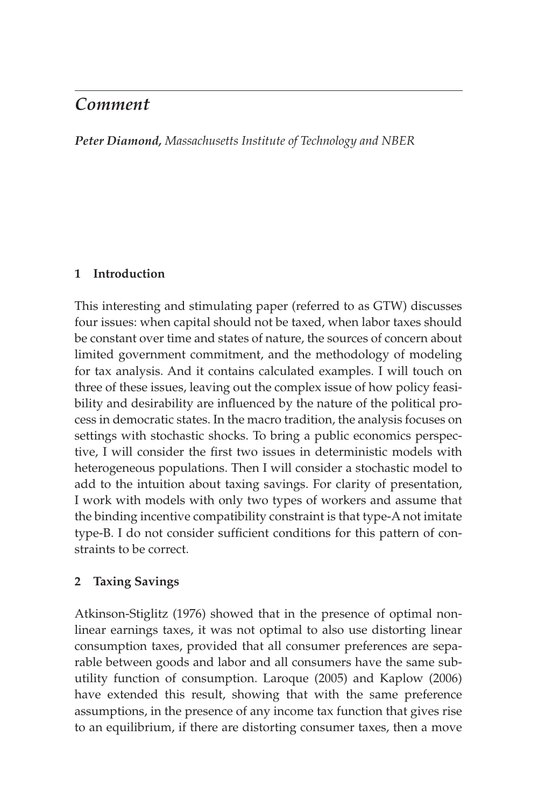# *Comment*

*Peter Diamond, Massachusetts Institute of Technology and NBER*

## **1 Introduction**

This interesting and stimulating paper (referred to as GTW) discusses four issues: when capital should not be taxed, when labor taxes should be constant over time and states of nature, the sources of concern about limited government commitment, and the methodology of modeling for tax analysis. And it contains calculated examples. I will touch on three of these issues, leaving out the complex issue of how policy feasibility and desirability are influenced by the nature of the political process in democratic states. In the macro tradition, the analysis focuses on settings with stochastic shocks. To bring a public economics perspective, I will consider the first two issues in deterministic models with heterogeneous populations. Then I will consider a stochastic model to add to the intuition about taxing savings. For clarity of presentation, I work with models with only two types of workers and assume that the binding incentive compatibility constraint is that type-A not imitate type-B. I do not consider sufficient conditions for this pattern of constraints to be correct.

## **2 Taxing Savings**

Atkinson-Stiglitz (1976) showed that in the presence of optimal nonlinear earnings taxes, it was not optimal to also use distorting linear consumption taxes, provided that all consumer preferences are separable between goods and labor and all consumers have the same subutility function of consumption. Laroque (2005) and Kaplow (2006) have extended this result, showing that with the same preference assumptions, in the presence of any income tax function that gives rise to an equilibrium, if there are distorting consumer taxes, then a move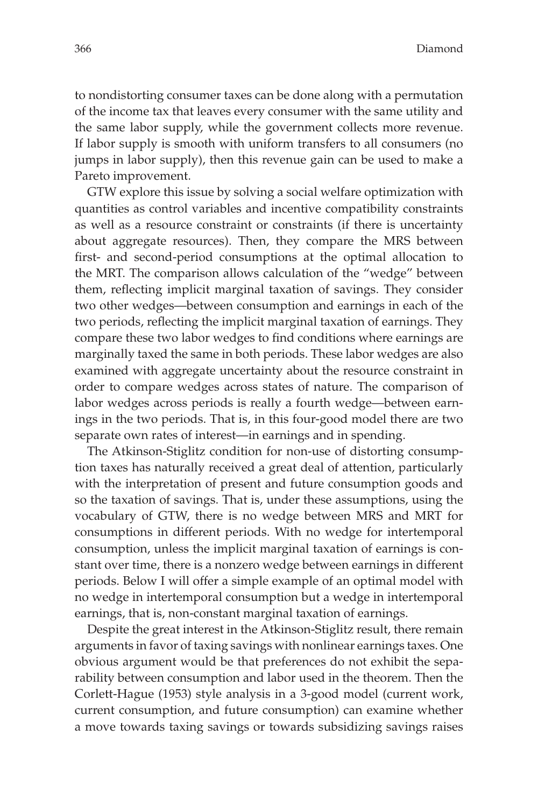to nondistorting consumer taxes can be done along with a permutation of the income tax that leaves every consumer with the same utility and the same labor supply, while the government collects more revenue. If labor supply is smooth with uniform transfers to all consumers (no jumps in labor supply), then this revenue gain can be used to make a Pareto improvement.

GTW explore this issue by solving a social welfare optimization with quantities as control variables and incentive compatibility constraints as well as a resource constraint or constraints (if there is uncertainty about aggregate resources). Then, they compare the MRS between first- and second-period consumptions at the optimal allocation to the MRT. The comparison allows calculation of the "wedge" between them, reflecting implicit marginal taxation of savings. They consider two other wedges—between consumption and earnings in each of the two periods, reflecting the implicit marginal taxation of earnings. They compare these two labor wedges to find conditions where earnings are marginally taxed the same in both periods. These labor wedges are also examined with aggregate uncertainty about the resource constraint in order to compare wedges across states of nature. The comparison of labor wedges across periods is really a fourth wedge—between earnings in the two periods. That is, in this four-good model there are two separate own rates of interest—in earnings and in spending.

The Atkinson-Stiglitz condition for non-use of distorting consumption taxes has naturally received a great deal of attention, particularly with the interpretation of present and future consumption goods and so the taxation of savings. That is, under these assumptions, using the vocabulary of GTW, there is no wedge between MRS and MRT for consumptions in different periods. With no wedge for intertemporal consumption, unless the implicit marginal taxation of earnings is constant over time, there is a nonzero wedge between earnings in different periods. Below I will offer a simple example of an optimal model with no wedge in intertemporal consumption but a wedge in intertemporal earnings, that is, non-constant marginal taxation of earnings.

Despite the great interest in the Atkinson-Stiglitz result, there remain arguments in favor of taxing savings with nonlinear earnings taxes. One obvious argument would be that preferences do not exhibit the separability between consumption and labor used in the theorem. Then the Corlett-Hague (1953) style analysis in a 3-good model (current work, current consumption, and future consumption) can examine whether a move towards taxing savings or towards subsidizing savings raises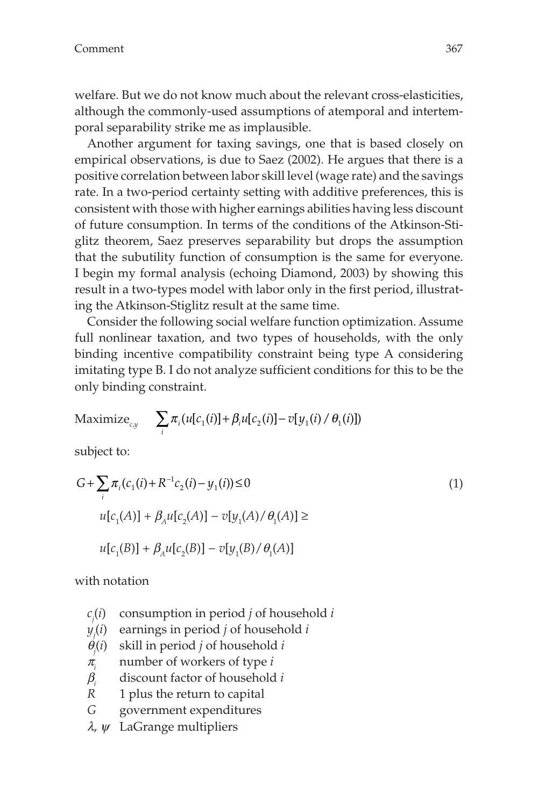welfare. But we do not know much about the relevant cross-elasticities, although the commonly-used assumptions of atemporal and intertemporal separability strike me as implausible.

Another argument for taxing savings, one that is based closely on empirical observations, is due to Saez (2002). He argues that there is a positive correlation between labor skill level (wage rate) and the savings rate. In a two-period certainty setting with additive preferences, this is consistent with those with higher earnings abilities having less discount of future consumption. In terms of the conditions of the Atkinson-Stiglitz theorem, Saez preserves separability but drops the assumption that the subutility function of consumption is the same for everyone. I begin my formal analysis (echoing Diamond, 2003) by showing this result in a two-types model with labor only in the first period, illustrating the Atkinson-Stiglitz result at the same time.

Consider the following social welfare function optimization. Assume full nonlinear taxation, and two types of households, with the only binding incentive compatibility constraint being type A considering imitating type B. I do not analyze sufficient conditions for this to be the only binding constraint.

$$
\text{Maximize}_{c,y} \quad \sum_i \pi_i (u[c_1(i)] + \beta_i u[c_2(i)] - v[y_1(i) / \theta_1(i)])
$$

subject to:

$$
G + \sum_{i} \pi_{i}(c_{1}(i) + R^{-1}c_{2}(i) - y_{1}(i)) \le 0
$$
\n
$$
u[c_{1}(A)] + \beta_{A}u[c_{2}(A)] - v[y_{1}(A)/\theta_{1}(A)] \ge
$$
\n
$$
u[c_{1}(B)] + \beta_{A}u[c_{2}(B)] - v[y_{1}(B)/\theta_{1}(A)]
$$
\n(1)

with notation

- $c_j(i)$ (*i*) consumption in period *j* of household *i*
- $y_i(i)$ (*i*) earnings in period *j* of household *i*
- $\theta$ *j* $(i)$ (*i*) skill in period *j* of household *i*
- π*i* number of workers of type *i*
- β*i* discount factor of household *i*
- *R* 1 plus the return to capital
- *G* government expenditures
- $\lambda$ ,  $\psi$  LaGrange multipliers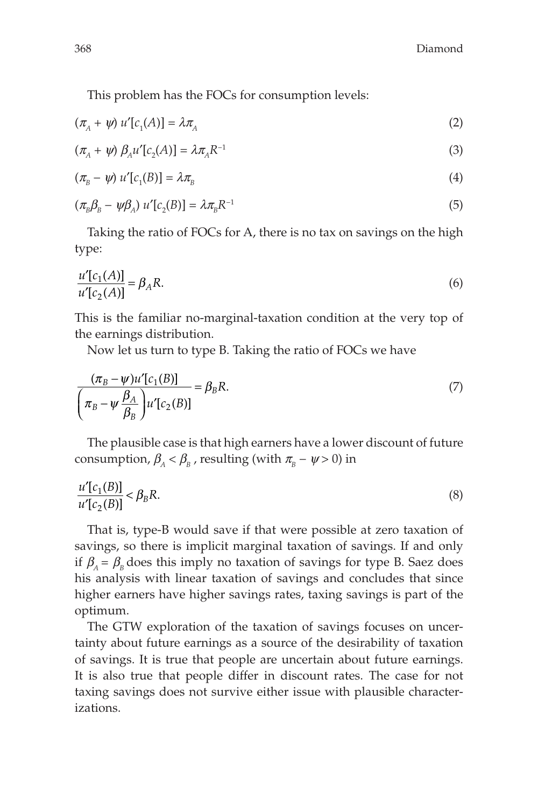This problem has the FOCs for consumption levels:

$$
(\pi_A + \psi) u'[c_1(A)] = \lambda \pi_A \tag{2}
$$

$$
(\pi_A + \psi) \beta_A u' [c_2(A)] = \lambda \pi_A R^{-1}
$$
\n(3)

$$
(\pi_{B} - \psi) u'[c_1(B)] = \lambda \pi_{B} \tag{4}
$$

$$
(\pi_{\beta}\beta_{\beta} - \psi\beta_{A})\ u'[c_{2}(B)] = \lambda\pi_{\beta}R^{-1}
$$
\n(5)

Taking the ratio of FOCs for A, there is no tax on savings on the high type:

$$
\frac{u'[c_1(A)]}{u'[c_2(A)]} = \beta_A R.
$$
\n(6)

This is the familiar no-marginal-taxation condition at the very top of the earnings distribution.

Now let us turn to type B. Taking the ratio of FOCs we have

$$
\frac{(\pi_B - \psi)u'[c_1(B)]}{(\pi_B - \psi \frac{\beta_A}{\beta_B})u'[c_2(B)]} = \beta_B R.
$$
\n(7)

The plausible case is that high earners have a lower discount of future consumption,  $\beta_{A} < \beta_{B}$ , resulting (with  $\pi_{B} - \psi > 0$ ) in

$$
\frac{u'[c_1(B)]}{u'[c_2(B)]} < \beta_B R.
$$
\n(8)

That is, type-B would save if that were possible at zero taxation of savings, so there is implicit marginal taxation of savings. If and only if  $\beta_A = \beta_B$  does this imply no taxation of savings for type B. Saez does his analysis with linear taxation of savings and concludes that since higher earners have higher savings rates, taxing savings is part of the optimum.

The GTW exploration of the taxation of savings focuses on uncertainty about future earnings as a source of the desirability of taxation of savings. It is true that people are uncertain about future earnings. It is also true that people differ in discount rates. The case for not taxing savings does not survive either issue with plausible characterizations.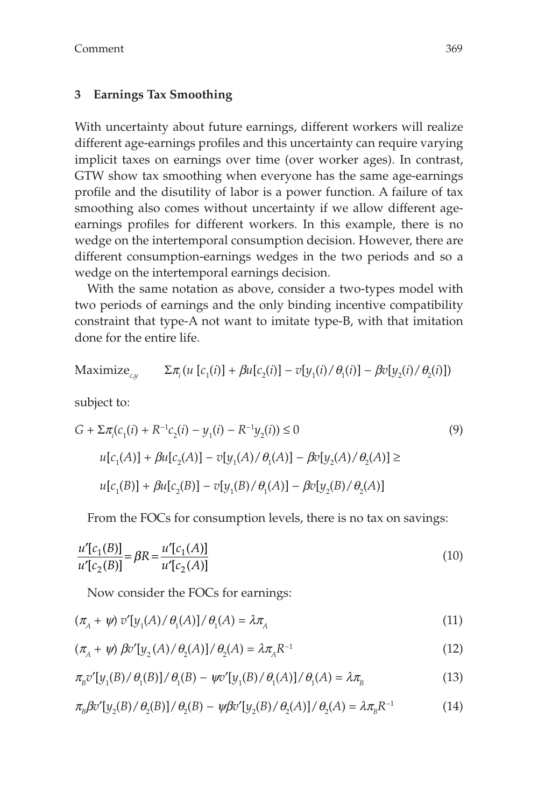#### **3 Earnings Tax Smoothing**

With uncertainty about future earnings, different workers will realize different age-earnings profiles and this uncertainty can require varying implicit taxes on earnings over time (over worker ages). In contrast, GTW show tax smoothing when everyone has the same age-earnings profile and the disutility of labor is a power function. A failure of tax smoothing also comes without uncertainty if we allow different ageearnings profiles for different workers. In this example, there is no wedge on the intertemporal consumption decision. However, there are different consumption-earnings wedges in the two periods and so a wedge on the intertemporal earnings decision.

With the same notation as above, consider a two-types model with two periods of earnings and the only binding incentive compatibility constraint that type-A not want to imitate type-B, with that imitation done for the entire life.

$$
\text{Maximize}_{c,y} \qquad \Sigma \pi_i \big( u \left[ c_1(i) \right] + \beta u \big[ c_2(i) \big] - v \big[ y_1(i) / \theta_1(i) \big] - \beta v \big[ y_2(i) / \theta_2(i) \big] \big)
$$

subject to:

$$
G + \Sigma \pi_i(c_1(i) + R^{-1}c_2(i) - y_1(i) - R^{-1}y_2(i)) \le 0
$$
\n
$$
u[c_1(A)] + \beta u[c_2(A)] - v[y_1(A)/\theta_1(A)] - \beta v[y_2(A)/\theta_2(A)] \ge
$$
\n
$$
u[c_1(B)] + \beta u[c_2(B)] - v[y_1(B)/\theta_1(A)] - \beta v[y_2(B)/\theta_2(A)]
$$
\n(9)

From the FOCs for consumption levels, there is no tax on savings:

$$
\frac{u'[c_1(B)]}{u'[c_2(B)]} = \beta R = \frac{u'[c_1(A)]}{u'[c_2(A)]}
$$
\n(10)

Now consider the FOCs for earnings:

$$
(\pi_A + \psi) \, v'[y_1(A) / \theta_1(A)] / \theta_1(A) = \lambda \pi_A \tag{11}
$$

$$
(\pi_A + \psi) \beta v'[y_2(A) / \theta_2(A)] / \theta_2(A) = \lambda \pi_A R^{-1}
$$
\n(12)

$$
\pi_{\mathcal{B}} \mathcal{O}'[y_1(B)/\theta_1(B)]/\theta_1(B) - \psi \mathcal{O}'[y_1(B)/\theta_1(A)]/\theta_1(A) = \lambda \pi_{\mathcal{B}}
$$
\n(13)

$$
\pi_{\beta}\beta v'[y_2(B)/\theta_2(B)]/\theta_2(B) - \psi\beta v'[y_2(B)/\theta_2(A)]/\theta_2(A) = \lambda \pi_{\beta} R^{-1}
$$
\n(14)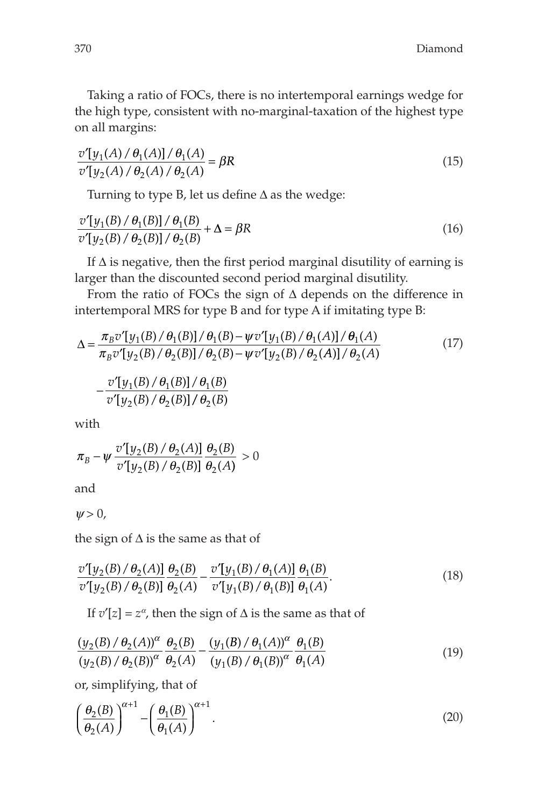Taking a ratio of FOCs, there is no intertemporal earnings wedge for the high type, consistent with no-marginal-taxation of the highest type on all margins:

$$
\frac{v'[y_1(A) / \theta_1(A)] / \theta_1(A)}{v'[y_2(A) / \theta_2(A) / \theta_2(A)]} = \beta R
$$
\n(15)

Turning to type B, let us define  $\Delta$  as the wedge:

$$
\frac{v'[y_1(B)/\theta_1(B)]/\theta_1(B)}{v'[y_2(B)/\theta_2(B)]/\theta_2(B)} + \Delta = \beta R
$$
\n(16)

If  $\Delta$  is negative, then the first period marginal disutility of earning is larger than the discounted second period marginal disutility.

From the ratio of FOCs the sign of  $\Delta$  depends on the difference in intertemporal MRS for type B and for type A if imitating type B:

$$
\Delta = \frac{\pi_B v'[y_1(B)/\theta_1(B)]/\theta_1(B) - \psi v'[y_1(B)/\theta_1(A)]/\theta_1(A)}{\pi_B v'[y_2(B)/\theta_2(B)]/\theta_2(B) - \psi v'[y_2(B)/\theta_2(A)]/\theta_2(A)}
$$
(17)  

$$
-\frac{v'[y_1(B)/\theta_1(B)]/\theta_1(B)}{v'[y_2(B)/\theta_2(B)]/\theta_2(B)}
$$

with

$$
\pi_B - \psi \frac{\nu'[y_2(B)/\theta_2(A)]}{\nu'[y_2(B)/\theta_2(B)]} \frac{\theta_2(B)}{\theta_2(A)} > 0
$$

and

 $\psi > 0$ ,

the sign of  $\Delta$  is the same as that of

$$
\frac{v'[y_2(B)/\theta_2(A)]}{v'[y_2(B)/\theta_2(B)]} \frac{\theta_2(B)}{\theta_2(A)} - \frac{v'[y_1(B)/\theta_1(A)]}{v'[y_1(B)/\theta_1(B)]} \frac{\theta_1(B)}{\theta_1(A)}.
$$
\n
$$
(18)
$$

If  $v'[z] = z^{\alpha}$ , then the sign of  $\Delta$  is the same as that of

$$
\frac{(y_2(B)/\theta_2(A))^\alpha}{(y_2(B)/\theta_2(B))^\alpha} \frac{\theta_2(B)}{\theta_2(A)} - \frac{(y_1(B)/\theta_1(A))^\alpha}{(y_1(B)/\theta_1(B))^\alpha} \frac{\theta_1(B)}{\theta_1(A)}\tag{19}
$$

or, simplifying, that of

$$
\left(\frac{\theta_2(B)}{\theta_2(A)}\right)^{\alpha+1} - \left(\frac{\theta_1(B)}{\theta_1(A)}\right)^{\alpha+1}.\tag{20}
$$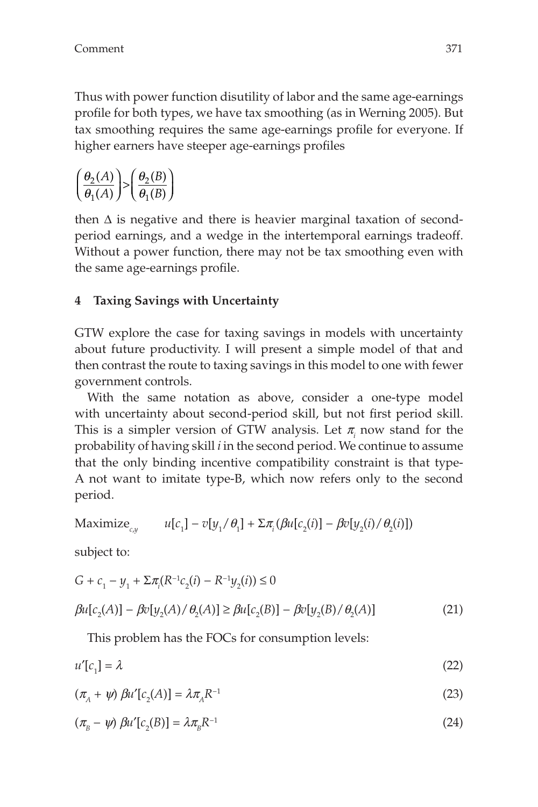Thus with power function disutility of labor and the same age-earnings profile for both types, we have tax smoothing (as in Werning 2005). But tax smoothing requires the same age-earnings profile for everyone. If higher earners have steeper age-earnings profiles

$$
\left(\frac{\theta_2(A)}{\theta_1(A)}\right) > \left(\frac{\theta_2(B)}{\theta_1(B)}\right)
$$

then  $\Delta$  is negative and there is heavier marginal taxation of secondperiod earnings, and a wedge in the intertemporal earnings tradeoff. Without a power function, there may not be tax smoothing even with the same age-earnings profile.

## **4 Taxing Savings with Uncertainty**

GTW explore the case for taxing savings in models with uncertainty about future productivity. I will present a simple model of that and then contrast the route to taxing savings in this model to one with fewer government controls.

With the same notation as above, consider a one-type model with uncertainty about second-period skill, but not first period skill. This is a simpler version of GTW analysis. Let  $\pi$ <sub>i</sub> now stand for the probability of having skill *i* in the second period. We continue to assume that the only binding incentive compatibility constraint is that type-A not want to imitate type-B, which now refers only to the second period.

$$
\text{Maximize}_{c,y} \qquad u[c_1] - v[y_1/\theta_1] + \Sigma \pi_i(\beta u[c_2(i)] - \beta v[y_2(i)/\theta_2(i)])
$$

subject to:

$$
G + c_1 - y_1 + \Sigma \pi_i (R^{-1} c_2(i) - R^{-1} y_2(i)) \le 0
$$
  
\n
$$
\beta u[c_2(A)] - \beta v[y_2(A) / \theta_2(A)] \ge \beta u[c_2(B)] - \beta v[y_2(B) / \theta_2(A)]
$$
\n(21)

This problem has the FOCs for consumption levels:

$$
u'[c_1] = \lambda \tag{22}
$$

$$
(\pi_A + \psi) \beta u' [c_2(A)] = \lambda \pi_A R^{-1}
$$
\n(23)

$$
(\pi_{\mathbf{g}} - \psi) \ \beta u' [c_2(B)] = \lambda \pi_{\mathbf{g}} R^{-1}
$$
\n(24)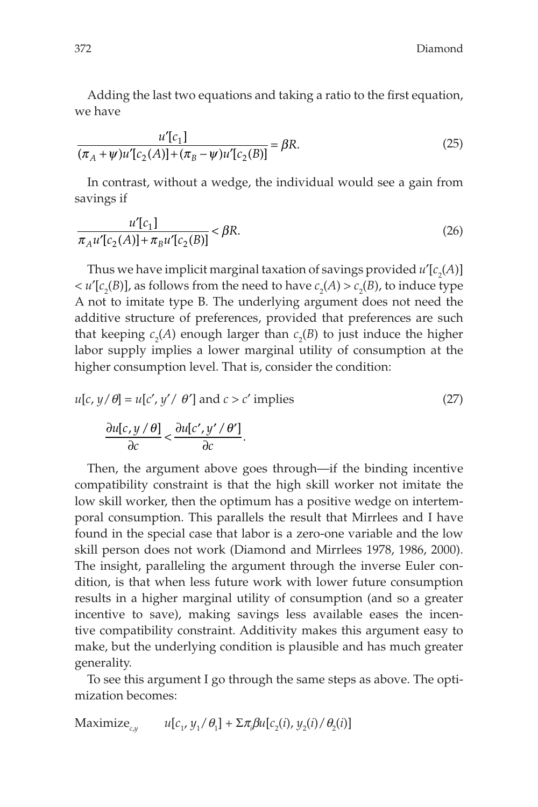Adding the last two equations and taking a ratio to the first equation, we have

$$
\frac{u'[c_1]}{(\pi_A + \psi)u'[c_2(A)] + (\pi_B - \psi)u'[c_2(B)]} = \beta R.
$$
\n(25)

In contrast, without a wedge, the individual would see a gain from savings if

$$
\frac{u'[c_1]}{\pi_A u'[c_2(A)] + \pi_B u'[c_2(B)]} < \beta R. \tag{26}
$$

Thus we have implicit marginal taxation of savings provided  $u'[c_2(A)]$  $u$ <sup> $\lceil c_2(B) \rceil$ , as follows from the need to have  $c_2(A) > c_2(B)$ , to induce type</sup> A not to imitate type B. The underlying argument does not need the additive structure of preferences, provided that preferences are such that keeping  $c_2(A)$  enough larger than  $c_2(B)$  to just induce the higher labor supply implies a lower marginal utility of consumption at the higher consumption level. That is, consider the condition:

$$
u[c, y/\theta] = u[c', y'/\theta'] \text{ and } c > c' \text{ implies}
$$
\n
$$
\frac{\partial u[c, y/\theta]}{\partial c} < \frac{\partial u[c', y'/\theta']}{\partial c}.
$$
\n(27)

Then, the argument above goes through—if the binding incentive compatibility constraint is that the high skill worker not imitate the low skill worker, then the optimum has a positive wedge on intertemporal consumption. This parallels the result that Mirrlees and I have found in the special case that labor is a zero-one variable and the low skill person does not work (Diamond and Mirrlees 1978, 1986, 2000). The insight, paralleling the argument through the inverse Euler condition, is that when less future work with lower future consumption results in a higher marginal utility of consumption (and so a greater incentive to save), making savings less available eases the incentive compatibility constraint. Additivity makes this argument easy to make, but the underlying condition is plausible and has much greater generality.

To see this argument I go through the same steps as above. The optimization becomes:

 $\text{Maximize}_{c,y} \qquad u[c_1, y_1/\theta_1] + \Sigma \pi_i \beta u[c_2(i), y_2(i)/\theta_2(i)]$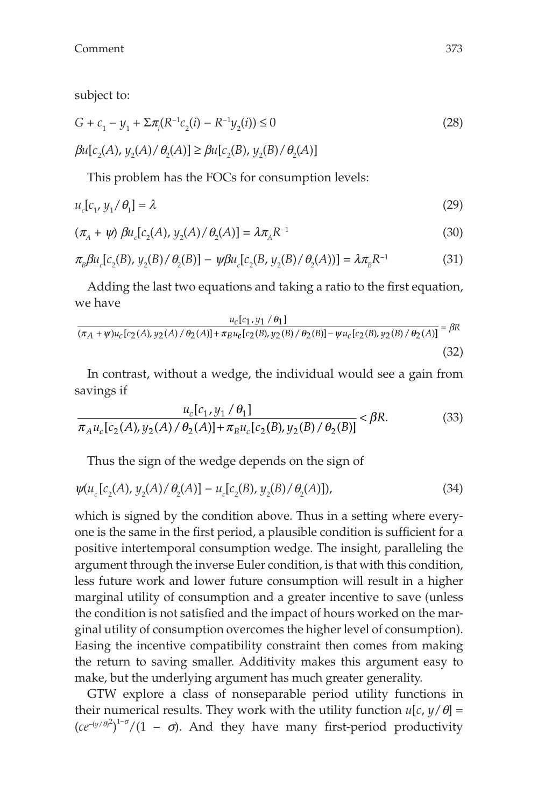subject to:

$$
G + c_1 - y_1 + \Sigma \pi_i (R^{-1} c_2(i) - R^{-1} y_2(i)) \le 0
$$
  
\n
$$
\beta u[c_2(A), y_2(A) / \theta_2(A)] \ge \beta u[c_2(B), y_2(B) / \theta_2(A)]
$$
\n(28)

This problem has the FOCs for consumption levels:

$$
u_c[c_1, y_1/\theta_1] = \lambda \tag{29}
$$

$$
(\pi_A + \psi) \,\beta u_c[c_2(A), y_2(A)/\theta_2(A)] = \lambda \pi_A R^{-1} \tag{30}
$$

$$
\pi_{B}\beta u_{c}[c_{2}(B), y_{2}(B)/\theta_{2}(B)] - \psi \beta u_{c}[c_{2}(B, y_{2}(B)/\theta_{2}(A))] = \lambda \pi_{B} R^{-1}
$$
\n(31)

Adding the last two equations and taking a ratio to the first equation, we have

$$
\frac{u_c[c_1, y_1 / \theta_1]}{(\pi_A + \psi)u_c[c_2(A), y_2(A) / \theta_2(A)] + \pi_B u_c[c_2(B), y_2(B) / \theta_2(B)] - \psi u_c[c_2(B), y_2(B) / \theta_2(A)]} = \beta R
$$
\n(32)

In contrast, without a wedge, the individual would see a gain from savings if

$$
\frac{u_c[c_1, y_1/\theta_1]}{\pi_A u_c[c_2(A), y_2(A)/\theta_2(A)] + \pi_B u_c[c_2(B), y_2(B)/\theta_2(B)]} < \beta R.
$$
 (33)

Thus the sign of the wedge depends on the sign of

$$
\psi(u_c[c_2(A), y_2(A)/\theta_2(A)] - u_c[c_2(B), y_2(B)/\theta_2(A)]
$$
\n(34)

which is signed by the condition above. Thus in a setting where everyone is the same in the first period, a plausible condition is sufficient for a positive intertemporal consumption wedge. The insight, paralleling the argument through the inverse Euler condition, is that with this condition, less future work and lower future consumption will result in a higher marginal utility of consumption and a greater incentive to save (unless the condition is not satisfied and the impact of hours worked on the marginal utility of consumption overcomes the higher level of consumption). Easing the incentive compatibility constraint then comes from making the return to saving smaller. Additivity makes this argument easy to make, but the underlying argument has much greater generality.

GTW explore a class of nonseparable period utility functions in their numerical results. They work with the utility function  $u[c, y/\theta] =$  $(ce^{-(y/\theta)^2})^{1-\sigma}/(1-\sigma)$ . And they have many first-period productivity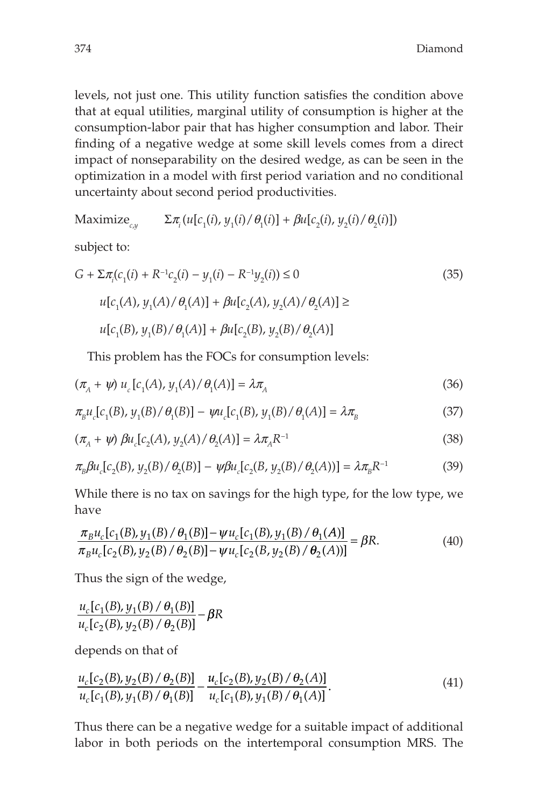levels, not just one. This utility function satisfies the condition above that at equal utilities, marginal utility of consumption is higher at the consumption-labor pair that has higher consumption and labor. Their finding of a negative wedge at some skill levels comes from a direct impact of nonseparability on the desired wedge, as can be seen in the optimization in a model with first period variation and no conditional uncertainty about second period productivities.

$$
\text{Maximize}_{c,y} \qquad \Sigma \pi_i(u[c_1(i), y_1(i) / \theta_1(i)] + \beta u[c_2(i), y_2(i) / \theta_2(i)])
$$

subject to:

$$
G + \Sigma \pi_i(c_1(i) + R^{-1}c_2(i) - y_1(i) - R^{-1}y_2(i)) \le 0
$$
\n
$$
u[c_1(A), y_1(A) / \theta_1(A)] + \beta u[c_2(A), y_2(A) / \theta_2(A)] \ge
$$
\n
$$
u[c_1(B), y_1(B) / \theta_1(A)] + \beta u[c_2(B), y_2(B) / \theta_2(A)]
$$
\n(35)

This problem has the FOCs for consumption levels:

$$
(\pi_A + \psi) u_c [c_1(A), y_1(A) / \theta_1(A)] = \lambda \pi_A \tag{36}
$$

$$
\pi_{B}u_{c}[c_{1}(B), y_{1}(B)/\theta_{1}(B)] - \psi u_{c}[c_{1}(B), y_{1}(B)/\theta_{1}(A)] = \lambda \pi_{B}
$$
\n(37)

$$
(\pi_A + \psi) \,\beta u_c[c_2(A), y_2(A)/\theta_2(A)] = \lambda \pi_A R^{-1} \tag{38}
$$

$$
\pi_{B}\beta u_{c}[c_{2}(B), y_{2}(B)/\theta_{2}(B)] - \psi \beta u_{c}[c_{2}(B, y_{2}(B)/\theta_{2}(A))] = \lambda \pi_{B} R^{-1}
$$
\n(39)

While there is no tax on savings for the high type, for the low type, we have

$$
\frac{\pi_B u_c[c_1(B), y_1(B) / \theta_1(B)] - \psi u_c[c_1(B), y_1(B) / \theta_1(A)]}{\pi_B u_c[c_2(B), y_2(B) / \theta_2(B)] - \psi u_c[c_2(B, y_2(B) / \theta_2(A))] } = \beta R.
$$
\n(40)

Thus the sign of the wedge,

$$
\frac{u_c[c_1(B), y_1(B) / \theta_1(B)]}{u_c[c_2(B), y_2(B) / \theta_2(B)]} - \beta R
$$

depends on that of

$$
\frac{u_c[c_2(B), y_2(B)/\theta_2(B)]}{u_c[c_1(B), y_1(B)/\theta_1(B)]} - \frac{u_c[c_2(B), y_2(B)/\theta_2(A)]}{u_c[c_1(B), y_1(B)/\theta_1(A)]}.
$$
\n(41)

Thus there can be a negative wedge for a suitable impact of additional labor in both periods on the intertemporal consumption MRS. The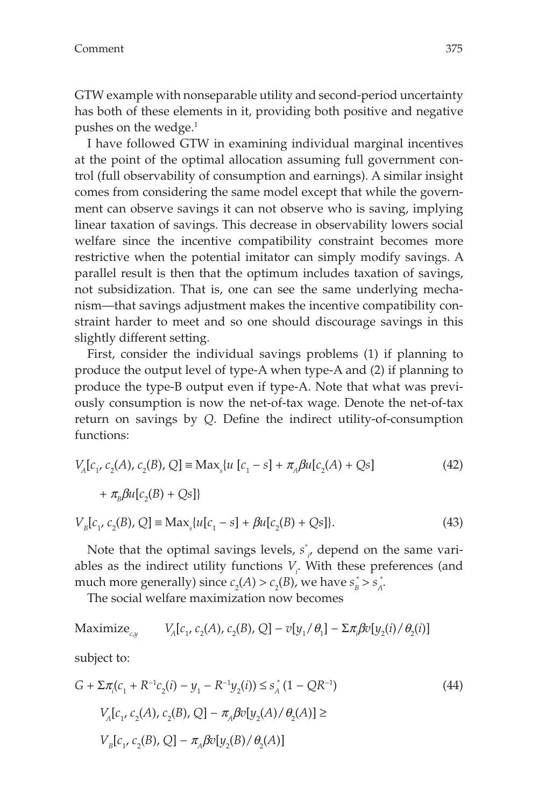GTW example with nonseparable utility and second-period uncertainty has both of these elements in it, providing both positive and negative pushes on the wedge.<sup>1</sup>

I have followed GTW in examining individual marginal incentives at the point of the optimal allocation assuming full government control (full observability of consumption and earnings). A similar insight comes from considering the same model except that while the government can observe savings it can not observe who is saving, implying linear taxation of savings. This decrease in observability lowers social welfare since the incentive compatibility constraint becomes more restrictive when the potential imitator can simply modify savings. A parallel result is then that the optimum includes taxation of savings, not subsidization. That is, one can see the same underlying mechanism—that savings adjustment makes the incentive compatibility constraint harder to meet and so one should discourage savings in this slightly different setting.

First, consider the individual savings problems (1) if planning to produce the output level of type-A when type-A and (2) if planning to produce the type-B output even if type-A. Note that what was previously consumption is now the net-of-tax wage. Denote the net-of-tax return on savings by *Q*. Define the indirect utility-of-consumption functions:

$$
V_A[c_1, c_2(A), c_2(B), Q] = \text{Max}_{s} \{ u [c_1 - s] + \pi_A \beta u [c_2(A) + Qs] + \pi_B \beta u [c_2(B) + Qs] \}
$$
\n(42)

$$
V_{B}[c_{1}, c_{2}(B), Q] \equiv \text{Max}_{s}\{u[c_{1} - s] + \beta u[c_{2}(B) + Qs]\}.
$$
 (43)

Note that the optimal savings levels,  $s^*_{i'}$  depend on the same variables as the indirect utility functions  $V_i$ . With these preferences (and much more generally) since  $c_2(A) > c_2(B)$ , we have  $s_B^* > s_A^*$ .

The social welfare maximization now becomes

$$
\text{Maximize}_{c,y} \qquad V_A[c_1, c_2(A), c_2(B), Q] - v[y_1/\theta_1] - \sum_{i} \pi_i \beta v[y_2(i)/\theta_2(i)]
$$

subject to:

$$
G + \Sigma \pi_i (c_1 + R^{-1} c_2(i) - y_1 - R^{-1} y_2(i)) \le s_A^* (1 - QR^{-1})
$$
\n
$$
V_A[c_1, c_2(A), c_2(B), Q] - \pi_A \beta v[y_2(A) / \theta_2(A)] \ge
$$
\n
$$
V_B[c_1, c_2(B), Q] - \pi_A \beta v[y_2(B) / \theta_2(A)]
$$
\n(44)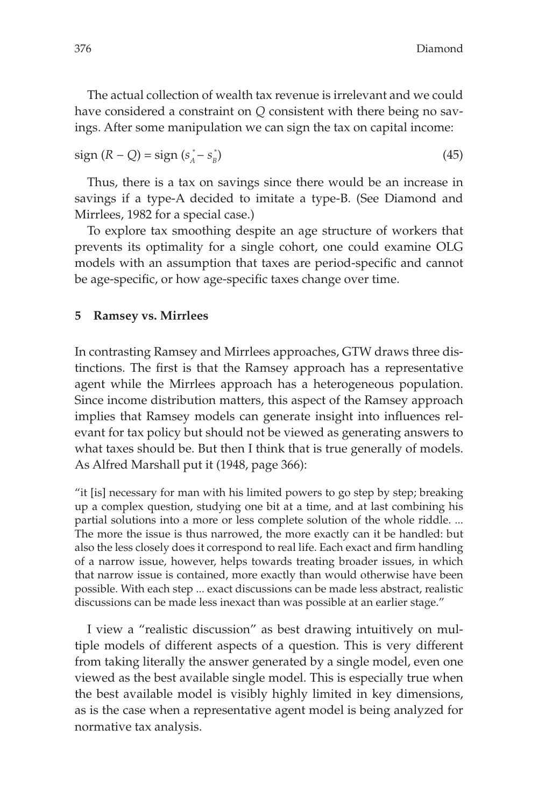The actual collection of wealth tax revenue is irrelevant and we could have considered a constraint on *Q* consistent with there being no savings. After some manipulation we can sign the tax on capital income:

sign 
$$
(R - Q) = sign (s_A^* - s_B^*)
$$
 (45)

Thus, there is a tax on savings since there would be an increase in savings if a type-A decided to imitate a type-B. (See Diamond and Mirrlees, 1982 for a special case.)

To explore tax smoothing despite an age structure of workers that prevents its optimality for a single cohort, one could examine OLG models with an assumption that taxes are period-specific and cannot be age-specific, or how age-specific taxes change over time.

#### **5 Ramsey vs. Mirrlees**

In contrasting Ramsey and Mirrlees approaches, GTW draws three distinctions. The first is that the Ramsey approach has a representative agent while the Mirrlees approach has a heterogeneous population. Since income distribution matters, this aspect of the Ramsey approach implies that Ramsey models can generate insight into influences relevant for tax policy but should not be viewed as generating answers to what taxes should be. But then I think that is true generally of models. As Alfred Marshall put it (1948, page 366):

"it [is] necessary for man with his limited powers to go step by step; breaking up a complex question, studying one bit at a time, and at last combining his partial solutions into a more or less complete solution of the whole riddle. ... The more the issue is thus narrowed, the more exactly can it be handled: but also the less closely does it correspond to real life. Each exact and firm handling of a narrow issue, however, helps towards treating broader issues, in which that narrow issue is contained, more exactly than would otherwise have been possible. With each step ... exact discussions can be made less abstract, realistic discussions can be made less inexact than was possible at an earlier stage."

I view a "realistic discussion" as best drawing intuitively on multiple models of different aspects of a question. This is very different from taking literally the answer generated by a single model, even one viewed as the best available single model. This is especially true when the best available model is visibly highly limited in key dimensions, as is the case when a representative agent model is being analyzed for normative tax analysis.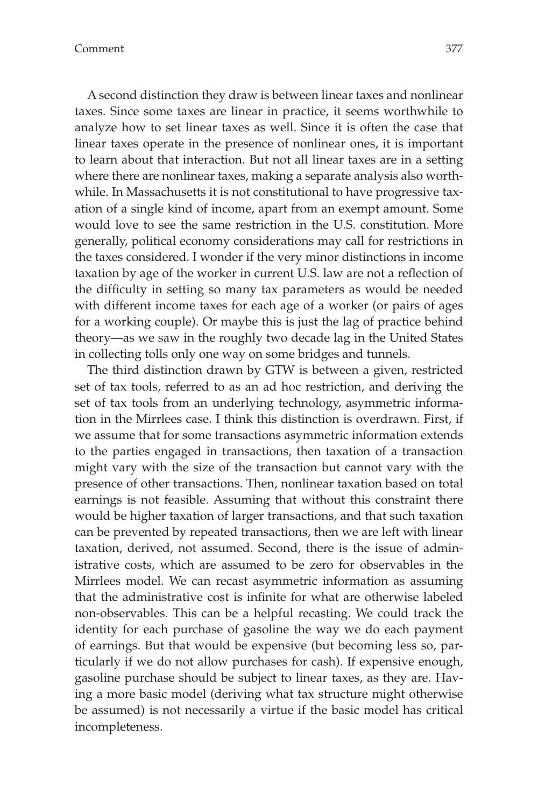A second distinction they draw is between linear taxes and nonlinear taxes. Since some taxes are linear in practice, it seems worthwhile to analyze how to set linear taxes as well. Since it is often the case that linear taxes operate in the presence of nonlinear ones, it is important to learn about that interaction. But not all linear taxes are in a setting where there are nonlinear taxes, making a separate analysis also worthwhile. In Massachusetts it is not constitutional to have progressive taxation of a single kind of income, apart from an exempt amount. Some would love to see the same restriction in the U.S. constitution. More generally, political economy considerations may call for restrictions in the taxes considered. I wonder if the very minor distinctions in income taxation by age of the worker in current U.S. law are not a reflection of the difficulty in setting so many tax parameters as would be needed with different income taxes for each age of a worker (or pairs of ages for a working couple). Or maybe this is just the lag of practice behind theory—as we saw in the roughly two decade lag in the United States in collecting tolls only one way on some bridges and tunnels.

The third distinction drawn by GTW is between a given, restricted set of tax tools, referred to as an ad hoc restriction, and deriving the set of tax tools from an underlying technology, asymmetric information in the Mirrlees case. I think this distinction is overdrawn. First, if we assume that for some transactions asymmetric information extends to the parties engaged in transactions, then taxation of a transaction might vary with the size of the transaction but cannot vary with the presence of other transactions. Then, nonlinear taxation based on total earnings is not feasible. Assuming that without this constraint there would be higher taxation of larger transactions, and that such taxation can be prevented by repeated transactions, then we are left with linear taxation, derived, not assumed. Second, there is the issue of administrative costs, which are assumed to be zero for observables in the Mirrlees model. We can recast asymmetric information as assuming that the administrative cost is infinite for what are otherwise labeled non-observables. This can be a helpful recasting. We could track the identity for each purchase of gasoline the way we do each payment of earnings. But that would be expensive (but becoming less so, particularly if we do not allow purchases for cash). If expensive enough, gasoline purchase should be subject to linear taxes, as they are. Having a more basic model (deriving what tax structure might otherwise be assumed) is not necessarily a virtue if the basic model has critical incompleteness.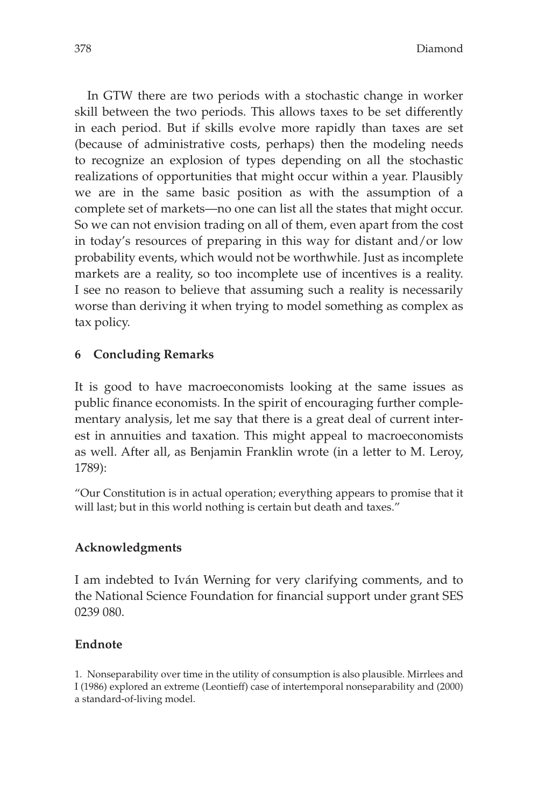In GTW there are two periods with a stochastic change in worker skill between the two periods. This allows taxes to be set differently in each period. But if skills evolve more rapidly than taxes are set (because of administrative costs, perhaps) then the modeling needs to recognize an explosion of types depending on all the stochastic realizations of opportunities that might occur within a year. Plausibly we are in the same basic position as with the assumption of a complete set of markets—no one can list all the states that might occur. So we can not envision trading on all of them, even apart from the cost in today's resources of preparing in this way for distant and/or low probability events, which would not be worthwhile. Just as incomplete markets are a reality, so too incomplete use of incentives is a reality. I see no reason to believe that assuming such a reality is necessarily worse than deriving it when trying to model something as complex as tax policy.

## **6 Concluding Remarks**

It is good to have macroeconomists looking at the same issues as public finance economists. In the spirit of encouraging further complementary analysis, let me say that there is a great deal of current interest in annuities and taxation. This might appeal to macroeconomists as well. After all, as Benjamin Franklin wrote (in a letter to M. Leroy, 1789):

"Our Constitution is in actual operation; everything appears to promise that it will last; but in this world nothing is certain but death and taxes."

## **Acknowledgments**

I am indebted to Iván Werning for very clarifying comments, and to the National Science Foundation for financial support under grant SES 0239 080.

## **Endnote**

1. Nonseparability over time in the utility of consumption is also plausible. Mirrlees and I (1986) explored an extreme (Leontieff) case of intertemporal nonseparability and (2000) a standard-of-living model.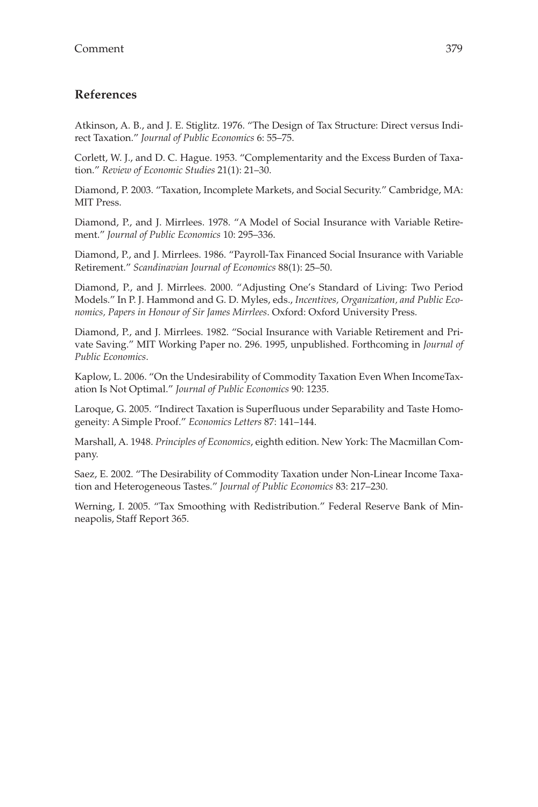### **References**

Atkinson, A. B., and J. E. Stiglitz. 1976. "The Design of Tax Structure: Direct versus Indirect Taxation." *Journal of Public Economics* 6: 55–75.

Corlett, W. J., and D. C. Hague. 1953. "Complementarity and the Excess Burden of Taxation." *Review of Economic Studies* 21(1): 21–30.

Diamond, P. 2003. "Taxation, Incomplete Markets, and Social Security." Cambridge, MA: MIT Press.

Diamond, P., and J. Mirrlees. 1978. "A Model of Social Insurance with Variable Retirement." *Journal of Public Economics* 10: 295–336.

Diamond, P., and J. Mirrlees. 1986. "Payroll-Tax Financed Social Insurance with Variable Retirement." *Scandinavian Journal of Economics* 88(1): 25–50.

Diamond, P., and J. Mirrlees. 2000. "Adjusting One's Standard of Living: Two Period Models." In P. J. Hammond and G. D. Myles, eds., *Incentives, Organization, and Public Economics, Papers in Honour of Sir James Mirrlees*. Oxford: Oxford University Press.

Diamond, P., and J. Mirrlees. 1982. "Social Insurance with Variable Retirement and Private Saving." MIT Working Paper no. 296. 1995, unpublished. Forthcoming in *Journal of Public Economics*.

Kaplow, L. 2006. "On the Undesirability of Commodity Taxation Even When IncomeTaxation Is Not Optimal." *Journal of Public Economics* 90: 1235.

Laroque, G. 2005. "Indirect Taxation is Superfluous under Separability and Taste Homogeneity: A Simple Proof." *Economics Letters* 87: 141–144.

Marshall, A. 1948. *Principles of Economics*, eighth edition. New York: The Macmillan Company.

Saez, E. 2002. "The Desirability of Commodity Taxation under Non-Linear Income Taxation and Heterogeneous Tastes." *Journal of Public Economics* 83: 217–230.

Werning, I. 2005. "Tax Smoothing with Redistribution." Federal Reserve Bank of Minneapolis, Staff Report 365.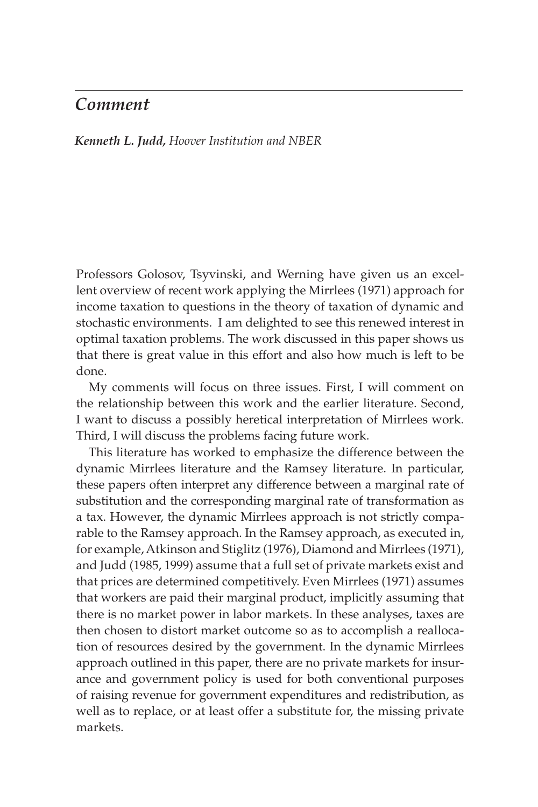## *Comment*

*Kenneth L. Judd, Hoover Institution and NBER*

Professors Golosov, Tsyvinski, and Werning have given us an excellent overview of recent work applying the Mirrlees (1971) approach for income taxation to questions in the theory of taxation of dynamic and stochastic environments. I am delighted to see this renewed interest in optimal taxation problems. The work discussed in this paper shows us that there is great value in this effort and also how much is left to be done.

My comments will focus on three issues. First, I will comment on the relationship between this work and the earlier literature. Second, I want to discuss a possibly heretical interpretation of Mirrlees work. Third, I will discuss the problems facing future work.

This literature has worked to emphasize the difference between the dynamic Mirrlees literature and the Ramsey literature. In particular, these papers often interpret any difference between a marginal rate of substitution and the corresponding marginal rate of transformation as a tax. However, the dynamic Mirrlees approach is not strictly comparable to the Ramsey approach. In the Ramsey approach, as executed in, for example, Atkinson and Stiglitz (1976), Diamond and Mirrlees (1971), and Judd (1985, 1999) assume that a full set of private markets exist and that prices are determined competitively. Even Mirrlees (1971) assumes that workers are paid their marginal product, implicitly assuming that there is no market power in labor markets. In these analyses, taxes are then chosen to distort market outcome so as to accomplish a reallocation of resources desired by the government. In the dynamic Mirrlees approach outlined in this paper, there are no private markets for insurance and government policy is used for both conventional purposes of raising revenue for government expenditures and redistribution, as well as to replace, or at least offer a substitute for, the missing private markets.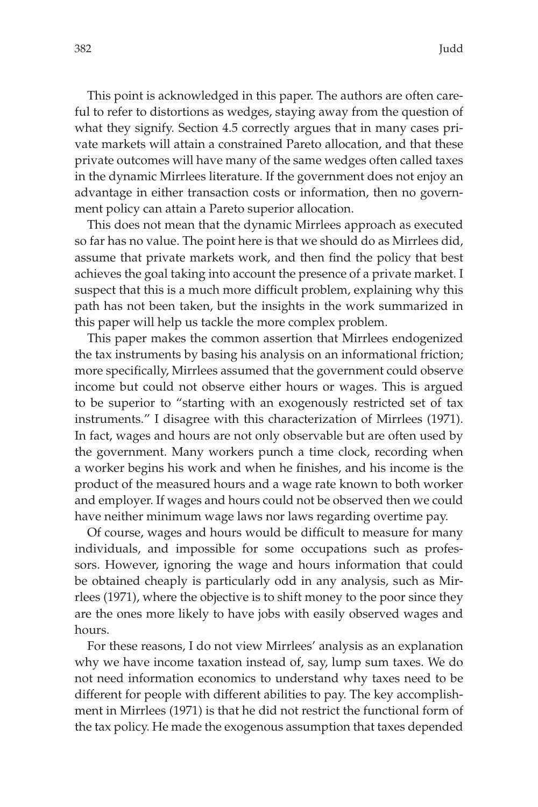This point is acknowledged in this paper. The authors are often careful to refer to distortions as wedges, staying away from the question of what they signify. Section 4.5 correctly argues that in many cases private markets will attain a constrained Pareto allocation, and that these private outcomes will have many of the same wedges often called taxes in the dynamic Mirrlees literature. If the government does not enjoy an advantage in either transaction costs or information, then no government policy can attain a Pareto superior allocation.

This does not mean that the dynamic Mirrlees approach as executed so far has no value. The point here is that we should do as Mirrlees did, assume that private markets work, and then find the policy that best achieves the goal taking into account the presence of a private market. I suspect that this is a much more difficult problem, explaining why this path has not been taken, but the insights in the work summarized in this paper will help us tackle the more complex problem.

This paper makes the common assertion that Mirrlees endogenized the tax instruments by basing his analysis on an informational friction; more specifically, Mirrlees assumed that the government could observe income but could not observe either hours or wages. This is argued to be superior to "starting with an exogenously restricted set of tax instruments." I disagree with this characterization of Mirrlees (1971). In fact, wages and hours are not only observable but are often used by the government. Many workers punch a time clock, recording when a worker begins his work and when he finishes, and his income is the product of the measured hours and a wage rate known to both worker and employer. If wages and hours could not be observed then we could have neither minimum wage laws nor laws regarding overtime pay.

Of course, wages and hours would be difficult to measure for many individuals, and impossible for some occupations such as professors. However, ignoring the wage and hours information that could be obtained cheaply is particularly odd in any analysis, such as Mirrlees (1971), where the objective is to shift money to the poor since they are the ones more likely to have jobs with easily observed wages and hours.

For these reasons, I do not view Mirrlees' analysis as an explanation why we have income taxation instead of, say, lump sum taxes. We do not need information economics to understand why taxes need to be different for people with different abilities to pay. The key accomplishment in Mirrlees (1971) is that he did not restrict the functional form of the tax policy. He made the exogenous assumption that taxes depended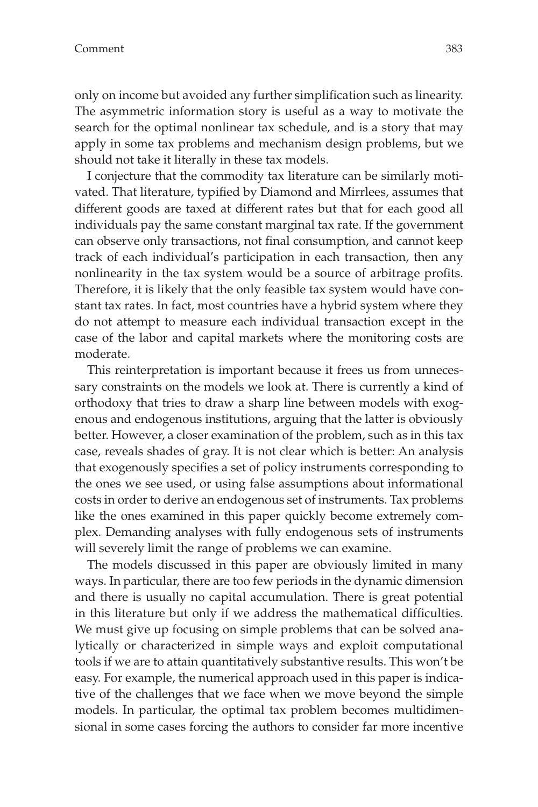only on income but avoided any further simplification such as linearity. The asymmetric information story is useful as a way to motivate the search for the optimal nonlinear tax schedule, and is a story that may apply in some tax problems and mechanism design problems, but we should not take it literally in these tax models.

I conjecture that the commodity tax literature can be similarly motivated. That literature, typified by Diamond and Mirrlees, assumes that different goods are taxed at different rates but that for each good all individuals pay the same constant marginal tax rate. If the government can observe only transactions, not final consumption, and cannot keep track of each individual's participation in each transaction, then any nonlinearity in the tax system would be a source of arbitrage profits. Therefore, it is likely that the only feasible tax system would have constant tax rates. In fact, most countries have a hybrid system where they do not attempt to measure each individual transaction except in the case of the labor and capital markets where the monitoring costs are moderate.

This reinterpretation is important because it frees us from unnecessary constraints on the models we look at. There is currently a kind of orthodoxy that tries to draw a sharp line between models with exogenous and endogenous institutions, arguing that the latter is obviously better. However, a closer examination of the problem, such as in this tax case, reveals shades of gray. It is not clear which is better: An analysis that exogenously specifies a set of policy instruments corresponding to the ones we see used, or using false assumptions about informational costs in order to derive an endogenous set of instruments. Tax problems like the ones examined in this paper quickly become extremely complex. Demanding analyses with fully endogenous sets of instruments will severely limit the range of problems we can examine.

The models discussed in this paper are obviously limited in many ways. In particular, there are too few periods in the dynamic dimension and there is usually no capital accumulation. There is great potential in this literature but only if we address the mathematical difficulties. We must give up focusing on simple problems that can be solved analytically or characterized in simple ways and exploit computational tools if we are to attain quantitatively substantive results. This won't be easy. For example, the numerical approach used in this paper is indicative of the challenges that we face when we move beyond the simple models. In particular, the optimal tax problem becomes multidimensional in some cases forcing the authors to consider far more incentive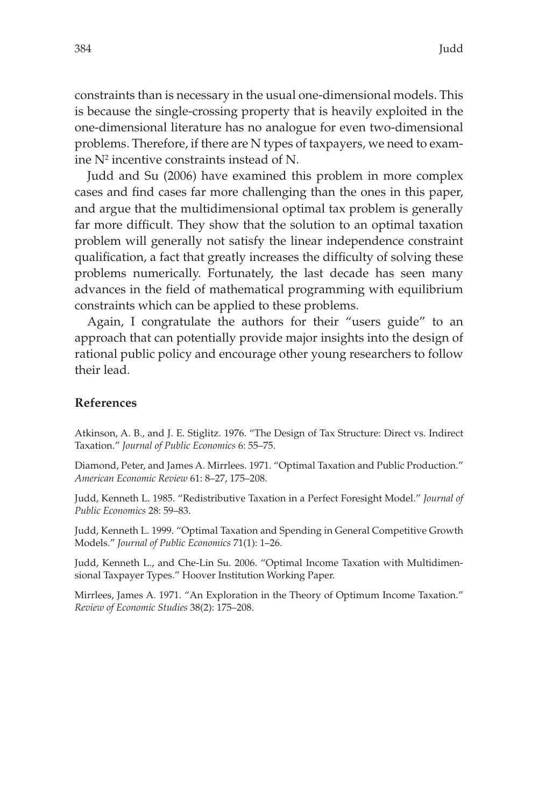constraints than is necessary in the usual one-dimensional models. This is because the single-crossing property that is heavily exploited in the one-dimensional literature has no analogue for even two-dimensional problems. Therefore, if there are N types of taxpayers, we need to examine  $N^2$  incentive constraints instead of N.

Judd and Su (2006) have examined this problem in more complex cases and find cases far more challenging than the ones in this paper, and argue that the multidimensional optimal tax problem is generally far more difficult. They show that the solution to an optimal taxation problem will generally not satisfy the linear independence constraint qualification, a fact that greatly increases the difficulty of solving these problems numerically. Fortunately, the last decade has seen many advances in the field of mathematical programming with equilibrium constraints which can be applied to these problems.

Again, I congratulate the authors for their "users guide" to an approach that can potentially provide major insights into the design of rational public policy and encourage other young researchers to follow their lead.

#### **References**

Atkinson, A. B., and J. E. Stiglitz. 1976. "The Design of Tax Structure: Direct vs. Indirect Taxation." *Journal of Public Economics* 6: 55–75.

Diamond, Peter, and James A. Mirrlees. 1971. "Optimal Taxation and Public Production." *American Economic Review* 61: 8–27, 175–208.

Judd, Kenneth L. 1985. "Redistributive Taxation in a Perfect Foresight Model." *Journal of Public Economics* 28: 59–83.

Judd, Kenneth L. 1999. "Optimal Taxation and Spending in General Competitive Growth Models." *Journal of Public Economics* 71(1): 1–26.

Judd, Kenneth L., and Che-Lin Su. 2006. "Optimal Income Taxation with Multidimensional Taxpayer Types." Hoover Institution Working Paper.

Mirrlees, James A. 1971. "An Exploration in the Theory of Optimum Income Taxation." *Review of Economic Studies* 38(2): 175–208.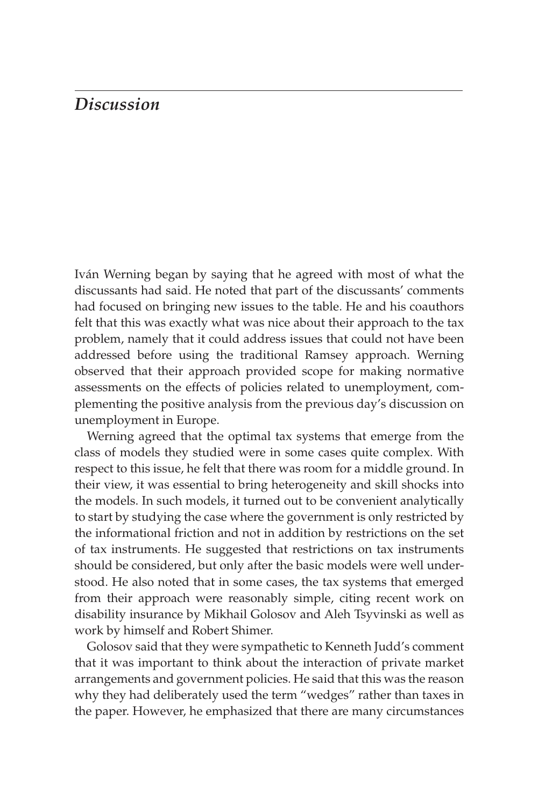# *Discussion*

Iván Werning began by saying that he agreed with most of what the discussants had said. He noted that part of the discussants' comments had focused on bringing new issues to the table. He and his coauthors felt that this was exactly what was nice about their approach to the tax problem, namely that it could address issues that could not have been addressed before using the traditional Ramsey approach. Werning observed that their approach provided scope for making normative assessments on the effects of policies related to unemployment, complementing the positive analysis from the previous day's discussion on unemployment in Europe.

Werning agreed that the optimal tax systems that emerge from the class of models they studied were in some cases quite complex. With respect to this issue, he felt that there was room for a middle ground. In their view, it was essential to bring heterogeneity and skill shocks into the models. In such models, it turned out to be convenient analytically to start by studying the case where the government is only restricted by the informational friction and not in addition by restrictions on the set of tax instruments. He suggested that restrictions on tax instruments should be considered, but only after the basic models were well understood. He also noted that in some cases, the tax systems that emerged from their approach were reasonably simple, citing recent work on disability insurance by Mikhail Golosov and Aleh Tsyvinski as well as work by himself and Robert Shimer.

Golosov said that they were sympathetic to Kenneth Judd's comment that it was important to think about the interaction of private market arrangements and government policies. He said that this was the reason why they had deliberately used the term "wedges" rather than taxes in the paper. However, he emphasized that there are many circumstances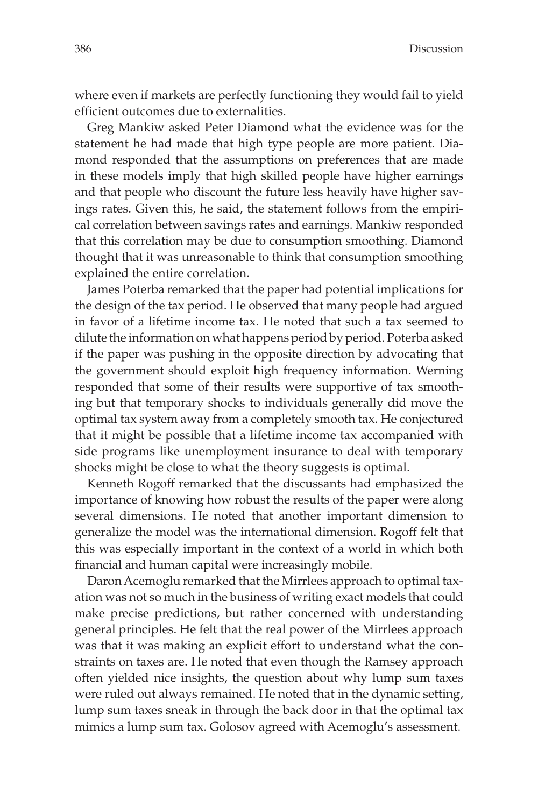where even if markets are perfectly functioning they would fail to yield efficient outcomes due to externalities.

Greg Mankiw asked Peter Diamond what the evidence was for the statement he had made that high type people are more patient. Diamond responded that the assumptions on preferences that are made in these models imply that high skilled people have higher earnings and that people who discount the future less heavily have higher savings rates. Given this, he said, the statement follows from the empirical correlation between savings rates and earnings. Mankiw responded that this correlation may be due to consumption smoothing. Diamond thought that it was unreasonable to think that consumption smoothing explained the entire correlation.

James Poterba remarked that the paper had potential implications for the design of the tax period. He observed that many people had argued in favor of a lifetime income tax. He noted that such a tax seemed to dilute the information on what happens period by period. Poterba asked if the paper was pushing in the opposite direction by advocating that the government should exploit high frequency information. Werning responded that some of their results were supportive of tax smoothing but that temporary shocks to individuals generally did move the optimal tax system away from a completely smooth tax. He conjectured that it might be possible that a lifetime income tax accompanied with side programs like unemployment insurance to deal with temporary shocks might be close to what the theory suggests is optimal.

Kenneth Rogoff remarked that the discussants had emphasized the importance of knowing how robust the results of the paper were along several dimensions. He noted that another important dimension to generalize the model was the international dimension. Rogoff felt that this was especially important in the context of a world in which both financial and human capital were increasingly mobile.

Daron Acemoglu remarked that the Mirrlees approach to optimal taxation was not so much in the business of writing exact models that could make precise predictions, but rather concerned with understanding general principles. He felt that the real power of the Mirrlees approach was that it was making an explicit effort to understand what the constraints on taxes are. He noted that even though the Ramsey approach often yielded nice insights, the question about why lump sum taxes were ruled out always remained. He noted that in the dynamic setting, lump sum taxes sneak in through the back door in that the optimal tax mimics a lump sum tax. Golosov agreed with Acemoglu's assessment.